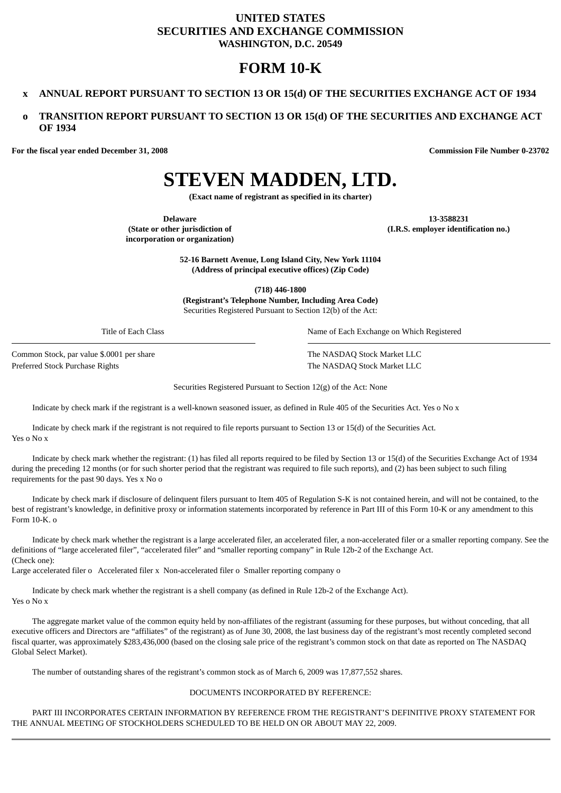# **UNITED STATES SECURITIES AND EXCHANGE COMMISSION WASHINGTON, D.C. 20549**

# **FORM 10-K**

# **x ANNUAL REPORT PURSUANT TO SECTION 13 OR 15(d) OF THE SECURITIES EXCHANGE ACT OF 1934**

# **o TRANSITION REPORT PURSUANT TO SECTION 13 OR 15(d) OF THE SECURITIES AND EXCHANGE ACT OF 1934**

**For the fiscal year ended December 31, 2008 Commission File Number 0-23702**

# **STEVEN MADDEN, LTD.**

**(Exact name of registrant as specified in its charter)**

**(State or other jurisdiction of incorporation or organization)**

**Delaware 13-3588231 (I.R.S. employer identification no.)**

**52-16 Barnett Avenue, Long Island City, New York 11104 (Address of principal executive offices) (Zip Code)**

**(718) 446-1800**

**(Registrant's Telephone Number, Including Area Code)** Securities Registered Pursuant to Section 12(b) of the Act:

Title of Each Class **Name of Each Exchange on Which Registered** 

Common Stock, par value \$.0001 per share The NASDAQ Stock Market LLC Preferred Stock Purchase Rights The NASDAQ Stock Market LLC

Securities Registered Pursuant to Section 12(g) of the Act: None

Indicate by check mark if the registrant is a well-known seasoned issuer, as defined in Rule 405 of the Securities Act. Yes o No x

 Indicate by check mark if the registrant is not required to file reports pursuant to Section 13 or 15(d) of the Securities Act. Yes o No x

 Indicate by check mark whether the registrant: (1) has filed all reports required to be filed by Section 13 or 15(d) of the Securities Exchange Act of 1934 during the preceding 12 months (or for such shorter period that the registrant was required to file such reports), and (2) has been subject to such filing requirements for the past 90 days. Yes x No o

 Indicate by check mark if disclosure of delinquent filers pursuant to Item 405 of Regulation S-K is not contained herein, and will not be contained, to the best of registrant's knowledge, in definitive proxy or information statements incorporated by reference in Part III of this Form 10-K or any amendment to this Form 10-K. o

 Indicate by check mark whether the registrant is a large accelerated filer, an accelerated filer, a non-accelerated filer or a smaller reporting company. See the definitions of "large accelerated filer", "accelerated filer" and "smaller reporting company" in Rule 12b-2 of the Exchange Act. (Check one):

Large accelerated filer o Accelerated filer x Non-accelerated filer o Smaller reporting company o

 Indicate by check mark whether the registrant is a shell company (as defined in Rule 12b-2 of the Exchange Act). Yes o No x

 The aggregate market value of the common equity held by non-affiliates of the registrant (assuming for these purposes, but without conceding, that all executive officers and Directors are "affiliates" of the registrant) as of June 30, 2008, the last business day of the registrant's most recently completed second fiscal quarter, was approximately \$283,436,000 (based on the closing sale price of the registrant's common stock on that date as reported on The NASDAQ Global Select Market).

The number of outstanding shares of the registrant's common stock as of March 6, 2009 was 17,877,552 shares.

#### DOCUMENTS INCORPORATED BY REFERENCE:

 PART III INCORPORATES CERTAIN INFORMATION BY REFERENCE FROM THE REGISTRANT'S DEFINITIVE PROXY STATEMENT FOR THE ANNUAL MEETING OF STOCKHOLDERS SCHEDULED TO BE HELD ON OR ABOUT MAY 22, 2009.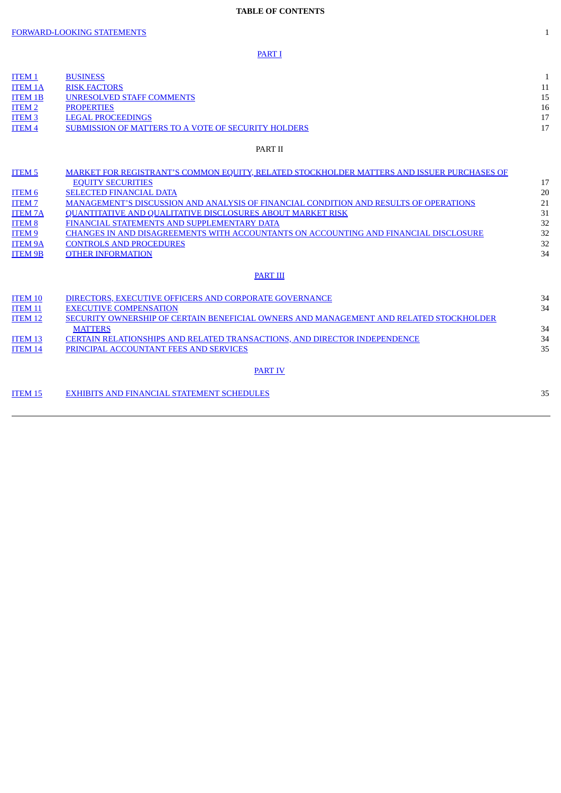# **TABLE OF CONTENTS**

# [PART I](#page-2-1)

| <b>ITEM1</b><br><b>ITEM 1A</b><br><b>ITEM 1B</b><br><b>ITEM 2</b><br><b>ITEM 3</b><br><b>ITEM 4</b>                                 | <b>BUSINESS</b><br><b>RISK FACTORS</b><br><b>UNRESOLVED STAFF COMMENTS</b><br><b>PROPERTIES</b><br><b>LEGAL PROCEEDINGS</b><br><b>SUBMISSION OF MATTERS TO A VOTE OF SECURITY HOLDERS</b>                                                                                                                                                                                                                                                                                                                                   | $\mathbf{1}$<br>11<br>15<br>16<br>17<br>17   |
|-------------------------------------------------------------------------------------------------------------------------------------|-----------------------------------------------------------------------------------------------------------------------------------------------------------------------------------------------------------------------------------------------------------------------------------------------------------------------------------------------------------------------------------------------------------------------------------------------------------------------------------------------------------------------------|----------------------------------------------|
|                                                                                                                                     | PART II                                                                                                                                                                                                                                                                                                                                                                                                                                                                                                                     |                                              |
| <b>ITEM 5</b><br><b>ITEM6</b><br><b>ITEM7</b><br><b>ITEM7A</b><br><b>ITEM8</b><br><b>ITEM 9</b><br><b>ITEM 9A</b><br><b>ITEM 9B</b> | MARKET FOR REGISTRANT'S COMMON EQUITY, RELATED STOCKHOLDER MATTERS AND ISSUER PURCHASES OF<br><b>EQUITY SECURITIES</b><br><b>SELECTED FINANCIAL DATA</b><br>MANAGEMENT'S DISCUSSION AND ANALYSIS OF FINANCIAL CONDITION AND RESULTS OF OPERATIONS<br><b>OUANTITATIVE AND QUALITATIVE DISCLOSURES ABOUT MARKET RISK</b><br>FINANCIAL STATEMENTS AND SUPPLEMENTARY DATA<br>CHANGES IN AND DISAGREEMENTS WITH ACCOUNTANTS ON ACCOUNTING AND FINANCIAL DISCLOSURE<br><b>CONTROLS AND PROCEDURES</b><br><b>OTHER INFORMATION</b> | 17<br>20<br>21<br>31<br>32<br>32<br>32<br>34 |
|                                                                                                                                     | <b>PART III</b>                                                                                                                                                                                                                                                                                                                                                                                                                                                                                                             |                                              |
| <b>ITEM 10</b><br><b>ITEM 11</b><br><b>ITEM 12</b><br><b>ITEM 13</b><br><b>ITEM 14</b>                                              | DIRECTORS. EXECUTIVE OFFICERS AND CORPORATE GOVERNANCE<br><b>EXECUTIVE COMPENSATION</b><br>SECURITY OWNERSHIP OF CERTAIN BENEFICIAL OWNERS AND MANAGEMENT AND RELATED STOCKHOLDER<br><b>MATTERS</b><br><b>CERTAIN RELATIONSHIPS AND RELATED TRANSACTIONS, AND DIRECTOR INDEPENDENCE</b><br>PRINCIPAL ACCOUNTANT FEES AND SERVICES                                                                                                                                                                                           | 34<br>34<br>34<br>34<br>35                   |
|                                                                                                                                     | <b>PART IV</b>                                                                                                                                                                                                                                                                                                                                                                                                                                                                                                              |                                              |
| <b>ITEM 15</b>                                                                                                                      | <b>EXHIBITS AND FINANCIAL STATEMENT SCHEDULES</b>                                                                                                                                                                                                                                                                                                                                                                                                                                                                           | 35                                           |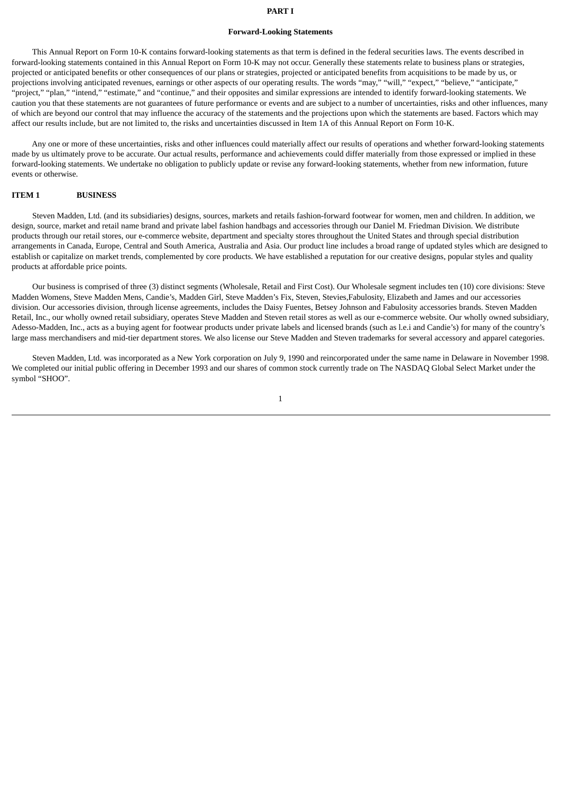# **PART I**

# **Forward-Looking Statements**

<span id="page-2-1"></span><span id="page-2-0"></span> This Annual Report on Form 10-K contains forward-looking statements as that term is defined in the federal securities laws. The events described in forward-looking statements contained in this Annual Report on Form 10-K may not occur. Generally these statements relate to business plans or strategies, projected or anticipated benefits or other consequences of our plans or strategies, projected or anticipated benefits from acquisitions to be made by us, or projections involving anticipated revenues, earnings or other aspects of our operating results. The words "may," "will," "expect," "believe," "anticipate," "project," "plan," "intend," "estimate," and "continue," and their opposites and similar expressions are intended to identify forward-looking statements. We caution you that these statements are not guarantees of future performance or events and are subject to a number of uncertainties, risks and other influences, many of which are beyond our control that may influence the accuracy of the statements and the projections upon which the statements are based. Factors which may affect our results include, but are not limited to, the risks and uncertainties discussed in Item 1A of this Annual Report on Form 10-K.

 Any one or more of these uncertainties, risks and other influences could materially affect our results of operations and whether forward-looking statements made by us ultimately prove to be accurate. Our actual results, performance and achievements could differ materially from those expressed or implied in these forward-looking statements. We undertake no obligation to publicly update or revise any forward-looking statements, whether from new information, future events or otherwise.

# <span id="page-2-2"></span>**ITEM 1 BUSINESS**

 Steven Madden, Ltd. (and its subsidiaries) designs, sources, markets and retails fashion-forward footwear for women, men and children. In addition, we design, source, market and retail name brand and private label fashion handbags and accessories through our Daniel M. Friedman Division. We distribute products through our retail stores, our e-commerce website, department and specialty stores throughout the United States and through special distribution arrangements in Canada, Europe, Central and South America, Australia and Asia. Our product line includes a broad range of updated styles which are designed to establish or capitalize on market trends, complemented by core products. We have established a reputation for our creative designs, popular styles and quality products at affordable price points.

 Our business is comprised of three (3) distinct segments (Wholesale, Retail and First Cost). Our Wholesale segment includes ten (10) core divisions: Steve Madden Womens, Steve Madden Mens, Candie's, Madden Girl, Steve Madden's Fix, Steven, Stevies,Fabulosity, Elizabeth and James and our accessories division. Our accessories division, through license agreements, includes the Daisy Fuentes, Betsey Johnson and Fabulosity accessories brands. Steven Madden Retail, Inc., our wholly owned retail subsidiary, operates Steve Madden and Steven retail stores as well as our e-commerce website. Our wholly owned subsidiary, Adesso-Madden, Inc., acts as a buying agent for footwear products under private labels and licensed brands (such as l.e.i and Candie's) for many of the country's large mass merchandisers and mid-tier department stores. We also license our Steve Madden and Steven trademarks for several accessory and apparel categories.

 Steven Madden, Ltd. was incorporated as a New York corporation on July 9, 1990 and reincorporated under the same name in Delaware in November 1998. We completed our initial public offering in December 1993 and our shares of common stock currently trade on The NASDAQ Global Select Market under the symbol "SHOO".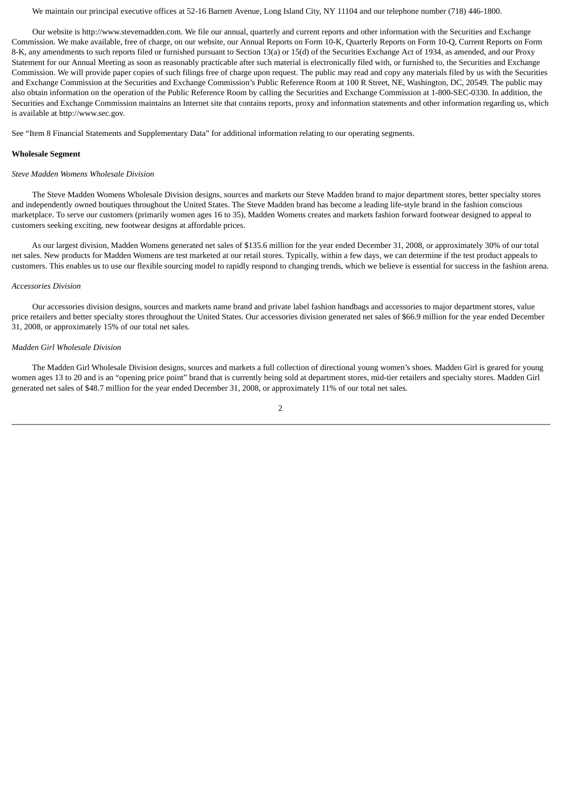#### We maintain our principal executive offices at 52-16 Barnett Avenue, Long Island City, NY 11104 and our telephone number (718) 446-1800.

 Our website is http://www.stevemadden.com. We file our annual, quarterly and current reports and other information with the Securities and Exchange Commission. We make available, free of charge, on our website, our Annual Reports on Form 10-K, Quarterly Reports on Form 10-Q, Current Reports on Form 8-K, any amendments to such reports filed or furnished pursuant to Section 13(a) or 15(d) of the Securities Exchange Act of 1934, as amended, and our Proxy Statement for our Annual Meeting as soon as reasonably practicable after such material is electronically filed with, or furnished to, the Securities and Exchange Commission. We will provide paper copies of such filings free of charge upon request. The public may read and copy any materials filed by us with the Securities and Exchange Commission at the Securities and Exchange Commission's Public Reference Room at 100 R Street, NE, Washington, DC, 20549. The public may also obtain information on the operation of the Public Reference Room by calling the Securities and Exchange Commission at 1-800-SEC-0330. In addition, the Securities and Exchange Commission maintains an Internet site that contains reports, proxy and information statements and other information regarding us, which is available at http://www.sec.gov.

See "Item 8 Financial Statements and Supplementary Data" for additional information relating to our operating segments.

#### **Wholesale Segment**

#### *Steve Madden Womens Wholesale Division*

 The Steve Madden Womens Wholesale Division designs, sources and markets our Steve Madden brand to major department stores, better specialty stores and independently owned boutiques throughout the United States. The Steve Madden brand has become a leading life-style brand in the fashion conscious marketplace. To serve our customers (primarily women ages 16 to 35), Madden Womens creates and markets fashion forward footwear designed to appeal to customers seeking exciting, new footwear designs at affordable prices.

 As our largest division, Madden Womens generated net sales of \$135.6 million for the year ended December 31, 2008, or approximately 30% of our total net sales. New products for Madden Womens are test marketed at our retail stores. Typically, within a few days, we can determine if the test product appeals to customers. This enables us to use our flexible sourcing model to rapidly respond to changing trends, which we believe is essential for success in the fashion arena.

# *Accessories Division*

 Our accessories division designs, sources and markets name brand and private label fashion handbags and accessories to major department stores, value price retailers and better specialty stores throughout the United States. Our accessories division generated net sales of \$66.9 million for the year ended December 31, 2008, or approximately 15% of our total net sales.

#### *Madden Girl Wholesale Division*

 The Madden Girl Wholesale Division designs, sources and markets a full collection of directional young women's shoes. Madden Girl is geared for young women ages 13 to 20 and is an "opening price point" brand that is currently being sold at department stores, mid-tier retailers and specialty stores. Madden Girl generated net sales of \$48.7 million for the year ended December 31, 2008, or approximately 11% of our total net sales.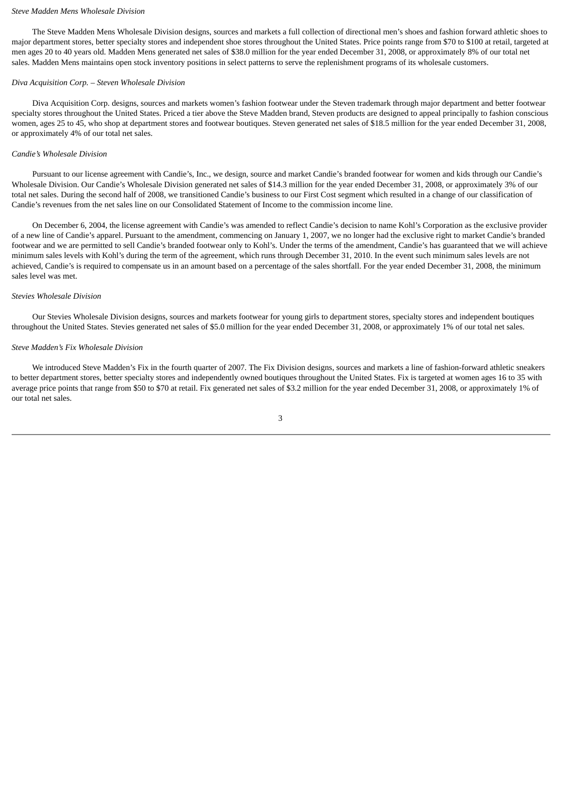#### *Steve Madden Mens Wholesale Division*

 The Steve Madden Mens Wholesale Division designs, sources and markets a full collection of directional men's shoes and fashion forward athletic shoes to major department stores, better specialty stores and independent shoe stores throughout the United States. Price points range from \$70 to \$100 at retail, targeted at men ages 20 to 40 years old. Madden Mens generated net sales of \$38.0 million for the year ended December 31, 2008, or approximately 8% of our total net sales. Madden Mens maintains open stock inventory positions in select patterns to serve the replenishment programs of its wholesale customers.

#### *Diva Acquisition Corp. – Steven Wholesale Division*

 Diva Acquisition Corp. designs, sources and markets women's fashion footwear under the Steven trademark through major department and better footwear specialty stores throughout the United States. Priced a tier above the Steve Madden brand, Steven products are designed to appeal principally to fashion conscious women, ages 25 to 45, who shop at department stores and footwear boutiques. Steven generated net sales of \$18.5 million for the year ended December 31, 2008, or approximately 4% of our total net sales.

# *Candie's Wholesale Division*

 Pursuant to our license agreement with Candie's, Inc., we design, source and market Candie's branded footwear for women and kids through our Candie's Wholesale Division. Our Candie's Wholesale Division generated net sales of \$14.3 million for the year ended December 31, 2008, or approximately 3% of our total net sales. During the second half of 2008, we transitioned Candie's business to our First Cost segment which resulted in a change of our classification of Candie's revenues from the net sales line on our Consolidated Statement of Income to the commission income line.

 On December 6, 2004, the license agreement with Candie's was amended to reflect Candie's decision to name Kohl's Corporation as the exclusive provider of a new line of Candie's apparel. Pursuant to the amendment, commencing on January 1, 2007, we no longer had the exclusive right to market Candie's branded footwear and we are permitted to sell Candie's branded footwear only to Kohl's. Under the terms of the amendment, Candie's has guaranteed that we will achieve minimum sales levels with Kohl's during the term of the agreement, which runs through December 31, 2010. In the event such minimum sales levels are not achieved, Candie's is required to compensate us in an amount based on a percentage of the sales shortfall. For the year ended December 31, 2008, the minimum sales level was met.

#### *Stevies Wholesale Division*

 Our Stevies Wholesale Division designs, sources and markets footwear for young girls to department stores, specialty stores and independent boutiques throughout the United States. Stevies generated net sales of \$5.0 million for the year ended December 31, 2008, or approximately 1% of our total net sales.

#### *Steve Madden's Fix Wholesale Division*

 We introduced Steve Madden's Fix in the fourth quarter of 2007. The Fix Division designs, sources and markets a line of fashion-forward athletic sneakers to better department stores, better specialty stores and independently owned boutiques throughout the United States. Fix is targeted at women ages 16 to 35 with average price points that range from \$50 to \$70 at retail. Fix generated net sales of \$3.2 million for the year ended December 31, 2008, or approximately 1% of our total net sales.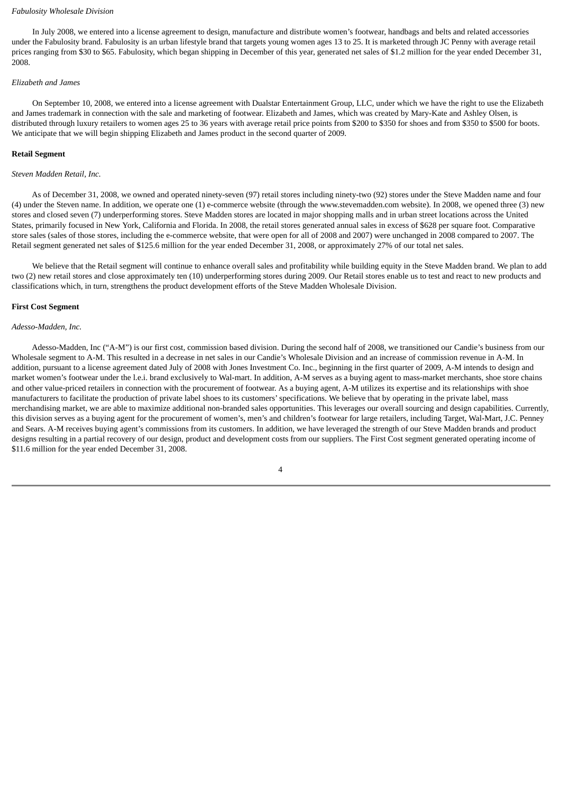#### *Fabulosity Wholesale Division*

 In July 2008, we entered into a license agreement to design, manufacture and distribute women's footwear, handbags and belts and related accessories under the Fabulosity brand. Fabulosity is an urban lifestyle brand that targets young women ages 13 to 25. It is marketed through JC Penny with average retail prices ranging from \$30 to \$65. Fabulosity, which began shipping in December of this year, generated net sales of \$1.2 million for the year ended December 31, 2008.

#### *Elizabeth and James*

 On September 10, 2008, we entered into a license agreement with Dualstar Entertainment Group, LLC, under which we have the right to use the Elizabeth and James trademark in connection with the sale and marketing of footwear. Elizabeth and James, which was created by Mary-Kate and Ashley Olsen, is distributed through luxury retailers to women ages 25 to 36 years with average retail price points from \$200 to \$350 for shoes and from \$350 to \$500 for boots. We anticipate that we will begin shipping Elizabeth and James product in the second quarter of 2009.

#### **Retail Segment**

#### *Steven Madden Retail, Inc.*

 As of December 31, 2008, we owned and operated ninety-seven (97) retail stores including ninety-two (92) stores under the Steve Madden name and four (4) under the Steven name. In addition, we operate one (1) e-commerce website (through the www.stevemadden.com website). In 2008, we opened three (3) new stores and closed seven (7) underperforming stores. Steve Madden stores are located in major shopping malls and in urban street locations across the United States, primarily focused in New York, California and Florida. In 2008, the retail stores generated annual sales in excess of \$628 per square foot. Comparative store sales (sales of those stores, including the e-commerce website, that were open for all of 2008 and 2007) were unchanged in 2008 compared to 2007. The Retail segment generated net sales of \$125.6 million for the year ended December 31, 2008, or approximately 27% of our total net sales.

 We believe that the Retail segment will continue to enhance overall sales and profitability while building equity in the Steve Madden brand. We plan to add two (2) new retail stores and close approximately ten (10) underperforming stores during 2009. Our Retail stores enable us to test and react to new products and classifications which, in turn, strengthens the product development efforts of the Steve Madden Wholesale Division.

#### **First Cost Segment**

#### *Adesso-Madden, Inc.*

 Adesso-Madden, Inc ("A-M") is our first cost, commission based division. During the second half of 2008, we transitioned our Candie's business from our Wholesale segment to A-M. This resulted in a decrease in net sales in our Candie's Wholesale Division and an increase of commission revenue in A-M. In addition, pursuant to a license agreement dated July of 2008 with Jones Investment Co. Inc., beginning in the first quarter of 2009, A-M intends to design and market women's footwear under the l.e.i. brand exclusively to Wal-mart. In addition, A-M serves as a buying agent to mass-market merchants, shoe store chains and other value-priced retailers in connection with the procurement of footwear. As a buying agent, A-M utilizes its expertise and its relationships with shoe manufacturers to facilitate the production of private label shoes to its customers' specifications. We believe that by operating in the private label, mass merchandising market, we are able to maximize additional non-branded sales opportunities. This leverages our overall sourcing and design capabilities. Currently, this division serves as a buying agent for the procurement of women's, men's and children's footwear for large retailers, including Target, Wal-Mart, J.C. Penney and Sears. A-M receives buying agent's commissions from its customers. In addition, we have leveraged the strength of our Steve Madden brands and product designs resulting in a partial recovery of our design, product and development costs from our suppliers. The First Cost segment generated operating income of \$11.6 million for the year ended December 31, 2008.

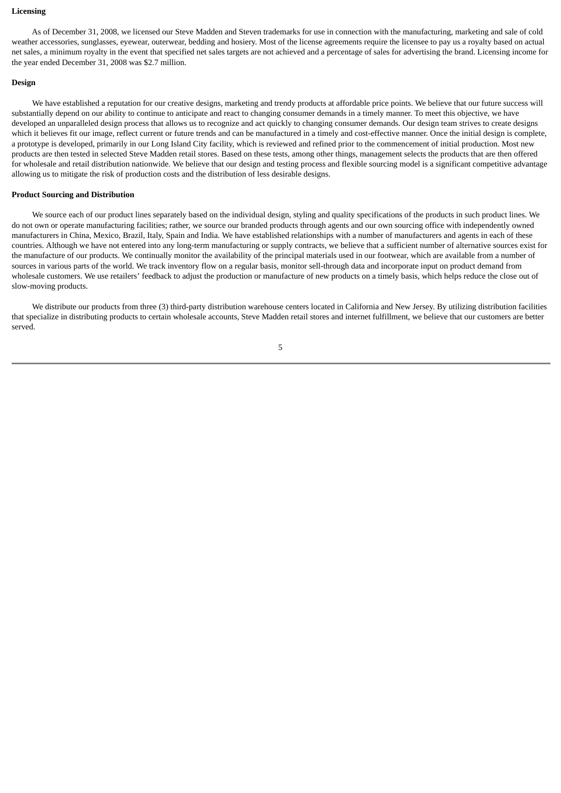#### **Licensing**

 As of December 31, 2008, we licensed our Steve Madden and Steven trademarks for use in connection with the manufacturing, marketing and sale of cold weather accessories, sunglasses, eyewear, outerwear, bedding and hosiery. Most of the license agreements require the licensee to pay us a royalty based on actual net sales, a minimum royalty in the event that specified net sales targets are not achieved and a percentage of sales for advertising the brand. Licensing income for the year ended December 31, 2008 was \$2.7 million.

#### **Design**

 We have established a reputation for our creative designs, marketing and trendy products at affordable price points. We believe that our future success will substantially depend on our ability to continue to anticipate and react to changing consumer demands in a timely manner. To meet this objective, we have developed an unparalleled design process that allows us to recognize and act quickly to changing consumer demands. Our design team strives to create designs which it believes fit our image, reflect current or future trends and can be manufactured in a timely and cost-effective manner. Once the initial design is complete, a prototype is developed, primarily in our Long Island City facility, which is reviewed and refined prior to the commencement of initial production. Most new products are then tested in selected Steve Madden retail stores. Based on these tests, among other things, management selects the products that are then offered for wholesale and retail distribution nationwide. We believe that our design and testing process and flexible sourcing model is a significant competitive advantage allowing us to mitigate the risk of production costs and the distribution of less desirable designs.

#### **Product Sourcing and Distribution**

 We source each of our product lines separately based on the individual design, styling and quality specifications of the products in such product lines. We do not own or operate manufacturing facilities; rather, we source our branded products through agents and our own sourcing office with independently owned manufacturers in China, Mexico, Brazil, Italy, Spain and India. We have established relationships with a number of manufacturers and agents in each of these countries. Although we have not entered into any long-term manufacturing or supply contracts, we believe that a sufficient number of alternative sources exist for the manufacture of our products. We continually monitor the availability of the principal materials used in our footwear, which are available from a number of sources in various parts of the world. We track inventory flow on a regular basis, monitor sell-through data and incorporate input on product demand from wholesale customers. We use retailers' feedback to adjust the production or manufacture of new products on a timely basis, which helps reduce the close out of slow-moving products.

 We distribute our products from three (3) third-party distribution warehouse centers located in California and New Jersey. By utilizing distribution facilities that specialize in distributing products to certain wholesale accounts, Steve Madden retail stores and internet fulfillment, we believe that our customers are better served.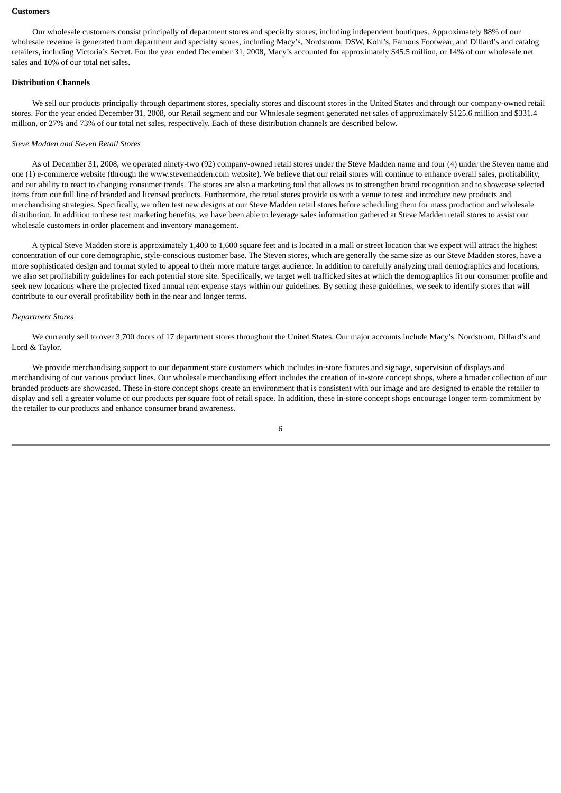#### **Customers**

 Our wholesale customers consist principally of department stores and specialty stores, including independent boutiques. Approximately 88% of our wholesale revenue is generated from department and specialty stores, including Macy's, Nordstrom, DSW, Kohl's, Famous Footwear, and Dillard's and catalog retailers, including Victoria's Secret. For the year ended December 31, 2008, Macy's accounted for approximately \$45.5 million, or 14% of our wholesale net sales and 10% of our total net sales.

#### **Distribution Channels**

 We sell our products principally through department stores, specialty stores and discount stores in the United States and through our company-owned retail stores. For the year ended December 31, 2008, our Retail segment and our Wholesale segment generated net sales of approximately \$125.6 million and \$331.4 million, or 27% and 73% of our total net sales, respectively. Each of these distribution channels are described below.

#### *Steve Madden and Steven Retail Stores*

 As of December 31, 2008, we operated ninety-two (92) company-owned retail stores under the Steve Madden name and four (4) under the Steven name and one (1) e-commerce website (through the www.stevemadden.com website). We believe that our retail stores will continue to enhance overall sales, profitability, and our ability to react to changing consumer trends. The stores are also a marketing tool that allows us to strengthen brand recognition and to showcase selected items from our full line of branded and licensed products. Furthermore, the retail stores provide us with a venue to test and introduce new products and merchandising strategies. Specifically, we often test new designs at our Steve Madden retail stores before scheduling them for mass production and wholesale distribution. In addition to these test marketing benefits, we have been able to leverage sales information gathered at Steve Madden retail stores to assist our wholesale customers in order placement and inventory management.

 A typical Steve Madden store is approximately 1,400 to 1,600 square feet and is located in a mall or street location that we expect will attract the highest concentration of our core demographic, style-conscious customer base. The Steven stores, which are generally the same size as our Steve Madden stores, have a more sophisticated design and format styled to appeal to their more mature target audience. In addition to carefully analyzing mall demographics and locations, we also set profitability guidelines for each potential store site. Specifically, we target well trafficked sites at which the demographics fit our consumer profile and seek new locations where the projected fixed annual rent expense stays within our guidelines. By setting these guidelines, we seek to identify stores that will contribute to our overall profitability both in the near and longer terms.

#### *Department Stores*

 We currently sell to over 3,700 doors of 17 department stores throughout the United States. Our major accounts include Macy's, Nordstrom, Dillard's and Lord & Taylor.

 We provide merchandising support to our department store customers which includes in-store fixtures and signage, supervision of displays and merchandising of our various product lines. Our wholesale merchandising effort includes the creation of in-store concept shops, where a broader collection of our branded products are showcased. These in-store concept shops create an environment that is consistent with our image and are designed to enable the retailer to display and sell a greater volume of our products per square foot of retail space. In addition, these in-store concept shops encourage longer term commitment by the retailer to our products and enhance consumer brand awareness.

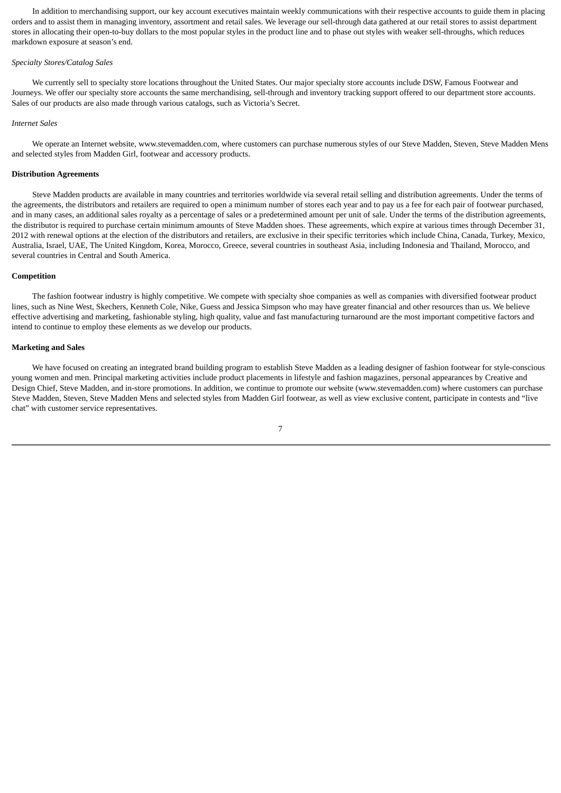In addition to merchandising support, our key account executives maintain weekly communications with their respective accounts to guide them in placing orders and to assist them in managing inventory, assortment and retail sales. We leverage our sell-through data gathered at our retail stores to assist department stores in allocating their open-to-buy dollars to the most popular styles in the product line and to phase out styles with weaker sell-throughs, which reduces markdown exposure at season's end.

#### *Specialty Stores/Catalog Sales*

 We currently sell to specialty store locations throughout the United States. Our major specialty store accounts include DSW, Famous Footwear and Journeys. We offer our specialty store accounts the same merchandising, sell-through and inventory tracking support offered to our department store accounts. Sales of our products are also made through various catalogs, such as Victoria's Secret.

#### *Internet Sales*

 We operate an Internet website, www.stevemadden.com, where customers can purchase numerous styles of our Steve Madden, Steven, Steve Madden Mens and selected styles from Madden Girl, footwear and accessory products.

#### **Distribution Agreements**

 Steve Madden products are available in many countries and territories worldwide via several retail selling and distribution agreements. Under the terms of the agreements, the distributors and retailers are required to open a minimum number of stores each year and to pay us a fee for each pair of footwear purchased, and in many cases, an additional sales royalty as a percentage of sales or a predetermined amount per unit of sale. Under the terms of the distribution agreements, the distributor is required to purchase certain minimum amounts of Steve Madden shoes. These agreements, which expire at various times through December 31, 2012 with renewal options at the election of the distributors and retailers, are exclusive in their specific territories which include China, Canada, Turkey, Mexico, Australia, Israel, UAE, The United Kingdom, Korea, Morocco, Greece, several countries in southeast Asia, including Indonesia and Thailand, Morocco, and several countries in Central and South America.

#### **Competition**

 The fashion footwear industry is highly competitive. We compete with specialty shoe companies as well as companies with diversified footwear product lines, such as Nine West, Skechers, Kenneth Cole, Nike, Guess and Jessica Simpson who may have greater financial and other resources than us. We believe effective advertising and marketing, fashionable styling, high quality, value and fast manufacturing turnaround are the most important competitive factors and intend to continue to employ these elements as we develop our products.

#### **Marketing and Sales**

 We have focused on creating an integrated brand building program to establish Steve Madden as a leading designer of fashion footwear for style-conscious young women and men. Principal marketing activities include product placements in lifestyle and fashion magazines, personal appearances by Creative and Design Chief, Steve Madden, and in-store promotions. In addition, we continue to promote our website (www.stevemadden.com) where customers can purchase Steve Madden, Steven, Steve Madden Mens and selected styles from Madden Girl footwear, as well as view exclusive content, participate in contests and "live chat" with customer service representatives.

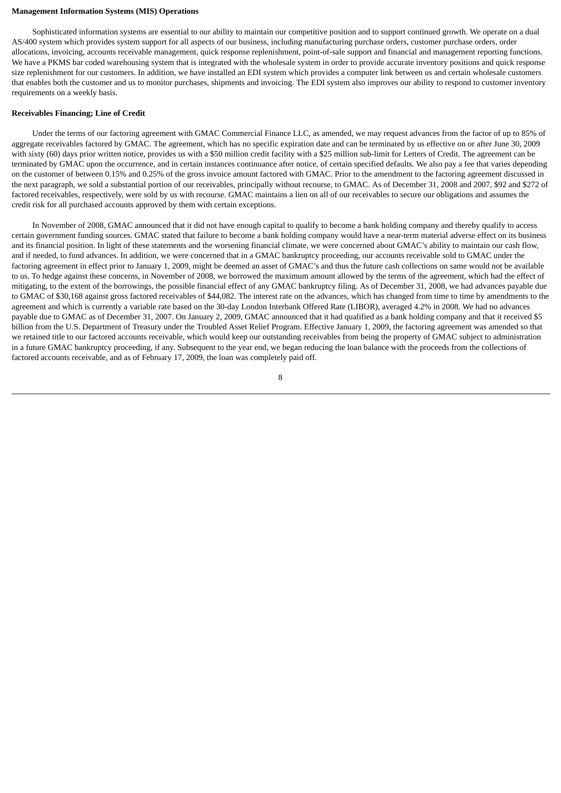#### **Management Information Systems (MIS) Operations**

 Sophisticated information systems are essential to our ability to maintain our competitive position and to support continued growth. We operate on a dual AS/400 system which provides system support for all aspects of our business, including manufacturing purchase orders, customer purchase orders, order allocations, invoicing, accounts receivable management, quick response replenishment, point-of-sale support and financial and management reporting functions. We have a PKMS bar coded warehousing system that is integrated with the wholesale system in order to provide accurate inventory positions and quick response size replenishment for our customers. In addition, we have installed an EDI system which provides a computer link between us and certain wholesale customers that enables both the customer and us to monitor purchases, shipments and invoicing. The EDI system also improves our ability to respond to customer inventory requirements on a weekly basis.

#### **Receivables Financing; Line of Credit**

 Under the terms of our factoring agreement with GMAC Commercial Finance LLC, as amended, we may request advances from the factor of up to 85% of aggregate receivables factored by GMAC. The agreement, which has no specific expiration date and can be terminated by us effective on or after June 30, 2009 with sixty (60) days prior written notice, provides us with a \$50 million credit facility with a \$25 million sub-limit for Letters of Credit. The agreement can be terminated by GMAC upon the occurrence, and in certain instances continuance after notice, of certain specified defaults. We also pay a fee that varies depending on the customer of between 0.15% and 0.25% of the gross invoice amount factored with GMAC. Prior to the amendment to the factoring agreement discussed in the next paragraph, we sold a substantial portion of our receivables, principally without recourse, to GMAC. As of December 31, 2008 and 2007, \$92 and \$272 of factored receivables, respectively, were sold by us with recourse. GMAC maintains a lien on all of our receivables to secure our obligations and assumes the credit risk for all purchased accounts approved by them with certain exceptions.

 In November of 2008, GMAC announced that it did not have enough capital to qualify to become a bank holding company and thereby qualify to access certain government funding sources. GMAC stated that failure to become a bank holding company would have a near-term material adverse effect on its business and its financial position. In light of these statements and the worsening financial climate, we were concerned about GMAC's ability to maintain our cash flow, and if needed, to fund advances. In addition, we were concerned that in a GMAC bankruptcy proceeding, our accounts receivable sold to GMAC under the factoring agreement in effect prior to January 1, 2009, might be deemed an asset of GMAC's and thus the future cash collections on same would not be available to us. To hedge against these concerns, in November of 2008, we borrowed the maximum amount allowed by the terms of the agreement, which had the effect of mitigating, to the extent of the borrowings, the possible financial effect of any GMAC bankruptcy filing. As of December 31, 2008, we had advances payable due to GMAC of \$30,168 against gross factored receivables of \$44,082. The interest rate on the advances, which has changed from time to time by amendments to the agreement and which is currently a variable rate based on the 30-day London Interbank Offered Rate (LIBOR), averaged 4.2% in 2008. We had no advances payable due to GMAC as of December 31, 2007. On January 2, 2009, GMAC announced that it had qualified as a bank holding company and that it received \$5 billion from the U.S. Department of Treasury under the Troubled Asset Relief Program. Effective January 1, 2009, the factoring agreement was amended so that we retained title to our factored accounts receivable, which would keep our outstanding receivables from being the property of GMAC subject to administration in a future GMAC bankruptcy proceeding, if any. Subsequent to the year end, we began reducing the loan balance with the proceeds from the collections of factored accounts receivable, and as of February 17, 2009, the loan was completely paid off.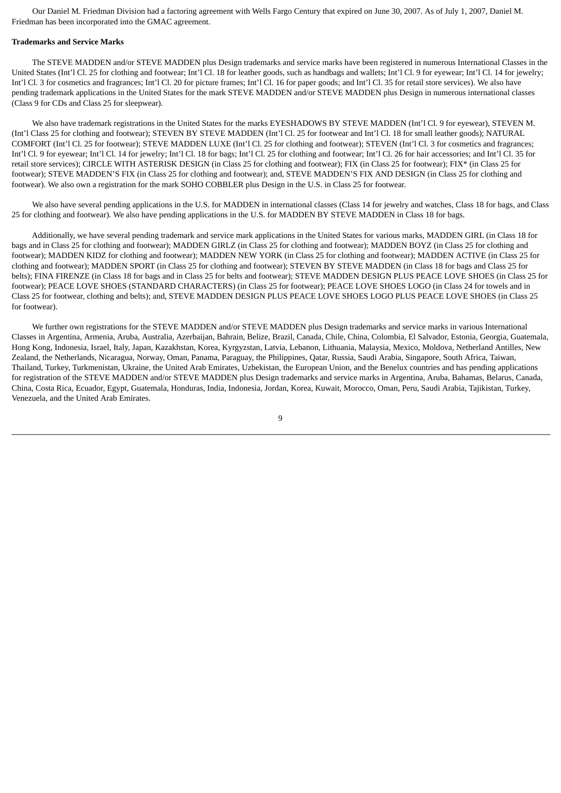Our Daniel M. Friedman Division had a factoring agreement with Wells Fargo Century that expired on June 30, 2007. As of July 1, 2007, Daniel M. Friedman has been incorporated into the GMAC agreement.

#### **Trademarks and Service Marks**

 The STEVE MADDEN and/or STEVE MADDEN plus Design trademarks and service marks have been registered in numerous International Classes in the United States (Int'l Cl. 25 for clothing and footwear; Int'l Cl. 18 for leather goods, such as handbags and wallets; Int'l Cl. 9 for eyewear; Int'l Cl. 14 for jewelry; Int'l Cl. 3 for cosmetics and fragrances; Int'l Cl. 20 for picture frames; Int'l Cl. 16 for paper goods; and Int'l Cl. 35 for retail store services). We also have pending trademark applications in the United States for the mark STEVE MADDEN and/or STEVE MADDEN plus Design in numerous international classes (Class 9 for CDs and Class 25 for sleepwear).

 We also have trademark registrations in the United States for the marks EYESHADOWS BY STEVE MADDEN (Int'l Cl. 9 for eyewear), STEVEN M. (Int'l Class 25 for clothing and footwear); STEVEN BY STEVE MADDEN (Int'l Cl. 25 for footwear and Int'l Cl. 18 for small leather goods); NATURAL COMFORT (Int'l Cl. 25 for footwear); STEVE MADDEN LUXE (Int'l Cl. 25 for clothing and footwear); STEVEN (Int'l Cl. 3 for cosmetics and fragrances; Int'l Cl. 9 for eyewear; Int'l Cl. 14 for jewelry; Int'l Cl. 18 for bags; Int'l Cl. 25 for clothing and footwear; Int'l Cl. 26 for hair accessories; and Int'l Cl. 35 for retail store services); CIRCLE WITH ASTERISK DESIGN (in Class 25 for clothing and footwear); FIX (in Class 25 for footwear); FIX\* (in Class 25 for footwear); STEVE MADDEN'S FIX (in Class 25 for clothing and footwear); and, STEVE MADDEN'S FIX AND DESIGN (in Class 25 for clothing and footwear). We also own a registration for the mark SOHO COBBLER plus Design in the U.S. in Class 25 for footwear.

 We also have several pending applications in the U.S. for MADDEN in international classes (Class 14 for jewelry and watches, Class 18 for bags, and Class 25 for clothing and footwear). We also have pending applications in the U.S. for MADDEN BY STEVE MADDEN in Class 18 for bags.

 Additionally, we have several pending trademark and service mark applications in the United States for various marks, MADDEN GIRL (in Class 18 for bags and in Class 25 for clothing and footwear); MADDEN GIRLZ (in Class 25 for clothing and footwear); MADDEN BOYZ (in Class 25 for clothing and footwear); MADDEN KIDZ for clothing and footwear); MADDEN NEW YORK (in Class 25 for clothing and footwear); MADDEN ACTIVE (in Class 25 for clothing and footwear); MADDEN SPORT (in Class 25 for clothing and footwear); STEVEN BY STEVE MADDEN (in Class 18 for bags and Class 25 for belts); FINA FIRENZE (in Class 18 for bags and in Class 25 for belts and footwear); STEVE MADDEN DESIGN PLUS PEACE LOVE SHOES (in Class 25 for footwear); PEACE LOVE SHOES (STANDARD CHARACTERS) (in Class 25 for footwear); PEACE LOVE SHOES LOGO (in Class 24 for towels and in Class 25 for footwear, clothing and belts); and, STEVE MADDEN DESIGN PLUS PEACE LOVE SHOES LOGO PLUS PEACE LOVE SHOES (in Class 25 for footwear).

 We further own registrations for the STEVE MADDEN and/or STEVE MADDEN plus Design trademarks and service marks in various International Classes in Argentina, Armenia, Aruba, Australia, Azerbaijan, Bahrain, Belize, Brazil, Canada, Chile, China, Colombia, El Salvador, Estonia, Georgia, Guatemala, Hong Kong, Indonesia, Israel, Italy, Japan, Kazakhstan, Korea, Kyrgyzstan, Latvia, Lebanon, Lithuania, Malaysia, Mexico, Moldova, Netherland Antilles, New Zealand, the Netherlands, Nicaragua, Norway, Oman, Panama, Paraguay, the Philippines, Qatar, Russia, Saudi Arabia, Singapore, South Africa, Taiwan, Thailand, Turkey, Turkmenistan, Ukraine, the United Arab Emirates, Uzbekistan, the European Union, and the Benelux countries and has pending applications for registration of the STEVE MADDEN and/or STEVE MADDEN plus Design trademarks and service marks in Argentina, Aruba, Bahamas, Belarus, Canada, China, Costa Rica, Ecuador, Egypt, Guatemala, Honduras, India, Indonesia, Jordan, Korea, Kuwait, Morocco, Oman, Peru, Saudi Arabia, Tajikistan, Turkey, Venezuela, and the United Arab Emirates.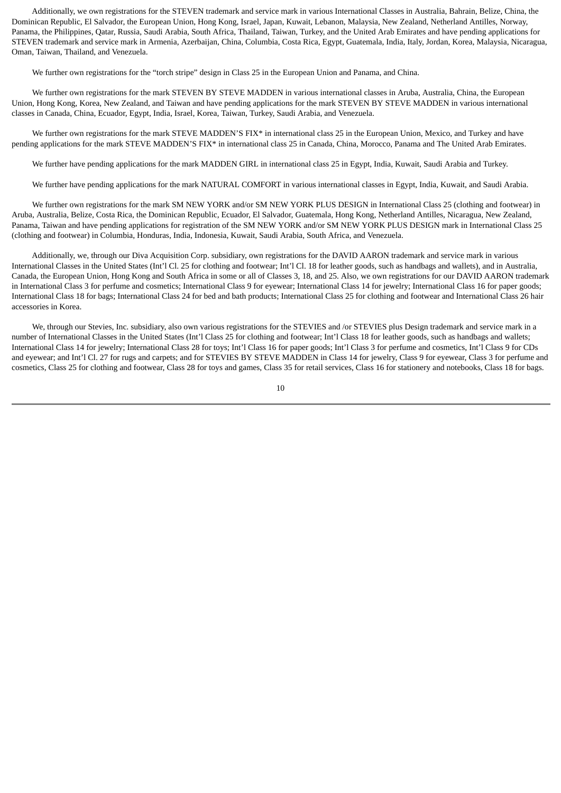Additionally, we own registrations for the STEVEN trademark and service mark in various International Classes in Australia, Bahrain, Belize, China, the Dominican Republic, El Salvador, the European Union, Hong Kong, Israel, Japan, Kuwait, Lebanon, Malaysia, New Zealand, Netherland Antilles, Norway, Panama, the Philippines, Qatar, Russia, Saudi Arabia, South Africa, Thailand, Taiwan, Turkey, and the United Arab Emirates and have pending applications for STEVEN trademark and service mark in Armenia, Azerbaijan, China, Columbia, Costa Rica, Egypt, Guatemala, India, Italy, Jordan, Korea, Malaysia, Nicaragua, Oman, Taiwan, Thailand, and Venezuela.

We further own registrations for the "torch stripe" design in Class 25 in the European Union and Panama, and China.

 We further own registrations for the mark STEVEN BY STEVE MADDEN in various international classes in Aruba, Australia, China, the European Union, Hong Kong, Korea, New Zealand, and Taiwan and have pending applications for the mark STEVEN BY STEVE MADDEN in various international classes in Canada, China, Ecuador, Egypt, India, Israel, Korea, Taiwan, Turkey, Saudi Arabia, and Venezuela.

 We further own registrations for the mark STEVE MADDEN'S FIX\* in international class 25 in the European Union, Mexico, and Turkey and have pending applications for the mark STEVE MADDEN'S FIX\* in international class 25 in Canada, China, Morocco, Panama and The United Arab Emirates.

We further have pending applications for the mark MADDEN GIRL in international class 25 in Egypt, India, Kuwait, Saudi Arabia and Turkey.

We further have pending applications for the mark NATURAL COMFORT in various international classes in Egypt, India, Kuwait, and Saudi Arabia.

 We further own registrations for the mark SM NEW YORK and/or SM NEW YORK PLUS DESIGN in International Class 25 (clothing and footwear) in Aruba, Australia, Belize, Costa Rica, the Dominican Republic, Ecuador, El Salvador, Guatemala, Hong Kong, Netherland Antilles, Nicaragua, New Zealand, Panama, Taiwan and have pending applications for registration of the SM NEW YORK and/or SM NEW YORK PLUS DESIGN mark in International Class 25 (clothing and footwear) in Columbia, Honduras, India, Indonesia, Kuwait, Saudi Arabia, South Africa, and Venezuela.

 Additionally, we, through our Diva Acquisition Corp. subsidiary, own registrations for the DAVID AARON trademark and service mark in various International Classes in the United States (Int'l Cl. 25 for clothing and footwear; Int'l Cl. 18 for leather goods, such as handbags and wallets), and in Australia, Canada, the European Union, Hong Kong and South Africa in some or all of Classes 3, 18, and 25. Also, we own registrations for our DAVID AARON trademark in International Class 3 for perfume and cosmetics; International Class 9 for eyewear; International Class 14 for jewelry; International Class 16 for paper goods; International Class 18 for bags; International Class 24 for bed and bath products; International Class 25 for clothing and footwear and International Class 26 hair accessories in Korea.

 We, through our Stevies, Inc. subsidiary, also own various registrations for the STEVIES and /or STEVIES plus Design trademark and service mark in a number of International Classes in the United States (Int'l Class 25 for clothing and footwear; Int'l Class 18 for leather goods, such as handbags and wallets; International Class 14 for jewelry; International Class 28 for toys; Int'l Class 16 for paper goods; Int'l Class 3 for perfume and cosmetics, Int'l Class 9 for CDs and eyewear; and Int'l Cl. 27 for rugs and carpets; and for STEVIES BY STEVE MADDEN in Class 14 for jewelry, Class 9 for eyewear, Class 3 for perfume and cosmetics, Class 25 for clothing and footwear, Class 28 for toys and games, Class 35 for retail services, Class 16 for stationery and notebooks, Class 18 for bags.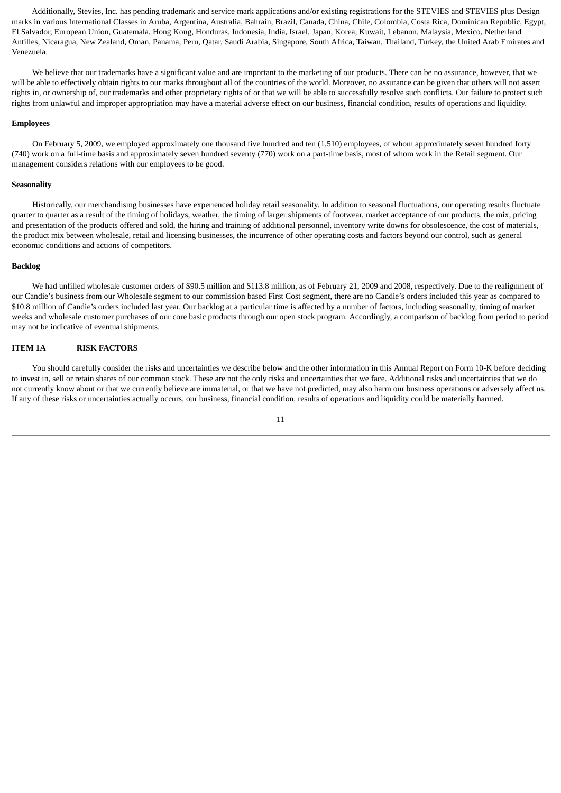Additionally, Stevies, Inc. has pending trademark and service mark applications and/or existing registrations for the STEVIES and STEVIES plus Design marks in various International Classes in Aruba, Argentina, Australia, Bahrain, Brazil, Canada, China, Chile, Colombia, Costa Rica, Dominican Republic, Egypt, El Salvador, European Union, Guatemala, Hong Kong, Honduras, Indonesia, India, Israel, Japan, Korea, Kuwait, Lebanon, Malaysia, Mexico, Netherland Antilles, Nicaragua, New Zealand, Oman, Panama, Peru, Qatar, Saudi Arabia, Singapore, South Africa, Taiwan, Thailand, Turkey, the United Arab Emirates and Venezuela.

 We believe that our trademarks have a significant value and are important to the marketing of our products. There can be no assurance, however, that we will be able to effectively obtain rights to our marks throughout all of the countries of the world. Moreover, no assurance can be given that others will not assert rights in, or ownership of, our trademarks and other proprietary rights of or that we will be able to successfully resolve such conflicts. Our failure to protect such rights from unlawful and improper appropriation may have a material adverse effect on our business, financial condition, results of operations and liquidity.

#### **Employees**

 On February 5, 2009, we employed approximately one thousand five hundred and ten (1,510) employees, of whom approximately seven hundred forty (740) work on a full-time basis and approximately seven hundred seventy (770) work on a part-time basis, most of whom work in the Retail segment. Our management considers relations with our employees to be good.

#### **Seasonality**

Historically, our merchandising businesses have experienced holiday retail seasonality. In addition to seasonal fluctuations, our operating results fluctuate quarter to quarter as a result of the timing of holidays, weather, the timing of larger shipments of footwear, market acceptance of our products, the mix, pricing and presentation of the products offered and sold, the hiring and training of additional personnel, inventory write downs for obsolescence, the cost of materials, the product mix between wholesale, retail and licensing businesses, the incurrence of other operating costs and factors beyond our control, such as general economic conditions and actions of competitors.

#### **Backlog**

 We had unfilled wholesale customer orders of \$90.5 million and \$113.8 million, as of February 21, 2009 and 2008, respectively. Due to the realignment of our Candie's business from our Wholesale segment to our commission based First Cost segment, there are no Candie's orders included this year as compared to \$10.8 million of Candie's orders included last year. Our backlog at a particular time is affected by a number of factors, including seasonality, timing of market weeks and wholesale customer purchases of our core basic products through our open stock program. Accordingly, a comparison of backlog from period to period may not be indicative of eventual shipments.

# <span id="page-12-0"></span>**ITEM 1A RISK FACTORS**

 You should carefully consider the risks and uncertainties we describe below and the other information in this Annual Report on Form 10-K before deciding to invest in, sell or retain shares of our common stock. These are not the only risks and uncertainties that we face. Additional risks and uncertainties that we do not currently know about or that we currently believe are immaterial, or that we have not predicted, may also harm our business operations or adversely affect us. If any of these risks or uncertainties actually occurs, our business, financial condition, results of operations and liquidity could be materially harmed.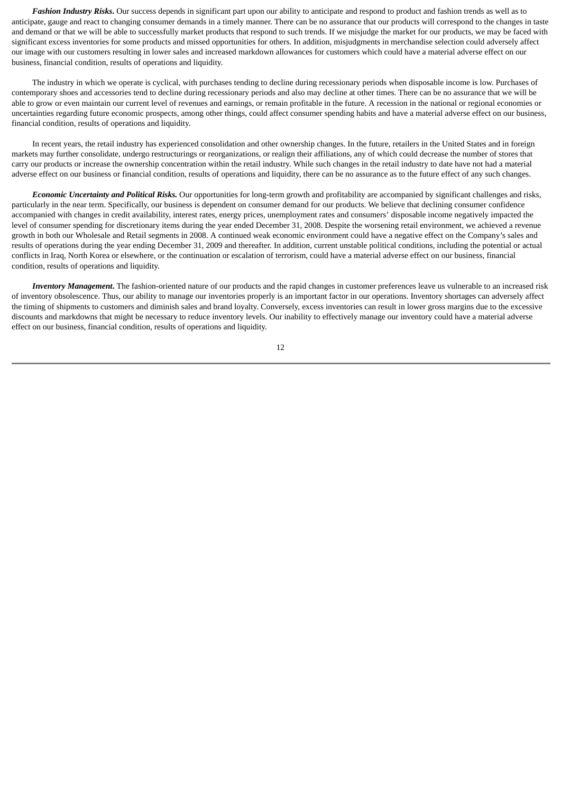*Fashion Industry Risks*. Our success depends in significant part upon our ability to anticipate and respond to product and fashion trends as well as to anticipate, gauge and react to changing consumer demands in a timely manner. There can be no assurance that our products will correspond to the changes in taste and demand or that we will be able to successfully market products that respond to such trends. If we misjudge the market for our products, we may be faced with significant excess inventories for some products and missed opportunities for others. In addition, misjudgments in merchandise selection could adversely affect our image with our customers resulting in lower sales and increased markdown allowances for customers which could have a material adverse effect on our business, financial condition, results of operations and liquidity.

 The industry in which we operate is cyclical, with purchases tending to decline during recessionary periods when disposable income is low. Purchases of contemporary shoes and accessories tend to decline during recessionary periods and also may decline at other times. There can be no assurance that we will be able to grow or even maintain our current level of revenues and earnings, or remain profitable in the future. A recession in the national or regional economies or uncertainties regarding future economic prospects, among other things, could affect consumer spending habits and have a material adverse effect on our business, financial condition, results of operations and liquidity.

 In recent years, the retail industry has experienced consolidation and other ownership changes. In the future, retailers in the United States and in foreign markets may further consolidate, undergo restructurings or reorganizations, or realign their affiliations, any of which could decrease the number of stores that carry our products or increase the ownership concentration within the retail industry. While such changes in the retail industry to date have not had a material adverse effect on our business or financial condition, results of operations and liquidity, there can be no assurance as to the future effect of any such changes.

 *Economic Uncertainty and Political Risks.* Our opportunities for long-term growth and profitability are accompanied by significant challenges and risks, particularly in the near term. Specifically, our business is dependent on consumer demand for our products. We believe that declining consumer confidence accompanied with changes in credit availability, interest rates, energy prices, unemployment rates and consumers' disposable income negatively impacted the level of consumer spending for discretionary items during the year ended December 31, 2008. Despite the worsening retail environment, we achieved a revenue growth in both our Wholesale and Retail segments in 2008. A continued weak economic environment could have a negative effect on the Company's sales and results of operations during the year ending December 31, 2009 and thereafter. In addition, current unstable political conditions, including the potential or actual conflicts in Iraq, North Korea or elsewhere, or the continuation or escalation of terrorism, could have a material adverse effect on our business, financial condition, results of operations and liquidity.

 *Inventory Management***.** The fashion-oriented nature of our products and the rapid changes in customer preferences leave us vulnerable to an increased risk of inventory obsolescence. Thus, our ability to manage our inventories properly is an important factor in our operations. Inventory shortages can adversely affect the timing of shipments to customers and diminish sales and brand loyalty. Conversely, excess inventories can result in lower gross margins due to the excessive discounts and markdowns that might be necessary to reduce inventory levels. Our inability to effectively manage our inventory could have a material adverse effect on our business, financial condition, results of operations and liquidity.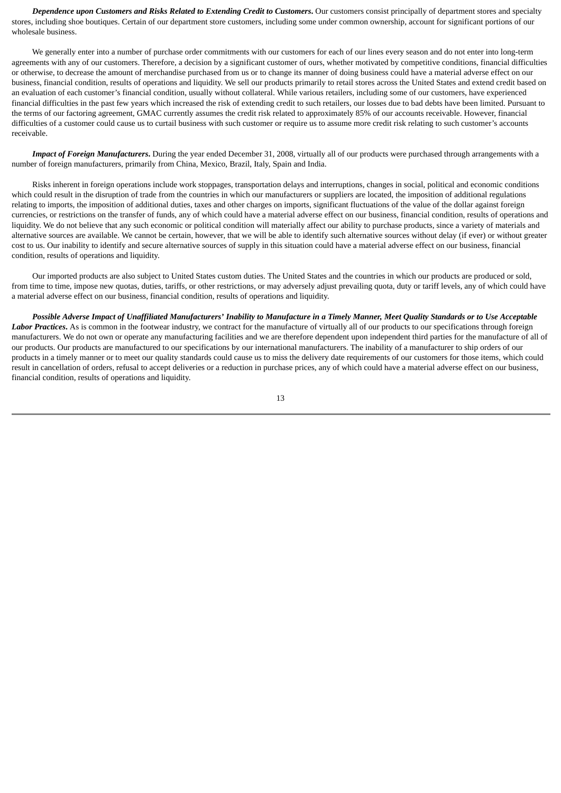*Dependence upon Customers and Risks Related to Extending Credit to Customers***.** Our customers consist principally of department stores and specialty stores, including shoe boutiques. Certain of our department store customers, including some under common ownership, account for significant portions of our wholesale business.

 We generally enter into a number of purchase order commitments with our customers for each of our lines every season and do not enter into long-term agreements with any of our customers. Therefore, a decision by a significant customer of ours, whether motivated by competitive conditions, financial difficulties or otherwise, to decrease the amount of merchandise purchased from us or to change its manner of doing business could have a material adverse effect on our business, financial condition, results of operations and liquidity. We sell our products primarily to retail stores across the United States and extend credit based on an evaluation of each customer's financial condition, usually without collateral. While various retailers, including some of our customers, have experienced financial difficulties in the past few years which increased the risk of extending credit to such retailers, our losses due to bad debts have been limited. Pursuant to the terms of our factoring agreement, GMAC currently assumes the credit risk related to approximately 85% of our accounts receivable. However, financial difficulties of a customer could cause us to curtail business with such customer or require us to assume more credit risk relating to such customer's accounts receivable.

 *Impact of Foreign Manufacturers***.** During the year ended December 31, 2008, virtually all of our products were purchased through arrangements with a number of foreign manufacturers, primarily from China, Mexico, Brazil, Italy, Spain and India.

 Risks inherent in foreign operations include work stoppages, transportation delays and interruptions, changes in social, political and economic conditions which could result in the disruption of trade from the countries in which our manufacturers or suppliers are located, the imposition of additional regulations relating to imports, the imposition of additional duties, taxes and other charges on imports, significant fluctuations of the value of the dollar against foreign currencies, or restrictions on the transfer of funds, any of which could have a material adverse effect on our business, financial condition, results of operations and liquidity. We do not believe that any such economic or political condition will materially affect our ability to purchase products, since a variety of materials and alternative sources are available. We cannot be certain, however, that we will be able to identify such alternative sources without delay (if ever) or without greater cost to us. Our inability to identify and secure alternative sources of supply in this situation could have a material adverse effect on our business, financial condition, results of operations and liquidity.

 Our imported products are also subject to United States custom duties. The United States and the countries in which our products are produced or sold, from time to time, impose new quotas, duties, tariffs, or other restrictions, or may adversely adjust prevailing quota, duty or tariff levels, any of which could have a material adverse effect on our business, financial condition, results of operations and liquidity.

 *Possible Adverse Impact of Unaffiliated Manufacturers' Inability to Manufacture in a Timely Manner, Meet Quality Standards or to Use Acceptable Labor Practices***.** As is common in the footwear industry, we contract for the manufacture of virtually all of our products to our specifications through foreign manufacturers. We do not own or operate any manufacturing facilities and we are therefore dependent upon independent third parties for the manufacture of all of our products. Our products are manufactured to our specifications by our international manufacturers. The inability of a manufacturer to ship orders of our products in a timely manner or to meet our quality standards could cause us to miss the delivery date requirements of our customers for those items, which could result in cancellation of orders, refusal to accept deliveries or a reduction in purchase prices, any of which could have a material adverse effect on our business, financial condition, results of operations and liquidity.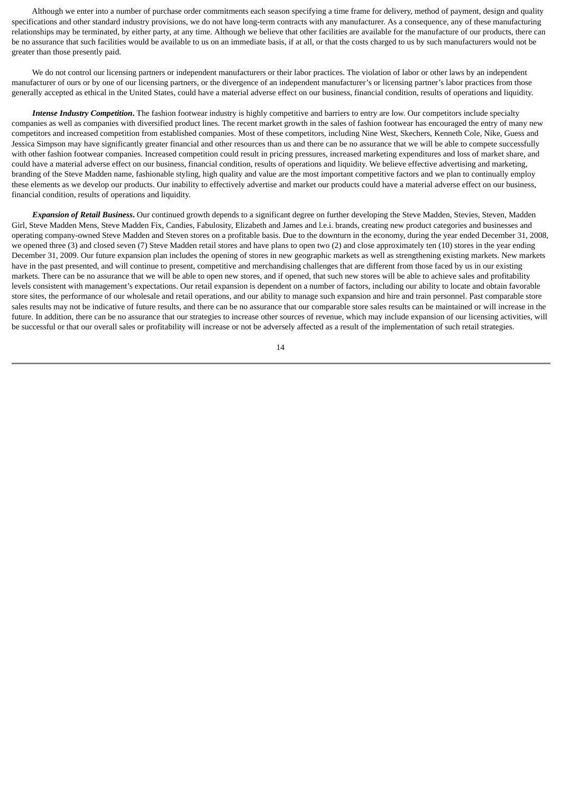Although we enter into a number of purchase order commitments each season specifying a time frame for delivery, method of payment, design and quality specifications and other standard industry provisions, we do not have long-term contracts with any manufacturer. As a consequence, any of these manufacturing relationships may be terminated, by either party, at any time. Although we believe that other facilities are available for the manufacture of our products, there can be no assurance that such facilities would be available to us on an immediate basis, if at all, or that the costs charged to us by such manufacturers would not be greater than those presently paid.

 We do not control our licensing partners or independent manufacturers or their labor practices. The violation of labor or other laws by an independent manufacturer of ours or by one of our licensing partners, or the divergence of an independent manufacturer's or licensing partner's labor practices from those generally accepted as ethical in the United States, could have a material adverse effect on our business, financial condition, results of operations and liquidity.

 *Intense Industry Competition***.** The fashion footwear industry is highly competitive and barriers to entry are low. Our competitors include specialty companies as well as companies with diversified product lines. The recent market growth in the sales of fashion footwear has encouraged the entry of many new competitors and increased competition from established companies. Most of these competitors, including Nine West, Skechers, Kenneth Cole, Nike, Guess and Jessica Simpson may have significantly greater financial and other resources than us and there can be no assurance that we will be able to compete successfully with other fashion footwear companies. Increased competition could result in pricing pressures, increased marketing expenditures and loss of market share, and could have a material adverse effect on our business, financial condition, results of operations and liquidity. We believe effective advertising and marketing, branding of the Steve Madden name, fashionable styling, high quality and value are the most important competitive factors and we plan to continually employ these elements as we develop our products. Our inability to effectively advertise and market our products could have a material adverse effect on our business, financial condition, results of operations and liquidity.

 *Expansion of Retail Business***.** Our continued growth depends to a significant degree on further developing the Steve Madden, Stevies, Steven, Madden Girl, Steve Madden Mens, Steve Madden Fix, Candies, Fabulosity, Elizabeth and James and l.e.i. brands, creating new product categories and businesses and operating company-owned Steve Madden and Steven stores on a profitable basis. Due to the downturn in the economy, during the year ended December 31, 2008, we opened three (3) and closed seven (7) Steve Madden retail stores and have plans to open two (2) and close approximately ten (10) stores in the year ending December 31, 2009. Our future expansion plan includes the opening of stores in new geographic markets as well as strengthening existing markets. New markets have in the past presented, and will continue to present, competitive and merchandising challenges that are different from those faced by us in our existing markets. There can be no assurance that we will be able to open new stores, and if opened, that such new stores will be able to achieve sales and profitability levels consistent with management's expectations. Our retail expansion is dependent on a number of factors, including our ability to locate and obtain favorable store sites, the performance of our wholesale and retail operations, and our ability to manage such expansion and hire and train personnel. Past comparable store sales results may not be indicative of future results, and there can be no assurance that our comparable store sales results can be maintained or will increase in the future. In addition, there can be no assurance that our strategies to increase other sources of revenue, which may include expansion of our licensing activities, will be successful or that our overall sales or profitability will increase or not be adversely affected as a result of the implementation of such retail strategies.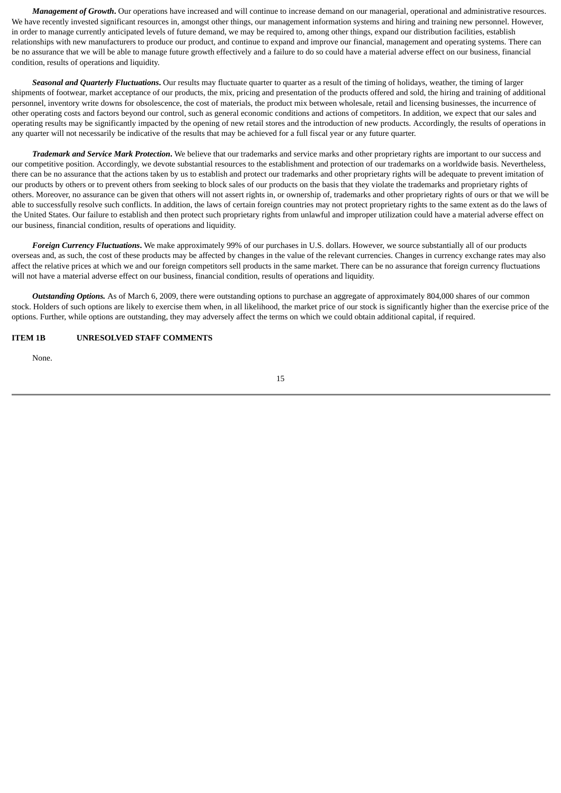*Management of Growth*. Our operations have increased and will continue to increase demand on our managerial, operational and administrative resources. We have recently invested significant resources in, amongst other things, our management information systems and hiring and training new personnel. However, in order to manage currently anticipated levels of future demand, we may be required to, among other things, expand our distribution facilities, establish relationships with new manufacturers to produce our product, and continue to expand and improve our financial, management and operating systems. There can be no assurance that we will be able to manage future growth effectively and a failure to do so could have a material adverse effect on our business, financial condition, results of operations and liquidity.

 *Seasonal and Quarterly Fluctuations***.** Our results may fluctuate quarter to quarter as a result of the timing of holidays, weather, the timing of larger shipments of footwear, market acceptance of our products, the mix, pricing and presentation of the products offered and sold, the hiring and training of additional personnel, inventory write downs for obsolescence, the cost of materials, the product mix between wholesale, retail and licensing businesses, the incurrence of other operating costs and factors beyond our control, such as general economic conditions and actions of competitors. In addition, we expect that our sales and operating results may be significantly impacted by the opening of new retail stores and the introduction of new products. Accordingly, the results of operations in any quarter will not necessarily be indicative of the results that may be achieved for a full fiscal year or any future quarter.

 *Trademark and Service Mark Protection***.** We believe that our trademarks and service marks and other proprietary rights are important to our success and our competitive position. Accordingly, we devote substantial resources to the establishment and protection of our trademarks on a worldwide basis. Nevertheless, there can be no assurance that the actions taken by us to establish and protect our trademarks and other proprietary rights will be adequate to prevent imitation of our products by others or to prevent others from seeking to block sales of our products on the basis that they violate the trademarks and proprietary rights of others. Moreover, no assurance can be given that others will not assert rights in, or ownership of, trademarks and other proprietary rights of ours or that we will be able to successfully resolve such conflicts. In addition, the laws of certain foreign countries may not protect proprietary rights to the same extent as do the laws of the United States. Our failure to establish and then protect such proprietary rights from unlawful and improper utilization could have a material adverse effect on our business, financial condition, results of operations and liquidity.

 *Foreign Currency Fluctuations***.** We make approximately 99% of our purchases in U.S. dollars. However, we source substantially all of our products overseas and, as such, the cost of these products may be affected by changes in the value of the relevant currencies. Changes in currency exchange rates may also affect the relative prices at which we and our foreign competitors sell products in the same market. There can be no assurance that foreign currency fluctuations will not have a material adverse effect on our business, financial condition, results of operations and liquidity.

 *Outstanding Options.* As of March 6, 2009, there were outstanding options to purchase an aggregate of approximately 804,000 shares of our common stock. Holders of such options are likely to exercise them when, in all likelihood, the market price of our stock is significantly higher than the exercise price of the options. Further, while options are outstanding, they may adversely affect the terms on which we could obtain additional capital, if required.

# **ITEM 1B UNRESOLVED STAFF COMMENTS**

<span id="page-16-0"></span>None.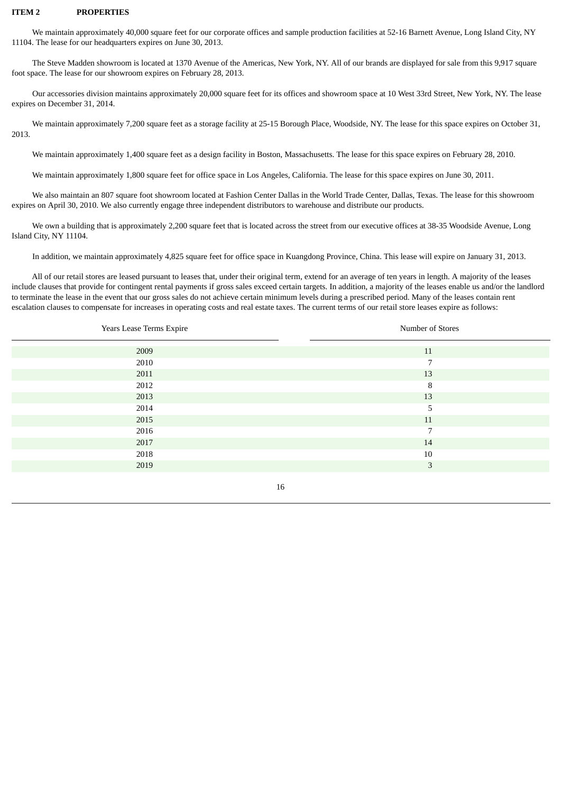#### <span id="page-17-0"></span>**ITEM 2 PROPERTIES**

 We maintain approximately 40,000 square feet for our corporate offices and sample production facilities at 52-16 Barnett Avenue, Long Island City, NY 11104. The lease for our headquarters expires on June 30, 2013.

 The Steve Madden showroom is located at 1370 Avenue of the Americas, New York, NY. All of our brands are displayed for sale from this 9,917 square foot space. The lease for our showroom expires on February 28, 2013.

 Our accessories division maintains approximately 20,000 square feet for its offices and showroom space at 10 West 33rd Street, New York, NY. The lease expires on December 31, 2014.

 We maintain approximately 7,200 square feet as a storage facility at 25-15 Borough Place, Woodside, NY. The lease for this space expires on October 31, 2013.

We maintain approximately 1,400 square feet as a design facility in Boston, Massachusetts. The lease for this space expires on February 28, 2010.

We maintain approximately 1,800 square feet for office space in Los Angeles, California. The lease for this space expires on June 30, 2011.

 We also maintain an 807 square foot showroom located at Fashion Center Dallas in the World Trade Center, Dallas, Texas. The lease for this showroom expires on April 30, 2010. We also currently engage three independent distributors to warehouse and distribute our products.

 We own a building that is approximately 2,200 square feet that is located across the street from our executive offices at 38-35 Woodside Avenue, Long Island City, NY 11104.

In addition, we maintain approximately 4,825 square feet for office space in Kuangdong Province, China. This lease will expire on January 31, 2013.

 All of our retail stores are leased pursuant to leases that, under their original term, extend for an average of ten years in length. A majority of the leases include clauses that provide for contingent rental payments if gross sales exceed certain targets. In addition, a majority of the leases enable us and/or the landlord to terminate the lease in the event that our gross sales do not achieve certain minimum levels during a prescribed period. Many of the leases contain rent escalation clauses to compensate for increases in operating costs and real estate taxes. The current terms of our retail store leases expire as follows:

| Years Lease Terms Expire | Number of Stores |
|--------------------------|------------------|
| 2009                     | 11               |
| 2010                     | 7                |
| 2011                     | 13               |
| 2012                     | 8                |
| 2013                     | 13               |
| 2014                     | 5                |
| 2015                     | 11               |
| 2016                     | $\overline{7}$   |
| 2017                     | 14               |
| 2018                     | 10               |
| 2019                     | 3                |
|                          |                  |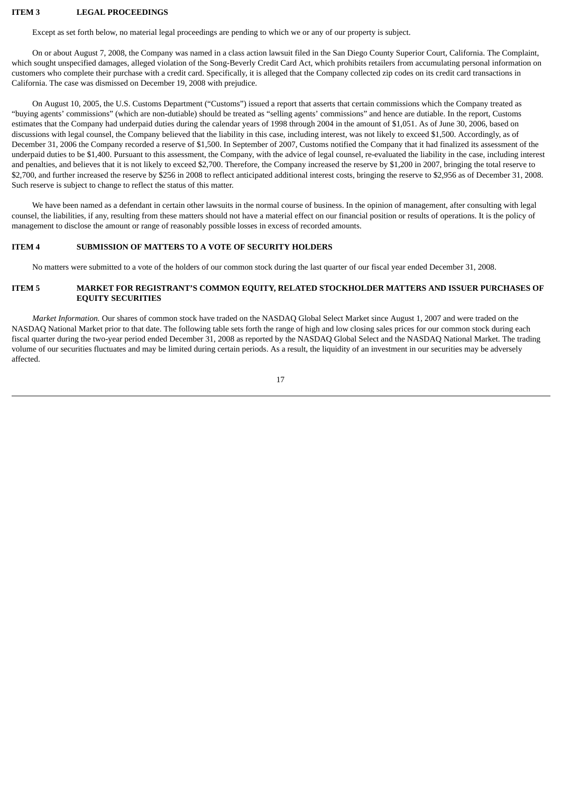#### **ITEM 3 LEGAL PROCEEDINGS**

<span id="page-18-0"></span>Except as set forth below, no material legal proceedings are pending to which we or any of our property is subject.

 On or about August 7, 2008, the Company was named in a class action lawsuit filed in the San Diego County Superior Court, California. The Complaint, which sought unspecified damages, alleged violation of the Song-Beverly Credit Card Act, which prohibits retailers from accumulating personal information on customers who complete their purchase with a credit card. Specifically, it is alleged that the Company collected zip codes on its credit card transactions in California. The case was dismissed on December 19, 2008 with prejudice.

 On August 10, 2005, the U.S. Customs Department ("Customs") issued a report that asserts that certain commissions which the Company treated as "buying agents' commissions" (which are non-dutiable) should be treated as "selling agents' commissions" and hence are dutiable. In the report, Customs estimates that the Company had underpaid duties during the calendar years of 1998 through 2004 in the amount of \$1,051. As of June 30, 2006, based on discussions with legal counsel, the Company believed that the liability in this case, including interest, was not likely to exceed \$1,500. Accordingly, as of December 31, 2006 the Company recorded a reserve of \$1,500. In September of 2007, Customs notified the Company that it had finalized its assessment of the underpaid duties to be \$1,400. Pursuant to this assessment, the Company, with the advice of legal counsel, re-evaluated the liability in the case, including interest and penalties, and believes that it is not likely to exceed \$2,700. Therefore, the Company increased the reserve by \$1,200 in 2007, bringing the total reserve to \$2,700, and further increased the reserve by \$256 in 2008 to reflect anticipated additional interest costs, bringing the reserve to \$2,956 as of December 31, 2008. Such reserve is subject to change to reflect the status of this matter.

 We have been named as a defendant in certain other lawsuits in the normal course of business. In the opinion of management, after consulting with legal counsel, the liabilities, if any, resulting from these matters should not have a material effect on our financial position or results of operations. It is the policy of management to disclose the amount or range of reasonably possible losses in excess of recorded amounts.

#### **ITEM 4 SUBMISSION OF MATTERS TO A VOTE OF SECURITY HOLDERS**

<span id="page-18-2"></span><span id="page-18-1"></span>No matters were submitted to a vote of the holders of our common stock during the last quarter of our fiscal year ended December 31, 2008.

# **ITEM 5 MARKET FOR REGISTRANT'S COMMON EQUITY, RELATED STOCKHOLDER MATTERS AND ISSUER PURCHASES OF EQUITY SECURITIES**

 *Market Information.* Our shares of common stock have traded on the NASDAQ Global Select Market since August 1, 2007 and were traded on the NASDAQ National Market prior to that date. The following table sets forth the range of high and low closing sales prices for our common stock during each fiscal quarter during the two-year period ended December 31, 2008 as reported by the NASDAQ Global Select and the NASDAQ National Market. The trading volume of our securities fluctuates and may be limited during certain periods. As a result, the liquidity of an investment in our securities may be adversely affected.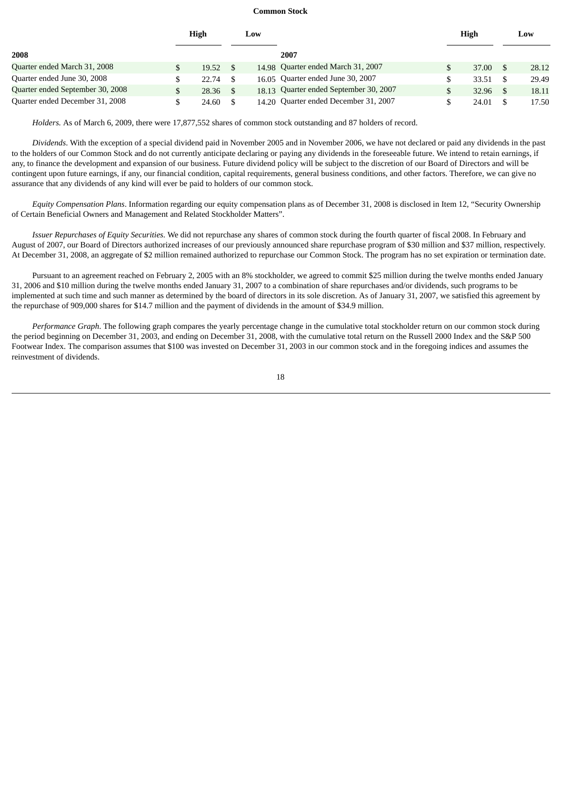# **Common Stock**

|                                  |  | High       | Low |                                        | High  | Low   |
|----------------------------------|--|------------|-----|----------------------------------------|-------|-------|
| 2008                             |  |            |     | 2007                                   |       |       |
| Quarter ended March 31, 2008     |  | 19.52      |     | 14.98 Quarter ended March 31, 2007     | 37.00 | 28.12 |
| Quarter ended June 30, 2008      |  | $22.74$ \$ |     | 16.05 Quarter ended June 30, 2007      | 33.51 | 29.49 |
| Quarter ended September 30, 2008 |  | 28.36      |     | 18.13 Quarter ended September 30, 2007 | 32.96 | 18.11 |
| Quarter ended December 31, 2008  |  | 24.60      |     | 14.20 Quarter ended December 31, 2007  | 24.01 | 17.50 |

*Holders.* As of March 6, 2009, there were 17,877,552 shares of common stock outstanding and 87 holders of record.

 *Dividends*. With the exception of a special dividend paid in November 2005 and in November 2006, we have not declared or paid any dividends in the past to the holders of our Common Stock and do not currently anticipate declaring or paying any dividends in the foreseeable future. We intend to retain earnings, if any, to finance the development and expansion of our business. Future dividend policy will be subject to the discretion of our Board of Directors and will be contingent upon future earnings, if any, our financial condition, capital requirements, general business conditions, and other factors. Therefore, we can give no assurance that any dividends of any kind will ever be paid to holders of our common stock.

 *Equity Compensation Plans*. Information regarding our equity compensation plans as of December 31, 2008 is disclosed in Item 12, "Security Ownership of Certain Beneficial Owners and Management and Related Stockholder Matters".

 *Issuer Repurchases of Equity Securities.* We did not repurchase any shares of common stock during the fourth quarter of fiscal 2008. In February and August of 2007, our Board of Directors authorized increases of our previously announced share repurchase program of \$30 million and \$37 million, respectively. At December 31, 2008, an aggregate of \$2 million remained authorized to repurchase our Common Stock. The program has no set expiration or termination date.

 Pursuant to an agreement reached on February 2, 2005 with an 8% stockholder, we agreed to commit \$25 million during the twelve months ended January 31, 2006 and \$10 million during the twelve months ended January 31, 2007 to a combination of share repurchases and/or dividends, such programs to be implemented at such time and such manner as determined by the board of directors in its sole discretion. As of January 31, 2007, we satisfied this agreement by the repurchase of 909,000 shares for \$14.7 million and the payment of dividends in the amount of \$34.9 million.

 *Performance Graph*. The following graph compares the yearly percentage change in the cumulative total stockholder return on our common stock during the period beginning on December 31, 2003, and ending on December 31, 2008, with the cumulative total return on the Russell 2000 Index and the S&P 500 Footwear Index. The comparison assumes that \$100 was invested on December 31, 2003 in our common stock and in the foregoing indices and assumes the reinvestment of dividends.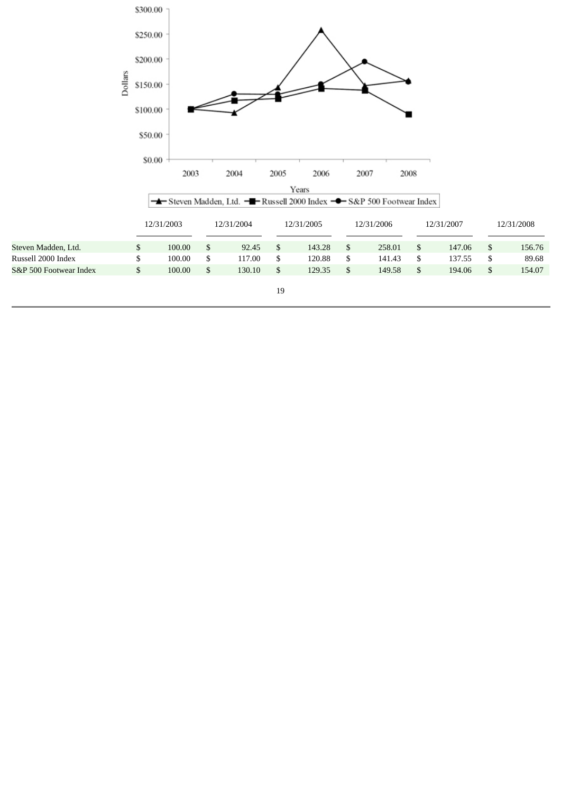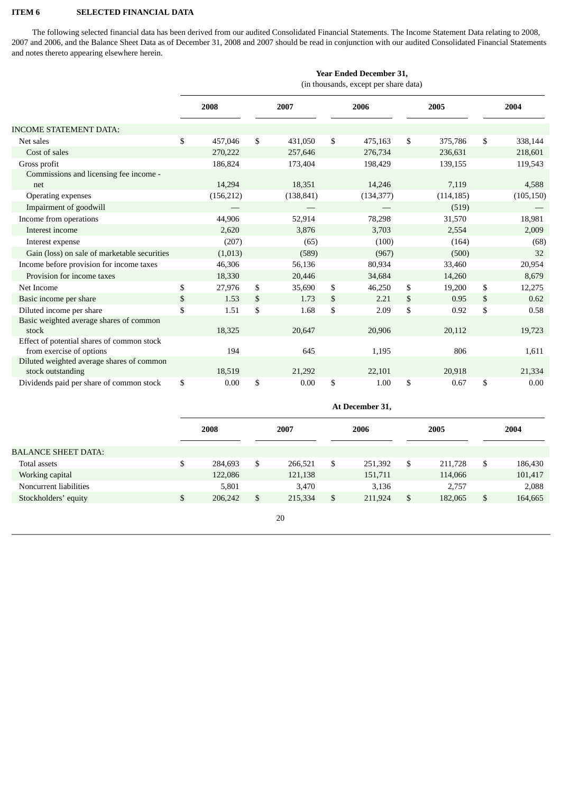# <span id="page-21-0"></span>**ITEM 6 SELECTED FINANCIAL DATA**

 The following selected financial data has been derived from our audited Consolidated Financial Statements. The Income Statement Data relating to 2008, 2007 and 2006, and the Balance Sheet Data as of December 31, 2008 and 2007 should be read in conjunction with our audited Consolidated Financial Statements and notes thereto appearing elsewhere herein.

|                                                                        | <b>Year Ended December 31,</b><br>(in thousands, except per share data) |            |    |            |    |            |    |            |      |            |  |  |  |
|------------------------------------------------------------------------|-------------------------------------------------------------------------|------------|----|------------|----|------------|----|------------|------|------------|--|--|--|
|                                                                        |                                                                         | 2008       |    | 2007       |    | 2006       |    | 2005       | 2004 |            |  |  |  |
| <b>INCOME STATEMENT DATA:</b>                                          |                                                                         |            |    |            |    |            |    |            |      |            |  |  |  |
| Net sales                                                              | \$                                                                      | 457,046    | \$ | 431,050    | \$ | 475,163    | \$ | 375,786    | \$   | 338,144    |  |  |  |
| Cost of sales                                                          |                                                                         | 270,222    |    | 257,646    |    | 276,734    |    | 236,631    |      | 218,601    |  |  |  |
| Gross profit                                                           |                                                                         | 186,824    |    | 173,404    |    | 198,429    |    | 139,155    |      | 119,543    |  |  |  |
| Commissions and licensing fee income -<br>net                          |                                                                         | 14,294     |    | 18,351     |    | 14,246     |    | 7,119      |      | 4,588      |  |  |  |
| Operating expenses                                                     |                                                                         | (156, 212) |    | (138, 841) |    | (134, 377) |    | (114, 185) |      | (105, 150) |  |  |  |
| Impairment of goodwill                                                 |                                                                         |            |    |            |    |            |    | (519)      |      |            |  |  |  |
| Income from operations                                                 |                                                                         | 44,906     |    | 52,914     |    | 78,298     |    | 31,570     |      | 18,981     |  |  |  |
| Interest income                                                        |                                                                         | 2,620      |    | 3,876      |    | 3,703      |    | 2,554      |      | 2,009      |  |  |  |
| Interest expense                                                       |                                                                         | (207)      |    | (65)       |    | (100)      |    | (164)      |      | (68)       |  |  |  |
| Gain (loss) on sale of marketable securities                           |                                                                         | (1,013)    |    | (589)      |    | (967)      |    | (500)      |      | 32         |  |  |  |
| Income before provision for income taxes                               |                                                                         | 46,306     |    | 56,136     |    | 80,934     |    | 33,460     |      | 20,954     |  |  |  |
| Provision for income taxes                                             |                                                                         | 18,330     |    | 20,446     |    | 34,684     |    | 14,260     |      | 8,679      |  |  |  |
| Net Income                                                             | \$                                                                      | 27,976     | \$ | 35,690     | \$ | 46,250     | \$ | 19,200     | \$   | 12,275     |  |  |  |
| Basic income per share                                                 | \$                                                                      | 1.53       | \$ | 1.73       | \$ | 2.21       | \$ | 0.95       | \$   | 0.62       |  |  |  |
| Diluted income per share                                               | \$                                                                      | 1.51       | \$ | 1.68       | \$ | 2.09       | \$ | 0.92       | \$   | 0.58       |  |  |  |
| Basic weighted average shares of common<br>stock                       |                                                                         | 18,325     |    | 20,647     |    | 20,906     |    | 20,112     |      | 19,723     |  |  |  |
| Effect of potential shares of common stock<br>from exercise of options |                                                                         | 194        |    | 645        |    | 1,195      |    | 806        |      | 1,611      |  |  |  |
| Diluted weighted average shares of common<br>stock outstanding         |                                                                         | 18,519     |    | 21,292     |    | 22,101     |    | 20,918     |      | 21,334     |  |  |  |
| Dividends paid per share of common stock                               | \$                                                                      | 0.00       | \$ | 0.00       | \$ | 1.00       | \$ | 0.67       | \$   | 0.00       |  |  |  |

|                            | At December 31, |    |         |    |         |    |         |    |         |  |  |  |  |
|----------------------------|-----------------|----|---------|----|---------|----|---------|----|---------|--|--|--|--|
|                            | 2008            |    | 2007    |    | 2006    |    | 2005    |    | 2004    |  |  |  |  |
| <b>BALANCE SHEET DATA:</b> |                 |    |         |    |         |    |         |    |         |  |  |  |  |
| Total assets               | \$<br>284,693   | \$ | 266,521 | S  | 251,392 | \$ | 211,728 | \$ | 186,430 |  |  |  |  |
| Working capital            | 122,086         |    | 121,138 |    | 151,711 |    | 114,066 |    | 101,417 |  |  |  |  |
| Noncurrent liabilities     | 5,801           |    | 3,470   |    | 3,136   |    | 2,757   |    | 2,088   |  |  |  |  |
| Stockholders' equity       | \$<br>206,242   | \$ | 215,334 | \$ | 211,924 | \$ | 182,065 | \$ | 164,665 |  |  |  |  |
|                            |                 |    |         |    |         |    |         |    |         |  |  |  |  |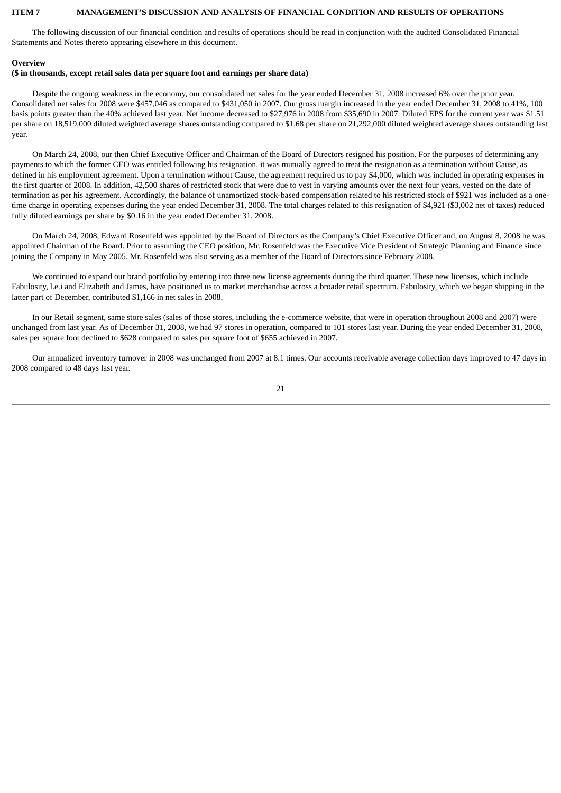# <span id="page-22-0"></span>**ITEM 7 MANAGEMENT'S DISCUSSION AND ANALYSIS OF FINANCIAL CONDITION AND RESULTS OF OPERATIONS**

 The following discussion of our financial condition and results of operations should be read in conjunction with the audited Consolidated Financial Statements and Notes thereto appearing elsewhere in this document.

# **Overview**

#### **(\$ in thousands, except retail sales data per square foot and earnings per share data)**

 Despite the ongoing weakness in the economy, our consolidated net sales for the year ended December 31, 2008 increased 6% over the prior year. Consolidated net sales for 2008 were \$457,046 as compared to \$431,050 in 2007. Our gross margin increased in the year ended December 31, 2008 to 41%, 100 basis points greater than the 40% achieved last year. Net income decreased to \$27,976 in 2008 from \$35,690 in 2007. Diluted EPS for the current year was \$1.51 per share on 18,519,000 diluted weighted average shares outstanding compared to \$1.68 per share on 21,292,000 diluted weighted average shares outstanding last year.

 On March 24, 2008, our then Chief Executive Officer and Chairman of the Board of Directors resigned his position. For the purposes of determining any payments to which the former CEO was entitled following his resignation, it was mutually agreed to treat the resignation as a termination without Cause, as defined in his employment agreement. Upon a termination without Cause, the agreement required us to pay \$4,000, which was included in operating expenses in the first quarter of 2008. In addition, 42,500 shares of restricted stock that were due to vest in varying amounts over the next four years, vested on the date of termination as per his agreement. Accordingly, the balance of unamortized stock-based compensation related to his restricted stock of \$921 was included as a onetime charge in operating expenses during the year ended December 31, 2008. The total charges related to this resignation of \$4,921 (\$3,002 net of taxes) reduced fully diluted earnings per share by \$0.16 in the year ended December 31, 2008.

 On March 24, 2008, Edward Rosenfeld was appointed by the Board of Directors as the Company's Chief Executive Officer and, on August 8, 2008 he was appointed Chairman of the Board. Prior to assuming the CEO position, Mr. Rosenfeld was the Executive Vice President of Strategic Planning and Finance since joining the Company in May 2005. Mr. Rosenfeld was also serving as a member of the Board of Directors since February 2008.

 We continued to expand our brand portfolio by entering into three new license agreements during the third quarter. These new licenses, which include Fabulosity, l.e.i and Elizabeth and James, have positioned us to market merchandise across a broader retail spectrum. Fabulosity, which we began shipping in the latter part of December, contributed \$1,166 in net sales in 2008.

 In our Retail segment, same store sales (sales of those stores, including the e-commerce website, that were in operation throughout 2008 and 2007) were unchanged from last year. As of December 31, 2008, we had 97 stores in operation, compared to 101 stores last year. During the year ended December 31, 2008, sales per square foot declined to \$628 compared to sales per square foot of \$655 achieved in 2007.

 Our annualized inventory turnover in 2008 was unchanged from 2007 at 8.1 times. Our accounts receivable average collection days improved to 47 days in 2008 compared to 48 days last year.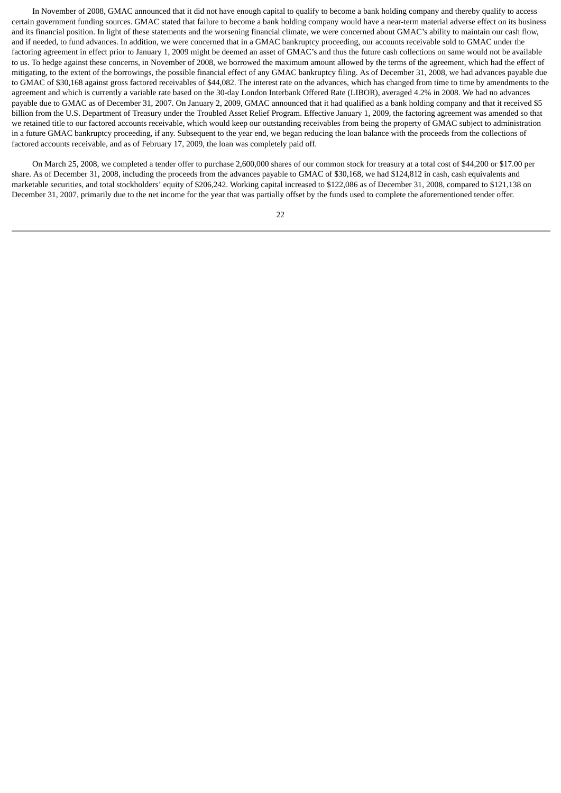In November of 2008, GMAC announced that it did not have enough capital to qualify to become a bank holding company and thereby qualify to access certain government funding sources. GMAC stated that failure to become a bank holding company would have a near-term material adverse effect on its business and its financial position. In light of these statements and the worsening financial climate, we were concerned about GMAC's ability to maintain our cash flow, and if needed, to fund advances. In addition, we were concerned that in a GMAC bankruptcy proceeding, our accounts receivable sold to GMAC under the factoring agreement in effect prior to January 1, 2009 might be deemed an asset of GMAC's and thus the future cash collections on same would not be available to us. To hedge against these concerns, in November of 2008, we borrowed the maximum amount allowed by the terms of the agreement, which had the effect of mitigating, to the extent of the borrowings, the possible financial effect of any GMAC bankruptcy filing. As of December 31, 2008, we had advances payable due to GMAC of \$30,168 against gross factored receivables of \$44,082. The interest rate on the advances, which has changed from time to time by amendments to the agreement and which is currently a variable rate based on the 30-day London Interbank Offered Rate (LIBOR), averaged 4.2% in 2008. We had no advances payable due to GMAC as of December 31, 2007. On January 2, 2009, GMAC announced that it had qualified as a bank holding company and that it received \$5 billion from the U.S. Department of Treasury under the Troubled Asset Relief Program. Effective January 1, 2009, the factoring agreement was amended so that we retained title to our factored accounts receivable, which would keep our outstanding receivables from being the property of GMAC subject to administration in a future GMAC bankruptcy proceeding, if any. Subsequent to the year end, we began reducing the loan balance with the proceeds from the collections of factored accounts receivable, and as of February 17, 2009, the loan was completely paid off.

 On March 25, 2008, we completed a tender offer to purchase 2,600,000 shares of our common stock for treasury at a total cost of \$44,200 or \$17.00 per share. As of December 31, 2008, including the proceeds from the advances payable to GMAC of \$30,168, we had \$124,812 in cash, cash equivalents and marketable securities, and total stockholders' equity of \$206,242. Working capital increased to \$122,086 as of December 31, 2008, compared to \$121,138 on December 31, 2007, primarily due to the net income for the year that was partially offset by the funds used to complete the aforementioned tender offer.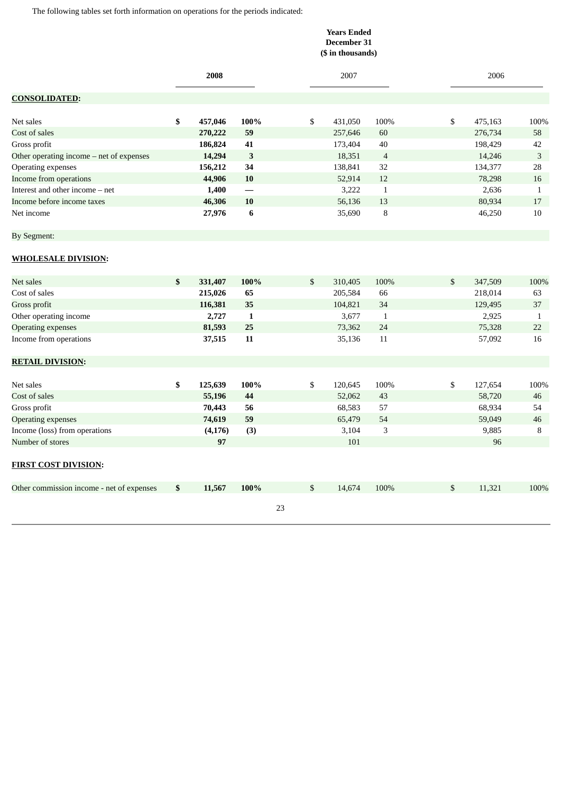The following tables set forth information on operations for the periods indicated:

# **Years Ended December 31 (\$ in thousands)**

|                                            | 2008 |         |      |  |    | 2007    |                |    | 2006    |      |  |  |
|--------------------------------------------|------|---------|------|--|----|---------|----------------|----|---------|------|--|--|
| <b>CONSOLIDATED:</b>                       |      |         |      |  |    |         |                |    |         |      |  |  |
| Net sales                                  | \$   | 457,046 | 100% |  | \$ | 431,050 | 100%           | \$ | 475,163 | 100% |  |  |
| Cost of sales                              |      | 270,222 | 59   |  |    | 257,646 | 60             |    | 276,734 | 58   |  |  |
| Gross profit                               |      | 186,824 | 41   |  |    | 173,404 | 40             |    | 198,429 | 42   |  |  |
| Other operating income $-$ net of expenses |      | 14,294  | 3    |  |    | 18,351  | $\overline{4}$ |    | 14,246  | 3    |  |  |
| <b>Operating expenses</b>                  |      | 156,212 | 34   |  |    | 138,841 | 32             |    | 134,377 | 28   |  |  |
| Income from operations                     |      | 44,906  | 10   |  |    | 52,914  | 12             |    | 78,298  | 16   |  |  |
| Interest and other income – net            |      | 1,400   |      |  |    | 3,222   | $\mathbf{1}$   |    | 2,636   |      |  |  |
| Income before income taxes                 |      | 46,306  | 10   |  |    | 56,136  | 13             |    | 80,934  | 17   |  |  |
| Net income                                 |      | 27,976  | 6    |  |    | 35,690  | 8              |    | 46,250  | 10   |  |  |
| <b>By Segment:</b>                         |      |         |      |  |    |         |                |    |         |      |  |  |

# **WHOLESALE DIVISION:**

| Net sales                                 | \$<br>331,407 | 100% |    | $\mathbb{S}$ | 310,405 | 100%         | \$ | 347,509 | 100% |
|-------------------------------------------|---------------|------|----|--------------|---------|--------------|----|---------|------|
| Cost of sales                             | 215,026       | 65   |    |              | 205,584 | 66           |    | 218,014 | 63   |
| Gross profit                              | 116,381       | 35   |    |              | 104,821 | 34           |    | 129,495 | 37   |
| Other operating income                    | 2,727         | 1    |    |              | 3,677   | $\mathbf{1}$ |    | 2,925   |      |
| <b>Operating expenses</b>                 | 81,593        | 25   |    |              | 73,362  | 24           |    | 75,328  | 22   |
| Income from operations                    | 37,515        | 11   |    |              | 35,136  | 11           |    | 57,092  | 16   |
|                                           |               |      |    |              |         |              |    |         |      |
| <b>RETAIL DIVISION:</b>                   |               |      |    |              |         |              |    |         |      |
|                                           |               |      |    |              |         |              |    |         |      |
| Net sales                                 | \$<br>125,639 | 100% |    | \$           | 120,645 | 100%         | \$ | 127,654 | 100% |
| Cost of sales                             | 55,196        | 44   |    |              | 52,062  | 43           |    | 58,720  | 46   |
| Gross profit                              | 70,443        | 56   |    |              | 68,583  | 57           |    | 68,934  | 54   |
| <b>Operating expenses</b>                 | 74,619        | 59   |    |              | 65,479  | 54           |    | 59,049  | 46   |
| Income (loss) from operations             | (4, 176)      | (3)  |    |              | 3,104   | 3            |    | 9,885   | 8    |
| Number of stores                          | 97            |      |    |              | 101     |              |    | 96      |      |
|                                           |               |      |    |              |         |              |    |         |      |
| <b>FIRST COST DIVISION:</b>               |               |      |    |              |         |              |    |         |      |
|                                           |               |      |    |              |         |              |    |         |      |
| Other commission income - net of expenses | \$<br>11,567  | 100% |    | $\mathbb{S}$ | 14,674  | 100%         | \$ | 11,321  | 100% |
|                                           |               |      |    |              |         |              |    |         |      |
|                                           |               |      | 23 |              |         |              |    |         |      |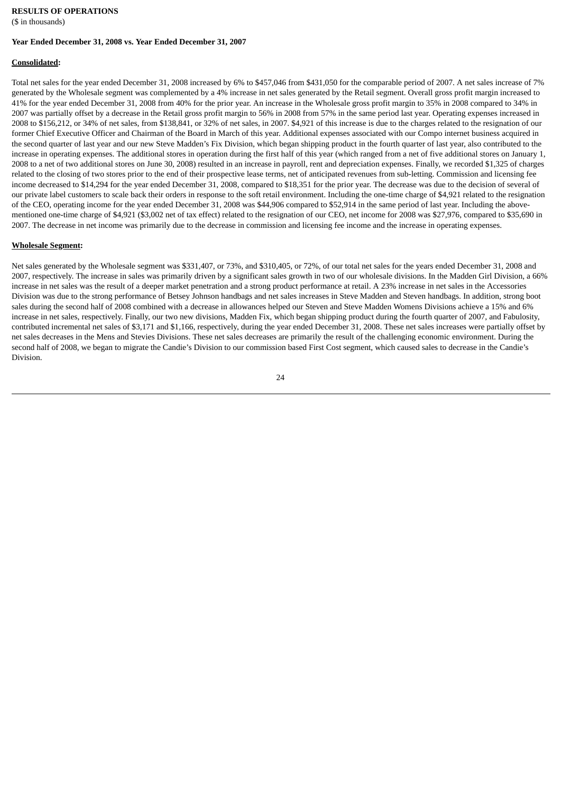# **RESULTS OF OPERATIONS**

(\$ in thousands)

# **Year Ended December 31, 2008 vs. Year Ended December 31, 2007**

# **Consolidated:**

Total net sales for the year ended December 31, 2008 increased by 6% to \$457,046 from \$431,050 for the comparable period of 2007. A net sales increase of 7% generated by the Wholesale segment was complemented by a 4% increase in net sales generated by the Retail segment. Overall gross profit margin increased to 41% for the year ended December 31, 2008 from 40% for the prior year. An increase in the Wholesale gross profit margin to 35% in 2008 compared to 34% in 2007 was partially offset by a decrease in the Retail gross profit margin to 56% in 2008 from 57% in the same period last year. Operating expenses increased in 2008 to \$156,212, or 34% of net sales, from \$138,841, or 32% of net sales, in 2007. \$4,921 of this increase is due to the charges related to the resignation of our former Chief Executive Officer and Chairman of the Board in March of this year. Additional expenses associated with our Compo internet business acquired in the second quarter of last year and our new Steve Madden's Fix Division, which began shipping product in the fourth quarter of last year, also contributed to the increase in operating expenses. The additional stores in operation during the first half of this year (which ranged from a net of five additional stores on January 1, 2008 to a net of two additional stores on June 30, 2008) resulted in an increase in payroll, rent and depreciation expenses. Finally, we recorded \$1,325 of charges related to the closing of two stores prior to the end of their prospective lease terms, net of anticipated revenues from sub-letting. Commission and licensing fee income decreased to \$14,294 for the year ended December 31, 2008, compared to \$18,351 for the prior year. The decrease was due to the decision of several of our private label customers to scale back their orders in response to the soft retail environment. Including the one-time charge of \$4,921 related to the resignation of the CEO, operating income for the year ended December 31, 2008 was \$44,906 compared to \$52,914 in the same period of last year. Including the abovementioned one-time charge of \$4,921 (\$3,002 net of tax effect) related to the resignation of our CEO, net income for 2008 was \$27,976, compared to \$35,690 in 2007. The decrease in net income was primarily due to the decrease in commission and licensing fee income and the increase in operating expenses.

# **Wholesale Segment:**

Net sales generated by the Wholesale segment was \$331,407, or 73%, and \$310,405, or 72%, of our total net sales for the years ended December 31, 2008 and 2007, respectively. The increase in sales was primarily driven by a significant sales growth in two of our wholesale divisions. In the Madden Girl Division, a 66% increase in net sales was the result of a deeper market penetration and a strong product performance at retail. A 23% increase in net sales in the Accessories Division was due to the strong performance of Betsey Johnson handbags and net sales increases in Steve Madden and Steven handbags. In addition, strong boot sales during the second half of 2008 combined with a decrease in allowances helped our Steven and Steve Madden Womens Divisions achieve a 15% and 6% increase in net sales, respectively. Finally, our two new divisions, Madden Fix, which began shipping product during the fourth quarter of 2007, and Fabulosity, contributed incremental net sales of \$3,171 and \$1,166, respectively, during the year ended December 31, 2008. These net sales increases were partially offset by net sales decreases in the Mens and Stevies Divisions. These net sales decreases are primarily the result of the challenging economic environment. During the second half of 2008, we began to migrate the Candie's Division to our commission based First Cost segment, which caused sales to decrease in the Candie's Division.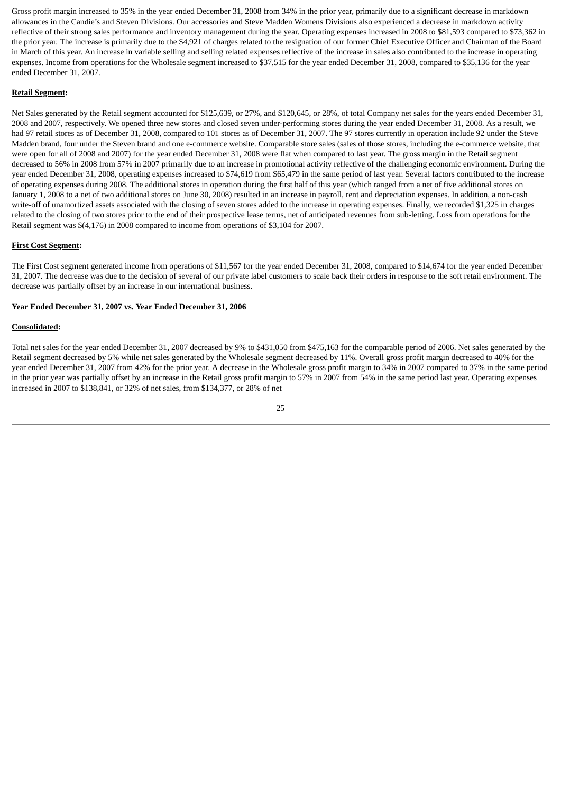Gross profit margin increased to 35% in the year ended December 31, 2008 from 34% in the prior year, primarily due to a significant decrease in markdown allowances in the Candie's and Steven Divisions. Our accessories and Steve Madden Womens Divisions also experienced a decrease in markdown activity reflective of their strong sales performance and inventory management during the year. Operating expenses increased in 2008 to \$81,593 compared to \$73,362 in the prior year. The increase is primarily due to the \$4,921 of charges related to the resignation of our former Chief Executive Officer and Chairman of the Board in March of this year. An increase in variable selling and selling related expenses reflective of the increase in sales also contributed to the increase in operating expenses. Income from operations for the Wholesale segment increased to \$37,515 for the year ended December 31, 2008, compared to \$35,136 for the year ended December 31, 2007.

# **Retail Segment:**

Net Sales generated by the Retail segment accounted for \$125,639, or 27%, and \$120,645, or 28%, of total Company net sales for the years ended December 31, 2008 and 2007, respectively. We opened three new stores and closed seven under-performing stores during the year ended December 31, 2008. As a result, we had 97 retail stores as of December 31, 2008, compared to 101 stores as of December 31, 2007. The 97 stores currently in operation include 92 under the Steve Madden brand, four under the Steven brand and one e-commerce website. Comparable store sales (sales of those stores, including the e-commerce website, that were open for all of 2008 and 2007) for the year ended December 31, 2008 were flat when compared to last year. The gross margin in the Retail segment decreased to 56% in 2008 from 57% in 2007 primarily due to an increase in promotional activity reflective of the challenging economic environment. During the year ended December 31, 2008, operating expenses increased to \$74,619 from \$65,479 in the same period of last year. Several factors contributed to the increase of operating expenses during 2008. The additional stores in operation during the first half of this year (which ranged from a net of five additional stores on January 1, 2008 to a net of two additional stores on June 30, 2008) resulted in an increase in payroll, rent and depreciation expenses. In addition, a non-cash write-off of unamortized assets associated with the closing of seven stores added to the increase in operating expenses. Finally, we recorded \$1,325 in charges related to the closing of two stores prior to the end of their prospective lease terms, net of anticipated revenues from sub-letting. Loss from operations for the Retail segment was \$(4,176) in 2008 compared to income from operations of \$3,104 for 2007.

# **First Cost Segment:**

The First Cost segment generated income from operations of \$11,567 for the year ended December 31, 2008, compared to \$14,674 for the year ended December 31, 2007. The decrease was due to the decision of several of our private label customers to scale back their orders in response to the soft retail environment. The decrease was partially offset by an increase in our international business.

# **Year Ended December 31, 2007 vs. Year Ended December 31, 2006**

# **Consolidated:**

Total net sales for the year ended December 31, 2007 decreased by 9% to \$431,050 from \$475,163 for the comparable period of 2006. Net sales generated by the Retail segment decreased by 5% while net sales generated by the Wholesale segment decreased by 11%. Overall gross profit margin decreased to 40% for the year ended December 31, 2007 from 42% for the prior year. A decrease in the Wholesale gross profit margin to 34% in 2007 compared to 37% in the same period in the prior year was partially offset by an increase in the Retail gross profit margin to 57% in 2007 from 54% in the same period last year. Operating expenses increased in 2007 to \$138,841, or 32% of net sales, from \$134,377, or 28% of net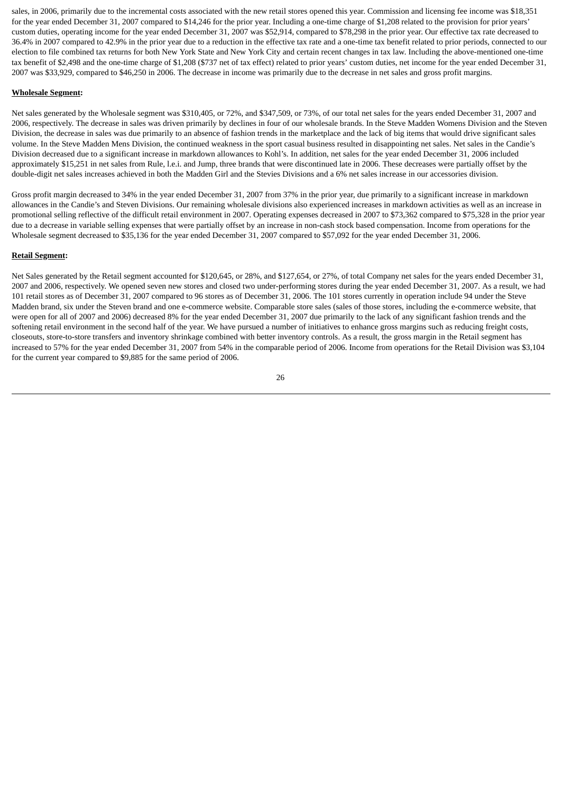sales, in 2006, primarily due to the incremental costs associated with the new retail stores opened this year. Commission and licensing fee income was \$18,351 for the year ended December 31, 2007 compared to \$14,246 for the prior year. Including a one-time charge of \$1,208 related to the provision for prior years' custom duties, operating income for the year ended December 31, 2007 was \$52,914, compared to \$78,298 in the prior year. Our effective tax rate decreased to 36.4% in 2007 compared to 42.9% in the prior year due to a reduction in the effective tax rate and a one-time tax benefit related to prior periods, connected to our election to file combined tax returns for both New York State and New York City and certain recent changes in tax law. Including the above-mentioned one-time tax benefit of \$2,498 and the one-time charge of \$1,208 (\$737 net of tax effect) related to prior years' custom duties, net income for the year ended December 31, 2007 was \$33,929, compared to \$46,250 in 2006. The decrease in income was primarily due to the decrease in net sales and gross profit margins.

# **Wholesale Segment:**

Net sales generated by the Wholesale segment was \$310,405, or 72%, and \$347,509, or 73%, of our total net sales for the years ended December 31, 2007 and 2006, respectively. The decrease in sales was driven primarily by declines in four of our wholesale brands. In the Steve Madden Womens Division and the Steven Division, the decrease in sales was due primarily to an absence of fashion trends in the marketplace and the lack of big items that would drive significant sales volume. In the Steve Madden Mens Division, the continued weakness in the sport casual business resulted in disappointing net sales. Net sales in the Candie's Division decreased due to a significant increase in markdown allowances to Kohl's. In addition, net sales for the year ended December 31, 2006 included approximately \$15,251 in net sales from Rule, l.e.i. and Jump, three brands that were discontinued late in 2006. These decreases were partially offset by the double-digit net sales increases achieved in both the Madden Girl and the Stevies Divisions and a 6% net sales increase in our accessories division.

Gross profit margin decreased to 34% in the year ended December 31, 2007 from 37% in the prior year, due primarily to a significant increase in markdown allowances in the Candie's and Steven Divisions. Our remaining wholesale divisions also experienced increases in markdown activities as well as an increase in promotional selling reflective of the difficult retail environment in 2007. Operating expenses decreased in 2007 to \$73,362 compared to \$75,328 in the prior year due to a decrease in variable selling expenses that were partially offset by an increase in non-cash stock based compensation. Income from operations for the Wholesale segment decreased to \$35,136 for the year ended December 31, 2007 compared to \$57,092 for the year ended December 31, 2006.

# **Retail Segment:**

Net Sales generated by the Retail segment accounted for \$120,645, or 28%, and \$127,654, or 27%, of total Company net sales for the years ended December 31, 2007 and 2006, respectively. We opened seven new stores and closed two under-performing stores during the year ended December 31, 2007. As a result, we had 101 retail stores as of December 31, 2007 compared to 96 stores as of December 31, 2006. The 101 stores currently in operation include 94 under the Steve Madden brand, six under the Steven brand and one e-commerce website. Comparable store sales (sales of those stores, including the e-commerce website, that were open for all of 2007 and 2006) decreased 8% for the year ended December 31, 2007 due primarily to the lack of any significant fashion trends and the softening retail environment in the second half of the year. We have pursued a number of initiatives to enhance gross margins such as reducing freight costs, closeouts, store-to-store transfers and inventory shrinkage combined with better inventory controls. As a result, the gross margin in the Retail segment has increased to 57% for the year ended December 31, 2007 from 54% in the comparable period of 2006. Income from operations for the Retail Division was \$3,104 for the current year compared to \$9,885 for the same period of 2006.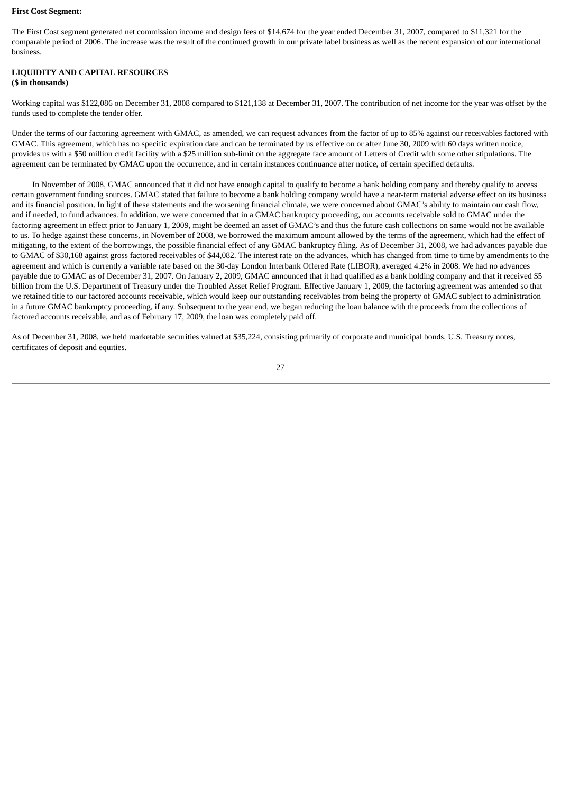# **First Cost Segment:**

The First Cost segment generated net commission income and design fees of \$14,674 for the year ended December 31, 2007, compared to \$11,321 for the comparable period of 2006. The increase was the result of the continued growth in our private label business as well as the recent expansion of our international business.

# **LIQUIDITY AND CAPITAL RESOURCES (\$ in thousands)**

Working capital was \$122,086 on December 31, 2008 compared to \$121,138 at December 31, 2007. The contribution of net income for the year was offset by the funds used to complete the tender offer.

Under the terms of our factoring agreement with GMAC, as amended, we can request advances from the factor of up to 85% against our receivables factored with GMAC. This agreement, which has no specific expiration date and can be terminated by us effective on or after June 30, 2009 with 60 days written notice, provides us with a \$50 million credit facility with a \$25 million sub-limit on the aggregate face amount of Letters of Credit with some other stipulations. The agreement can be terminated by GMAC upon the occurrence, and in certain instances continuance after notice, of certain specified defaults.

 In November of 2008, GMAC announced that it did not have enough capital to qualify to become a bank holding company and thereby qualify to access certain government funding sources. GMAC stated that failure to become a bank holding company would have a near-term material adverse effect on its business and its financial position. In light of these statements and the worsening financial climate, we were concerned about GMAC's ability to maintain our cash flow, and if needed, to fund advances. In addition, we were concerned that in a GMAC bankruptcy proceeding, our accounts receivable sold to GMAC under the factoring agreement in effect prior to January 1, 2009, might be deemed an asset of GMAC's and thus the future cash collections on same would not be available to us. To hedge against these concerns, in November of 2008, we borrowed the maximum amount allowed by the terms of the agreement, which had the effect of mitigating, to the extent of the borrowings, the possible financial effect of any GMAC bankruptcy filing. As of December 31, 2008, we had advances payable due to GMAC of \$30,168 against gross factored receivables of \$44,082. The interest rate on the advances, which has changed from time to time by amendments to the agreement and which is currently a variable rate based on the 30-day London Interbank Offered Rate (LIBOR), averaged 4.2% in 2008. We had no advances payable due to GMAC as of December 31, 2007. On January 2, 2009, GMAC announced that it had qualified as a bank holding company and that it received \$5 billion from the U.S. Department of Treasury under the Troubled Asset Relief Program. Effective January 1, 2009, the factoring agreement was amended so that we retained title to our factored accounts receivable, which would keep our outstanding receivables from being the property of GMAC subject to administration in a future GMAC bankruptcy proceeding, if any. Subsequent to the year end, we began reducing the loan balance with the proceeds from the collections of factored accounts receivable, and as of February 17, 2009, the loan was completely paid off.

As of December 31, 2008, we held marketable securities valued at \$35,224, consisting primarily of corporate and municipal bonds, U.S. Treasury notes, certificates of deposit and equities.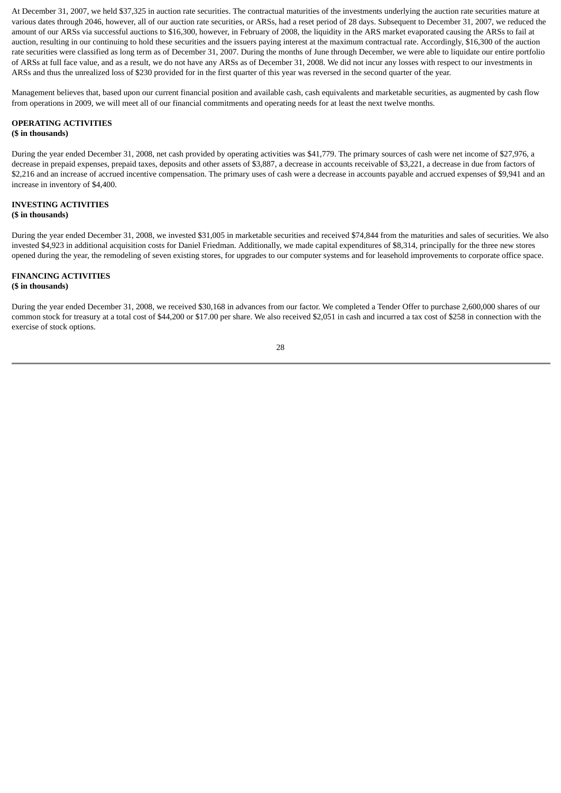At December 31, 2007, we held \$37,325 in auction rate securities. The contractual maturities of the investments underlying the auction rate securities mature at various dates through 2046, however, all of our auction rate securities, or ARSs, had a reset period of 28 days. Subsequent to December 31, 2007, we reduced the amount of our ARSs via successful auctions to \$16,300, however, in February of 2008, the liquidity in the ARS market evaporated causing the ARSs to fail at auction, resulting in our continuing to hold these securities and the issuers paying interest at the maximum contractual rate. Accordingly, \$16,300 of the auction rate securities were classified as long term as of December 31, 2007. During the months of June through December, we were able to liquidate our entire portfolio of ARSs at full face value, and as a result, we do not have any ARSs as of December 31, 2008. We did not incur any losses with respect to our investments in ARSs and thus the unrealized loss of \$230 provided for in the first quarter of this year was reversed in the second quarter of the year.

Management believes that, based upon our current financial position and available cash, cash equivalents and marketable securities, as augmented by cash flow from operations in 2009, we will meet all of our financial commitments and operating needs for at least the next twelve months.

# **OPERATING ACTIVITIES (\$ in thousands)**

During the year ended December 31, 2008, net cash provided by operating activities was \$41,779. The primary sources of cash were net income of \$27,976, a decrease in prepaid expenses, prepaid taxes, deposits and other assets of \$3,887, a decrease in accounts receivable of \$3,221, a decrease in due from factors of \$2,216 and an increase of accrued incentive compensation. The primary uses of cash were a decrease in accounts payable and accrued expenses of \$9,941 and an increase in inventory of \$4,400.

# **INVESTING ACTIVITIES (\$ in thousands)**

During the year ended December 31, 2008, we invested \$31,005 in marketable securities and received \$74,844 from the maturities and sales of securities. We also invested \$4,923 in additional acquisition costs for Daniel Friedman. Additionally, we made capital expenditures of \$8,314, principally for the three new stores opened during the year, the remodeling of seven existing stores, for upgrades to our computer systems and for leasehold improvements to corporate office space.

# **FINANCING ACTIVITIES (\$ in thousands)**

During the year ended December 31, 2008, we received \$30,168 in advances from our factor. We completed a Tender Offer to purchase 2,600,000 shares of our common stock for treasury at a total cost of \$44,200 or \$17.00 per share. We also received \$2,051 in cash and incurred a tax cost of \$258 in connection with the exercise of stock options.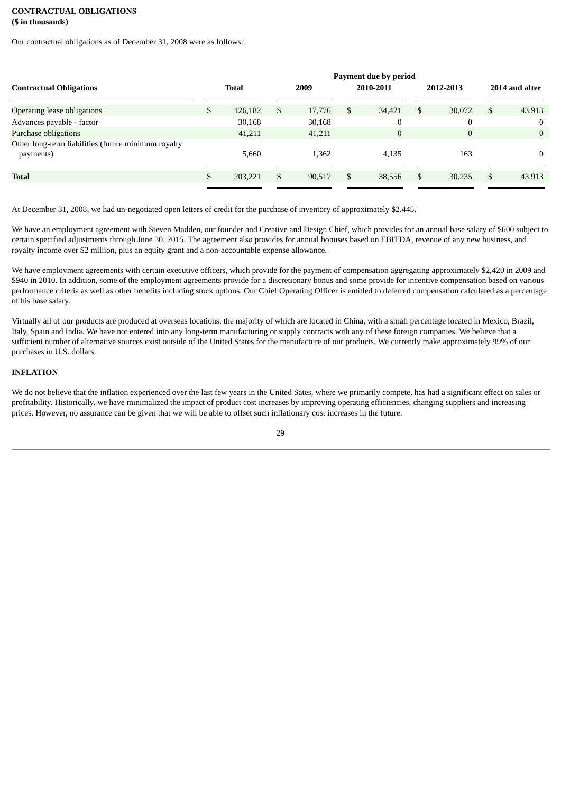# **CONTRACTUAL OBLIGATIONS (\$ in thousands)**

Our contractual obligations as of December 31, 2008 were as follows:

|                                                                  | Payment due by period |              |    |        |    |              |     |              |    |                |  |  |
|------------------------------------------------------------------|-----------------------|--------------|----|--------|----|--------------|-----|--------------|----|----------------|--|--|
| <b>Contractual Obligations</b>                                   |                       | <b>Total</b> |    | 2009   |    | 2010-2011    |     | 2012-2013    |    | 2014 and after |  |  |
| Operating lease obligations                                      | \$                    | 126,182      | \$ | 17,776 | \$ | 34,421       | S   | 30,072       | \$ | 43,913         |  |  |
| Advances payable - factor                                        |                       | 30,168       |    | 30,168 |    | $\mathbf{0}$ |     | $\bf{0}$     |    | $\Omega$       |  |  |
| Purchase obligations                                             |                       | 41,211       |    | 41,211 |    | $\mathbf{0}$ |     | $\mathbf{0}$ |    | $\overline{0}$ |  |  |
| Other long-term liabilities (future minimum royalty<br>payments) |                       | 5.660        |    | 1,362  |    | 4,135        |     | 163          |    | $\Omega$       |  |  |
| <b>Total</b>                                                     | \$                    | 203,221      | \$ | 90,517 | \$ | 38,556       | \$. | 30,235       | S. | 43,913         |  |  |

At December 31, 2008, we had un-negotiated open letters of credit for the purchase of inventory of approximately \$2,445.

We have an employment agreement with Steven Madden, our founder and Creative and Design Chief, which provides for an annual base salary of \$600 subject to certain specified adjustments through June 30, 2015. The agreement also provides for annual bonuses based on EBITDA, revenue of any new business, and royalty income over \$2 million, plus an equity grant and a non-accountable expense allowance.

We have employment agreements with certain executive officers, which provide for the payment of compensation aggregating approximately \$2,420 in 2009 and \$940 in 2010. In addition, some of the employment agreements provide for a discretionary bonus and some provide for incentive compensation based on various performance criteria as well as other benefits including stock options. Our Chief Operating Officer is entitled to deferred compensation calculated as a percentage of his base salary.

Virtually all of our products are produced at overseas locations, the majority of which are located in China, with a small percentage located in Mexico, Brazil, Italy, Spain and India. We have not entered into any long-term manufacturing or supply contracts with any of these foreign companies. We believe that a sufficient number of alternative sources exist outside of the United States for the manufacture of our products. We currently make approximately 99% of our purchases in U.S. dollars.

# **INFLATION**

We do not believe that the inflation experienced over the last few years in the United Sates, where we primarily compete, has had a significant effect on sales or profitability. Historically, we have minimalized the impact of product cost increases by improving operating efficiencies, changing suppliers and increasing prices. However, no assurance can be given that we will be able to offset such inflationary cost increases in the future.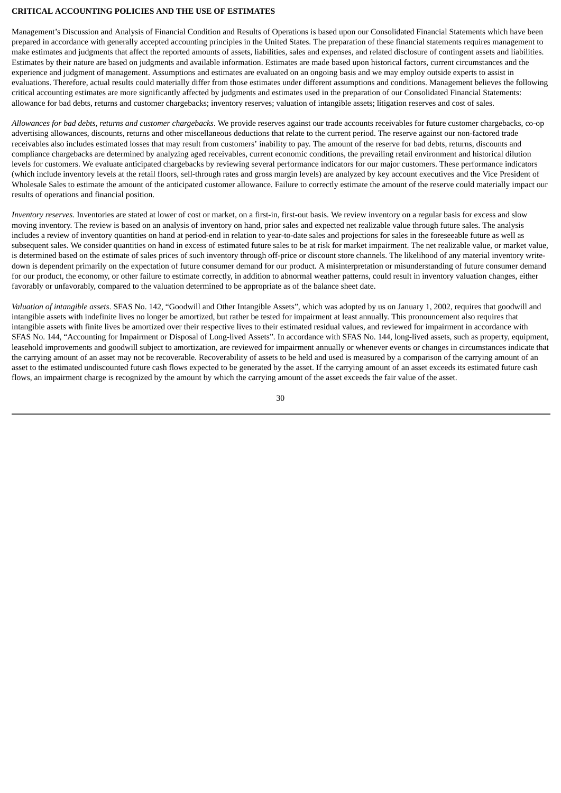# **CRITICAL ACCOUNTING POLICIES AND THE USE OF ESTIMATES**

Management's Discussion and Analysis of Financial Condition and Results of Operations is based upon our Consolidated Financial Statements which have been prepared in accordance with generally accepted accounting principles in the United States. The preparation of these financial statements requires management to make estimates and judgments that affect the reported amounts of assets, liabilities, sales and expenses, and related disclosure of contingent assets and liabilities. Estimates by their nature are based on judgments and available information. Estimates are made based upon historical factors, current circumstances and the experience and judgment of management. Assumptions and estimates are evaluated on an ongoing basis and we may employ outside experts to assist in evaluations. Therefore, actual results could materially differ from those estimates under different assumptions and conditions. Management believes the following critical accounting estimates are more significantly affected by judgments and estimates used in the preparation of our Consolidated Financial Statements: allowance for bad debts, returns and customer chargebacks; inventory reserves; valuation of intangible assets; litigation reserves and cost of sales.

*Allowances for bad debts, returns and customer chargebacks*. We provide reserves against our trade accounts receivables for future customer chargebacks, co-op advertising allowances, discounts, returns and other miscellaneous deductions that relate to the current period. The reserve against our non-factored trade receivables also includes estimated losses that may result from customers' inability to pay. The amount of the reserve for bad debts, returns, discounts and compliance chargebacks are determined by analyzing aged receivables, current economic conditions, the prevailing retail environment and historical dilution levels for customers. We evaluate anticipated chargebacks by reviewing several performance indicators for our major customers. These performance indicators (which include inventory levels at the retail floors, sell-through rates and gross margin levels) are analyzed by key account executives and the Vice President of Wholesale Sales to estimate the amount of the anticipated customer allowance. Failure to correctly estimate the amount of the reserve could materially impact our results of operations and financial position.

*Inventory reserves*. Inventories are stated at lower of cost or market, on a first-in, first-out basis. We review inventory on a regular basis for excess and slow moving inventory. The review is based on an analysis of inventory on hand, prior sales and expected net realizable value through future sales. The analysis includes a review of inventory quantities on hand at period-end in relation to year-to-date sales and projections for sales in the foreseeable future as well as subsequent sales. We consider quantities on hand in excess of estimated future sales to be at risk for market impairment. The net realizable value, or market value, is determined based on the estimate of sales prices of such inventory through off-price or discount store channels. The likelihood of any material inventory writedown is dependent primarily on the expectation of future consumer demand for our product. A misinterpretation or misunderstanding of future consumer demand for our product, the economy, or other failure to estimate correctly, in addition to abnormal weather patterns, could result in inventory valuation changes, either favorably or unfavorably, compared to the valuation determined to be appropriate as of the balance sheet date.

*Valuation of intangible assets*. SFAS No. 142, "Goodwill and Other Intangible Assets", which was adopted by us on January 1, 2002, requires that goodwill and intangible assets with indefinite lives no longer be amortized, but rather be tested for impairment at least annually. This pronouncement also requires that intangible assets with finite lives be amortized over their respective lives to their estimated residual values, and reviewed for impairment in accordance with SFAS No. 144, "Accounting for Impairment or Disposal of Long-lived Assets". In accordance with SFAS No. 144, long-lived assets, such as property, equipment, leasehold improvements and goodwill subject to amortization, are reviewed for impairment annually or whenever events or changes in circumstances indicate that the carrying amount of an asset may not be recoverable. Recoverability of assets to be held and used is measured by a comparison of the carrying amount of an asset to the estimated undiscounted future cash flows expected to be generated by the asset. If the carrying amount of an asset exceeds its estimated future cash flows, an impairment charge is recognized by the amount by which the carrying amount of the asset exceeds the fair value of the asset.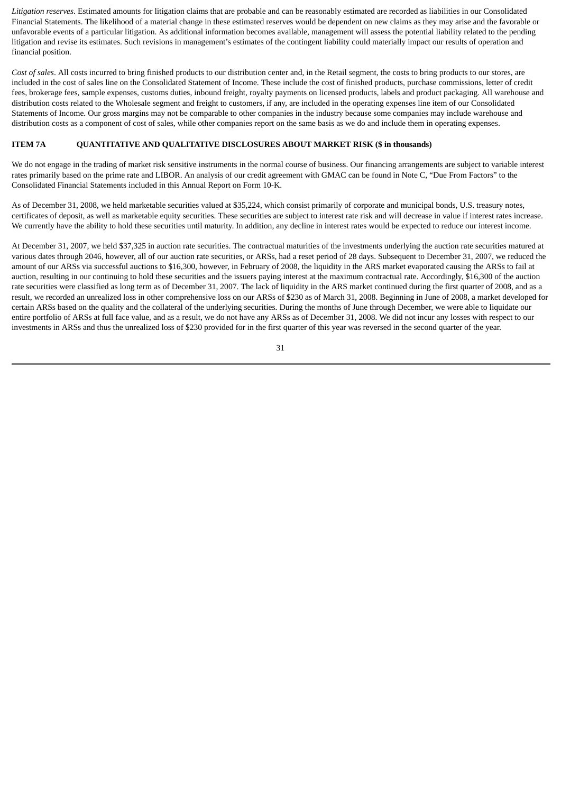*Litigation reserves*. Estimated amounts for litigation claims that are probable and can be reasonably estimated are recorded as liabilities in our Consolidated Financial Statements. The likelihood of a material change in these estimated reserves would be dependent on new claims as they may arise and the favorable or unfavorable events of a particular litigation. As additional information becomes available, management will assess the potential liability related to the pending litigation and revise its estimates. Such revisions in management's estimates of the contingent liability could materially impact our results of operation and financial position.

*Cost of sales*. All costs incurred to bring finished products to our distribution center and, in the Retail segment, the costs to bring products to our stores, are included in the cost of sales line on the Consolidated Statement of Income. These include the cost of finished products, purchase commissions, letter of credit fees, brokerage fees, sample expenses, customs duties, inbound freight, royalty payments on licensed products, labels and product packaging. All warehouse and distribution costs related to the Wholesale segment and freight to customers, if any, are included in the operating expenses line item of our Consolidated Statements of Income. Our gross margins may not be comparable to other companies in the industry because some companies may include warehouse and distribution costs as a component of cost of sales, while other companies report on the same basis as we do and include them in operating expenses.

# <span id="page-32-0"></span>**ITEM 7A QUANTITATIVE AND QUALITATIVE DISCLOSURES ABOUT MARKET RISK (\$ in thousands)**

We do not engage in the trading of market risk sensitive instruments in the normal course of business. Our financing arrangements are subject to variable interest rates primarily based on the prime rate and LIBOR. An analysis of our credit agreement with GMAC can be found in Note C, "Due From Factors" to the Consolidated Financial Statements included in this Annual Report on Form 10-K.

As of December 31, 2008, we held marketable securities valued at \$35,224, which consist primarily of corporate and municipal bonds, U.S. treasury notes, certificates of deposit, as well as marketable equity securities. These securities are subject to interest rate risk and will decrease in value if interest rates increase. We currently have the ability to hold these securities until maturity. In addition, any decline in interest rates would be expected to reduce our interest income.

At December 31, 2007, we held \$37,325 in auction rate securities. The contractual maturities of the investments underlying the auction rate securities matured at various dates through 2046, however, all of our auction rate securities, or ARSs, had a reset period of 28 days. Subsequent to December 31, 2007, we reduced the amount of our ARSs via successful auctions to \$16,300, however, in February of 2008, the liquidity in the ARS market evaporated causing the ARSs to fail at auction, resulting in our continuing to hold these securities and the issuers paying interest at the maximum contractual rate. Accordingly, \$16,300 of the auction rate securities were classified as long term as of December 31, 2007. The lack of liquidity in the ARS market continued during the first quarter of 2008, and as a result, we recorded an unrealized loss in other comprehensive loss on our ARSs of \$230 as of March 31, 2008. Beginning in June of 2008, a market developed for certain ARSs based on the quality and the collateral of the underlying securities. During the months of June through December, we were able to liquidate our entire portfolio of ARSs at full face value, and as a result, we do not have any ARSs as of December 31, 2008. We did not incur any losses with respect to our investments in ARSs and thus the unrealized loss of \$230 provided for in the first quarter of this year was reversed in the second quarter of the year.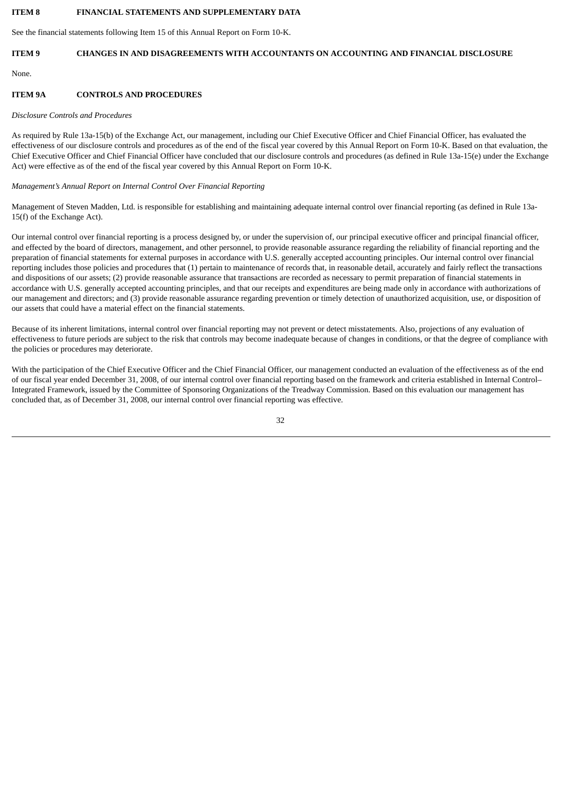# <span id="page-33-0"></span>**ITEM 8 FINANCIAL STATEMENTS AND SUPPLEMENTARY DATA**

See the financial statements following Item 15 of this Annual Report on Form 10-K.

# <span id="page-33-1"></span>**ITEM 9 CHANGES IN AND DISAGREEMENTS WITH ACCOUNTANTS ON ACCOUNTING AND FINANCIAL DISCLOSURE**

None.

# <span id="page-33-2"></span>**ITEM 9A CONTROLS AND PROCEDURES**

# *Disclosure Controls and Procedures*

As required by Rule 13a-15(b) of the Exchange Act, our management, including our Chief Executive Officer and Chief Financial Officer, has evaluated the effectiveness of our disclosure controls and procedures as of the end of the fiscal year covered by this Annual Report on Form 10-K. Based on that evaluation, the Chief Executive Officer and Chief Financial Officer have concluded that our disclosure controls and procedures (as defined in Rule 13a-15(e) under the Exchange Act) were effective as of the end of the fiscal year covered by this Annual Report on Form 10-K.

# *Management's Annual Report on Internal Control Over Financial Reporting*

Management of Steven Madden, Ltd. is responsible for establishing and maintaining adequate internal control over financial reporting (as defined in Rule 13a-15(f) of the Exchange Act).

Our internal control over financial reporting is a process designed by, or under the supervision of, our principal executive officer and principal financial officer, and effected by the board of directors, management, and other personnel, to provide reasonable assurance regarding the reliability of financial reporting and the preparation of financial statements for external purposes in accordance with U.S. generally accepted accounting principles. Our internal control over financial reporting includes those policies and procedures that (1) pertain to maintenance of records that, in reasonable detail, accurately and fairly reflect the transactions and dispositions of our assets; (2) provide reasonable assurance that transactions are recorded as necessary to permit preparation of financial statements in accordance with U.S. generally accepted accounting principles, and that our receipts and expenditures are being made only in accordance with authorizations of our management and directors; and (3) provide reasonable assurance regarding prevention or timely detection of unauthorized acquisition, use, or disposition of our assets that could have a material effect on the financial statements.

Because of its inherent limitations, internal control over financial reporting may not prevent or detect misstatements. Also, projections of any evaluation of effectiveness to future periods are subject to the risk that controls may become inadequate because of changes in conditions, or that the degree of compliance with the policies or procedures may deteriorate.

With the participation of the Chief Executive Officer and the Chief Financial Officer, our management conducted an evaluation of the effectiveness as of the end of our fiscal year ended December 31, 2008, of our internal control over financial reporting based on the framework and criteria established in Internal Control– Integrated Framework, issued by the Committee of Sponsoring Organizations of the Treadway Commission. Based on this evaluation our management has concluded that, as of December 31, 2008, our internal control over financial reporting was effective.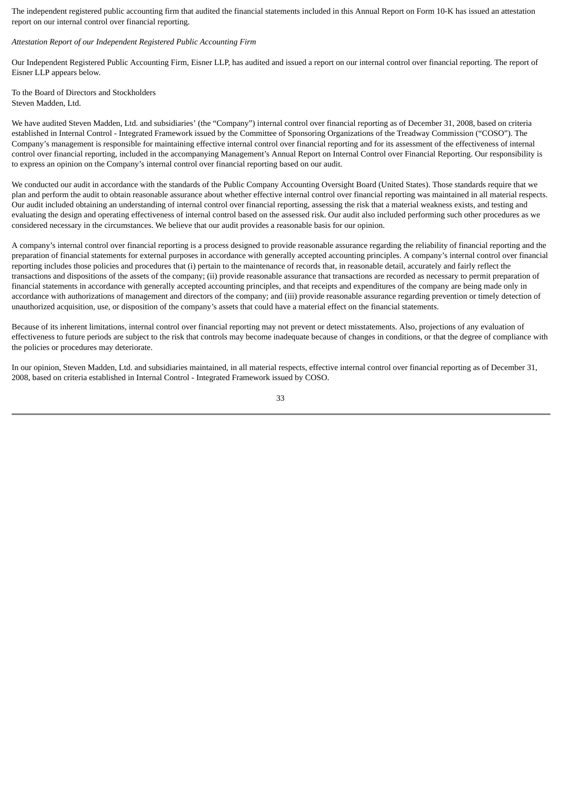The independent registered public accounting firm that audited the financial statements included in this Annual Report on Form 10-K has issued an attestation report on our internal control over financial reporting.

#### *Attestation Report of our Independent Registered Public Accounting Firm*

Our Independent Registered Public Accounting Firm, Eisner LLP, has audited and issued a report on our internal control over financial reporting. The report of Eisner LLP appears below.

To the Board of Directors and Stockholders Steven Madden, Ltd.

We have audited Steven Madden, Ltd. and subsidiaries' (the "Company") internal control over financial reporting as of December 31, 2008, based on criteria established in Internal Control - Integrated Framework issued by the Committee of Sponsoring Organizations of the Treadway Commission ("COSO"). The Company's management is responsible for maintaining effective internal control over financial reporting and for its assessment of the effectiveness of internal control over financial reporting, included in the accompanying Management's Annual Report on Internal Control over Financial Reporting. Our responsibility is to express an opinion on the Company's internal control over financial reporting based on our audit.

We conducted our audit in accordance with the standards of the Public Company Accounting Oversight Board (United States). Those standards require that we plan and perform the audit to obtain reasonable assurance about whether effective internal control over financial reporting was maintained in all material respects. Our audit included obtaining an understanding of internal control over financial reporting, assessing the risk that a material weakness exists, and testing and evaluating the design and operating effectiveness of internal control based on the assessed risk. Our audit also included performing such other procedures as we considered necessary in the circumstances. We believe that our audit provides a reasonable basis for our opinion.

A company's internal control over financial reporting is a process designed to provide reasonable assurance regarding the reliability of financial reporting and the preparation of financial statements for external purposes in accordance with generally accepted accounting principles. A company's internal control over financial reporting includes those policies and procedures that (i) pertain to the maintenance of records that, in reasonable detail, accurately and fairly reflect the transactions and dispositions of the assets of the company; (ii) provide reasonable assurance that transactions are recorded as necessary to permit preparation of financial statements in accordance with generally accepted accounting principles, and that receipts and expenditures of the company are being made only in accordance with authorizations of management and directors of the company; and (iii) provide reasonable assurance regarding prevention or timely detection of unauthorized acquisition, use, or disposition of the company's assets that could have a material effect on the financial statements.

Because of its inherent limitations, internal control over financial reporting may not prevent or detect misstatements. Also, projections of any evaluation of effectiveness to future periods are subject to the risk that controls may become inadequate because of changes in conditions, or that the degree of compliance with the policies or procedures may deteriorate.

In our opinion, Steven Madden, Ltd. and subsidiaries maintained, in all material respects, effective internal control over financial reporting as of December 31, 2008, based on criteria established in Internal Control - Integrated Framework issued by COSO.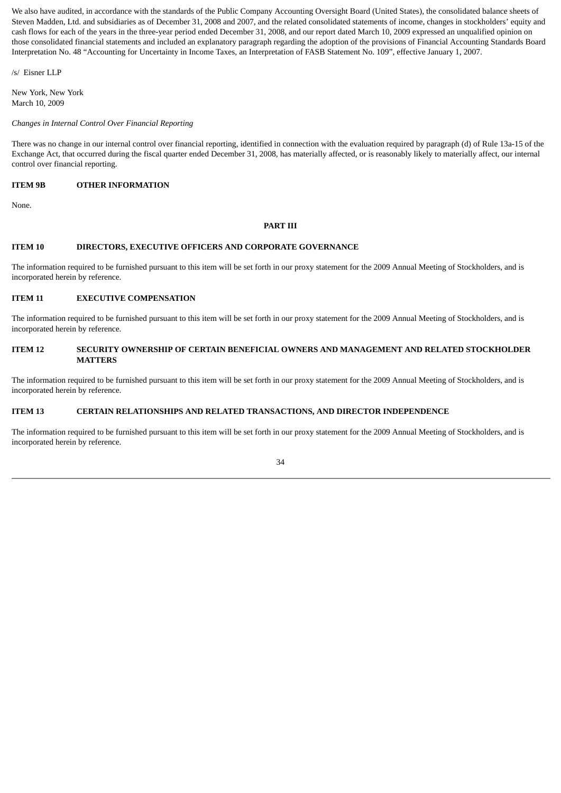We also have audited, in accordance with the standards of the Public Company Accounting Oversight Board (United States), the consolidated balance sheets of Steven Madden, Ltd. and subsidiaries as of December 31, 2008 and 2007, and the related consolidated statements of income, changes in stockholders' equity and cash flows for each of the years in the three-year period ended December 31, 2008, and our report dated March 10, 2009 expressed an unqualified opinion on those consolidated financial statements and included an explanatory paragraph regarding the adoption of the provisions of Financial Accounting Standards Board Interpretation No. 48 "Accounting for Uncertainty in Income Taxes, an Interpretation of FASB Statement No. 109", effective January 1, 2007.

/s/ Eisner LLP

New York, New York March 10, 2009

*Changes in Internal Control Over Financial Reporting*

There was no change in our internal control over financial reporting, identified in connection with the evaluation required by paragraph (d) of Rule 13a-15 of the Exchange Act, that occurred during the fiscal quarter ended December 31, 2008, has materially affected, or is reasonably likely to materially affect, our internal control over financial reporting.

# <span id="page-35-0"></span>**ITEM 9B OTHER INFORMATION**

<span id="page-35-1"></span>None.

#### **PART III**

# <span id="page-35-2"></span>**ITEM 10 DIRECTORS, EXECUTIVE OFFICERS AND CORPORATE GOVERNANCE**

The information required to be furnished pursuant to this item will be set forth in our proxy statement for the 2009 Annual Meeting of Stockholders, and is incorporated herein by reference.

# <span id="page-35-3"></span>**ITEM 11 EXECUTIVE COMPENSATION**

The information required to be furnished pursuant to this item will be set forth in our proxy statement for the 2009 Annual Meeting of Stockholders, and is incorporated herein by reference.

# <span id="page-35-4"></span>**ITEM 12 SECURITY OWNERSHIP OF CERTAIN BENEFICIAL OWNERS AND MANAGEMENT AND RELATED STOCKHOLDER MATTERS**

The information required to be furnished pursuant to this item will be set forth in our proxy statement for the 2009 Annual Meeting of Stockholders, and is incorporated herein by reference.

# <span id="page-35-5"></span>**ITEM 13 CERTAIN RELATIONSHIPS AND RELATED TRANSACTIONS, AND DIRECTOR INDEPENDENCE**

The information required to be furnished pursuant to this item will be set forth in our proxy statement for the 2009 Annual Meeting of Stockholders, and is incorporated herein by reference.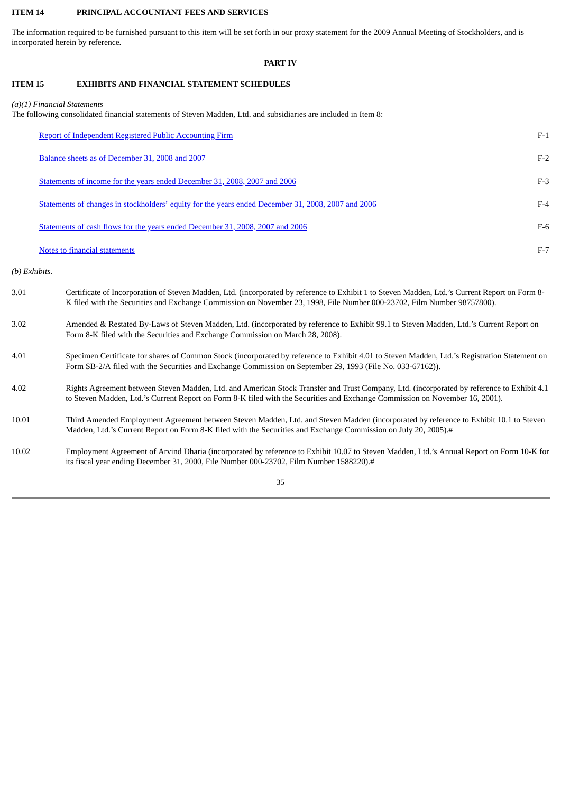#### **ITEM 14 PRINCIPAL ACCOUNTANT FEES AND SERVICES**

The information required to be furnished pursuant to this item will be set forth in our proxy statement for the 2009 Annual Meeting of Stockholders, and is incorporated herein by reference.

#### **PART IV**

### **ITEM 15 EXHIBITS AND FINANCIAL STATEMENT SCHEDULES**

*(a)(1) Financial Statements*

The following consolidated financial statements of Steven Madden, Ltd. and subsidiaries are included in Item 8:

| Report of Independent Registered Public Accounting Firm                                            | $F-1$ |
|----------------------------------------------------------------------------------------------------|-------|
| Balance sheets as of December 31, 2008 and 2007                                                    | $F-2$ |
| Statements of income for the years ended December 31, 2008, 2007 and 2006                          | $F-3$ |
| Statements of changes in stockholders' equity for the years ended December 31, 2008, 2007 and 2006 | $F-4$ |
| Statements of cash flows for the years ended December 31, 2008, 2007 and 2006                      | $F-6$ |
| Notes to financial statements                                                                      | $F-7$ |

#### *(b) Exhibits.*

- 3.01 Certificate of Incorporation of Steven Madden, Ltd. (incorporated by reference to Exhibit 1 to Steven Madden, Ltd.'s Current Report on Form 8- K filed with the Securities and Exchange Commission on November 23, 1998, File Number 000-23702, Film Number 98757800).
- 3.02 Amended & Restated By-Laws of Steven Madden, Ltd. (incorporated by reference to Exhibit 99.1 to Steven Madden, Ltd.'s Current Report on Form 8-K filed with the Securities and Exchange Commission on March 28, 2008).
- 4.01 Specimen Certificate for shares of Common Stock (incorporated by reference to Exhibit 4.01 to Steven Madden, Ltd.'s Registration Statement on Form SB-2/A filed with the Securities and Exchange Commission on September 29, 1993 (File No. 033-67162)).
- 4.02 Rights Agreement between Steven Madden, Ltd. and American Stock Transfer and Trust Company, Ltd. (incorporated by reference to Exhibit 4.1 to Steven Madden, Ltd.'s Current Report on Form 8-K filed with the Securities and Exchange Commission on November 16, 2001).
- 10.01 Third Amended Employment Agreement between Steven Madden, Ltd. and Steven Madden (incorporated by reference to Exhibit 10.1 to Steven Madden, Ltd.'s Current Report on Form 8-K filed with the Securities and Exchange Commission on July 20, 2005).#
- 10.02 Employment Agreement of Arvind Dharia (incorporated by reference to Exhibit 10.07 to Steven Madden, Ltd.'s Annual Report on Form 10-K for its fiscal year ending December 31, 2000, File Number 000-23702, Film Number 1588220).#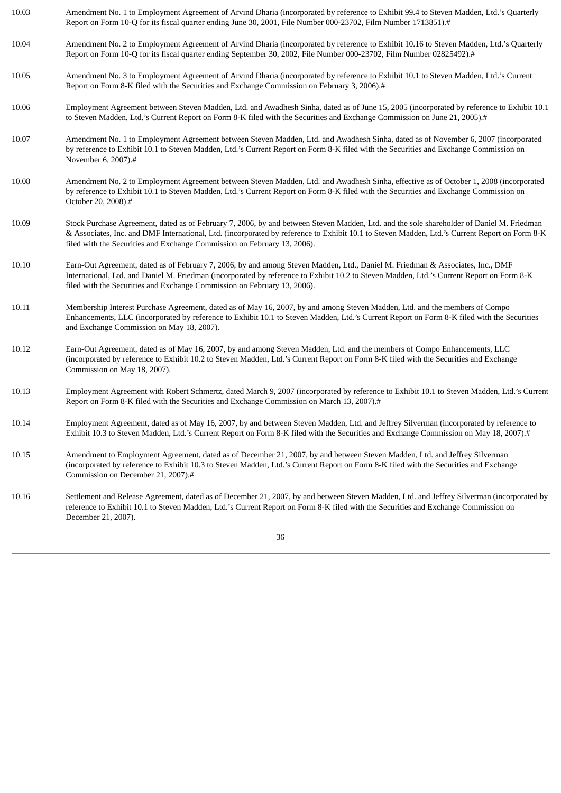- 10.03 Amendment No. 1 to Employment Agreement of Arvind Dharia (incorporated by reference to Exhibit 99.4 to Steven Madden, Ltd.'s Quarterly Report on Form 10-Q for its fiscal quarter ending June 30, 2001, File Number 000-23702, Film Number 1713851).#
- 10.04 Amendment No. 2 to Employment Agreement of Arvind Dharia (incorporated by reference to Exhibit 10.16 to Steven Madden, Ltd.'s Quarterly Report on Form 10-Q for its fiscal quarter ending September 30, 2002, File Number 000-23702, Film Number 02825492).#
- 10.05 Amendment No. 3 to Employment Agreement of Arvind Dharia (incorporated by reference to Exhibit 10.1 to Steven Madden, Ltd.'s Current Report on Form 8-K filed with the Securities and Exchange Commission on February 3, 2006).#
- 10.06 Employment Agreement between Steven Madden, Ltd. and Awadhesh Sinha, dated as of June 15, 2005 (incorporated by reference to Exhibit 10.1 to Steven Madden, Ltd.'s Current Report on Form 8-K filed with the Securities and Exchange Commission on June 21, 2005).#
- 10.07 Amendment No. 1 to Employment Agreement between Steven Madden, Ltd. and Awadhesh Sinha, dated as of November 6, 2007 (incorporated by reference to Exhibit 10.1 to Steven Madden, Ltd.'s Current Report on Form 8-K filed with the Securities and Exchange Commission on November 6, 2007).#
- 10.08 Amendment No. 2 to Employment Agreement between Steven Madden, Ltd. and Awadhesh Sinha, effective as of October 1, 2008 (incorporated by reference to Exhibit 10.1 to Steven Madden, Ltd.'s Current Report on Form 8-K filed with the Securities and Exchange Commission on October 20, 2008).#
- 10.09 Stock Purchase Agreement, dated as of February 7, 2006, by and between Steven Madden, Ltd. and the sole shareholder of Daniel M. Friedman & Associates, Inc. and DMF International, Ltd. (incorporated by reference to Exhibit 10.1 to Steven Madden, Ltd.'s Current Report on Form 8-K filed with the Securities and Exchange Commission on February 13, 2006).
- 10.10 Earn-Out Agreement, dated as of February 7, 2006, by and among Steven Madden, Ltd., Daniel M. Friedman & Associates, Inc., DMF International, Ltd. and Daniel M. Friedman (incorporated by reference to Exhibit 10.2 to Steven Madden, Ltd.'s Current Report on Form 8-K filed with the Securities and Exchange Commission on February 13, 2006).
- 10.11 Membership Interest Purchase Agreement, dated as of May 16, 2007, by and among Steven Madden, Ltd. and the members of Compo Enhancements, LLC (incorporated by reference to Exhibit 10.1 to Steven Madden, Ltd.'s Current Report on Form 8-K filed with the Securities and Exchange Commission on May 18, 2007).
- 10.12 Earn-Out Agreement, dated as of May 16, 2007, by and among Steven Madden, Ltd. and the members of Compo Enhancements, LLC (incorporated by reference to Exhibit 10.2 to Steven Madden, Ltd.'s Current Report on Form 8-K filed with the Securities and Exchange Commission on May 18, 2007).
- 10.13 Employment Agreement with Robert Schmertz, dated March 9, 2007 (incorporated by reference to Exhibit 10.1 to Steven Madden, Ltd.'s Current Report on Form 8-K filed with the Securities and Exchange Commission on March 13, 2007).#
- 10.14 Employment Agreement, dated as of May 16, 2007, by and between Steven Madden, Ltd. and Jeffrey Silverman (incorporated by reference to Exhibit 10.3 to Steven Madden, Ltd.'s Current Report on Form 8-K filed with the Securities and Exchange Commission on May 18, 2007).#
- 10.15 Amendment to Employment Agreement, dated as of December 21, 2007, by and between Steven Madden, Ltd. and Jeffrey Silverman (incorporated by reference to Exhibit 10.3 to Steven Madden, Ltd.'s Current Report on Form 8-K filed with the Securities and Exchange Commission on December 21, 2007).#
- 10.16 Settlement and Release Agreement, dated as of December 21, 2007, by and between Steven Madden, Ltd. and Jeffrey Silverman (incorporated by reference to Exhibit 10.1 to Steven Madden, Ltd.'s Current Report on Form 8-K filed with the Securities and Exchange Commission on December 21, 2007).

36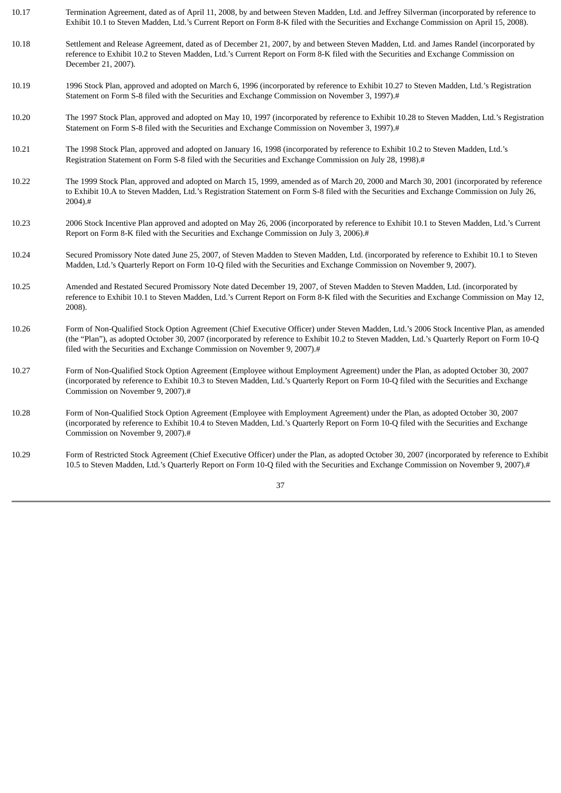- 10.17 Termination Agreement, dated as of April 11, 2008, by and between Steven Madden, Ltd. and Jeffrey Silverman (incorporated by reference to Exhibit 10.1 to Steven Madden, Ltd.'s Current Report on Form 8-K filed with the Securities and Exchange Commission on April 15, 2008).
- 10.18 Settlement and Release Agreement, dated as of December 21, 2007, by and between Steven Madden, Ltd. and James Randel (incorporated by reference to Exhibit 10.2 to Steven Madden, Ltd.'s Current Report on Form 8-K filed with the Securities and Exchange Commission on December 21, 2007).
- 10.19 1996 Stock Plan, approved and adopted on March 6, 1996 (incorporated by reference to Exhibit 10.27 to Steven Madden, Ltd.'s Registration Statement on Form S-8 filed with the Securities and Exchange Commission on November 3, 1997).#
- 10.20 The 1997 Stock Plan, approved and adopted on May 10, 1997 (incorporated by reference to Exhibit 10.28 to Steven Madden, Ltd.'s Registration Statement on Form S-8 filed with the Securities and Exchange Commission on November 3, 1997).#
- 10.21 The 1998 Stock Plan, approved and adopted on January 16, 1998 (incorporated by reference to Exhibit 10.2 to Steven Madden, Ltd.'s Registration Statement on Form S-8 filed with the Securities and Exchange Commission on July 28, 1998).#
- 10.22 The 1999 Stock Plan, approved and adopted on March 15, 1999, amended as of March 20, 2000 and March 30, 2001 (incorporated by reference to Exhibit 10.A to Steven Madden, Ltd.'s Registration Statement on Form S-8 filed with the Securities and Exchange Commission on July 26, 2004).#
- 10.23 2006 Stock Incentive Plan approved and adopted on May 26, 2006 (incorporated by reference to Exhibit 10.1 to Steven Madden, Ltd.'s Current Report on Form 8-K filed with the Securities and Exchange Commission on July 3, 2006).#
- 10.24 Secured Promissory Note dated June 25, 2007, of Steven Madden to Steven Madden, Ltd. (incorporated by reference to Exhibit 10.1 to Steven Madden, Ltd.'s Quarterly Report on Form 10-Q filed with the Securities and Exchange Commission on November 9, 2007).
- 10.25 Amended and Restated Secured Promissory Note dated December 19, 2007, of Steven Madden to Steven Madden, Ltd. (incorporated by reference to Exhibit 10.1 to Steven Madden, Ltd.'s Current Report on Form 8-K filed with the Securities and Exchange Commission on May 12, 2008).
- 10.26 Form of Non-Qualified Stock Option Agreement (Chief Executive Officer) under Steven Madden, Ltd.'s 2006 Stock Incentive Plan, as amended (the "Plan"), as adopted October 30, 2007 (incorporated by reference to Exhibit 10.2 to Steven Madden, Ltd.'s Quarterly Report on Form 10-Q filed with the Securities and Exchange Commission on November 9, 2007).#
- 10.27 Form of Non-Qualified Stock Option Agreement (Employee without Employment Agreement) under the Plan, as adopted October 30, 2007 (incorporated by reference to Exhibit 10.3 to Steven Madden, Ltd.'s Quarterly Report on Form 10-Q filed with the Securities and Exchange Commission on November 9, 2007).#
- 10.28 Form of Non-Qualified Stock Option Agreement (Employee with Employment Agreement) under the Plan, as adopted October 30, 2007 (incorporated by reference to Exhibit 10.4 to Steven Madden, Ltd.'s Quarterly Report on Form 10-Q filed with the Securities and Exchange Commission on November 9, 2007).#
- 10.29 Form of Restricted Stock Agreement (Chief Executive Officer) under the Plan, as adopted October 30, 2007 (incorporated by reference to Exhibit 10.5 to Steven Madden, Ltd.'s Quarterly Report on Form 10-Q filed with the Securities and Exchange Commission on November 9, 2007).#

37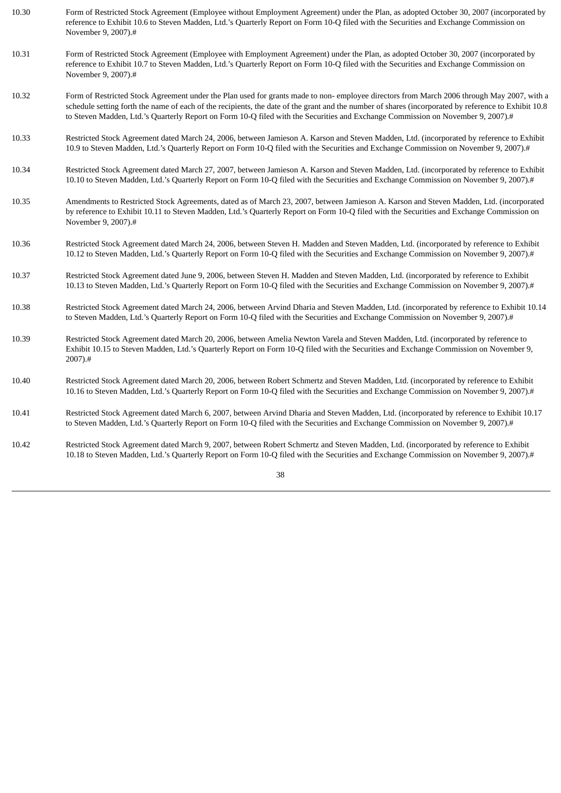- 10.30 Form of Restricted Stock Agreement (Employee without Employment Agreement) under the Plan, as adopted October 30, 2007 (incorporated by reference to Exhibit 10.6 to Steven Madden, Ltd.'s Quarterly Report on Form 10-Q filed with the Securities and Exchange Commission on November 9, 2007).#
- 10.31 Form of Restricted Stock Agreement (Employee with Employment Agreement) under the Plan, as adopted October 30, 2007 (incorporated by reference to Exhibit 10.7 to Steven Madden, Ltd.'s Quarterly Report on Form 10-Q filed with the Securities and Exchange Commission on November 9, 2007).#
- 10.32 Form of Restricted Stock Agreement under the Plan used for grants made to non- employee directors from March 2006 through May 2007, with a schedule setting forth the name of each of the recipients, the date of the grant and the number of shares (incorporated by reference to Exhibit 10.8 to Steven Madden, Ltd.'s Quarterly Report on Form 10-Q filed with the Securities and Exchange Commission on November 9, 2007).#
- 10.33 Restricted Stock Agreement dated March 24, 2006, between Jamieson A. Karson and Steven Madden, Ltd. (incorporated by reference to Exhibit 10.9 to Steven Madden, Ltd.'s Quarterly Report on Form 10-Q filed with the Securities and Exchange Commission on November 9, 2007).#
- 10.34 Restricted Stock Agreement dated March 27, 2007, between Jamieson A. Karson and Steven Madden, Ltd. (incorporated by reference to Exhibit 10.10 to Steven Madden, Ltd.'s Quarterly Report on Form 10-Q filed with the Securities and Exchange Commission on November 9, 2007).#
- 10.35 Amendments to Restricted Stock Agreements, dated as of March 23, 2007, between Jamieson A. Karson and Steven Madden, Ltd. (incorporated by reference to Exhibit 10.11 to Steven Madden, Ltd.'s Quarterly Report on Form 10-Q filed with the Securities and Exchange Commission on November 9, 2007).#
- 10.36 Restricted Stock Agreement dated March 24, 2006, between Steven H. Madden and Steven Madden, Ltd. (incorporated by reference to Exhibit 10.12 to Steven Madden, Ltd.'s Quarterly Report on Form 10-Q filed with the Securities and Exchange Commission on November 9, 2007).#
- 10.37 Restricted Stock Agreement dated June 9, 2006, between Steven H. Madden and Steven Madden, Ltd. (incorporated by reference to Exhibit 10.13 to Steven Madden, Ltd.'s Quarterly Report on Form 10-Q filed with the Securities and Exchange Commission on November 9, 2007).#
- 10.38 Restricted Stock Agreement dated March 24, 2006, between Arvind Dharia and Steven Madden, Ltd. (incorporated by reference to Exhibit 10.14 to Steven Madden, Ltd.'s Quarterly Report on Form 10-O filed with the Securities and Exchange Commission on November 9, 2007).#
- 10.39 Restricted Stock Agreement dated March 20, 2006, between Amelia Newton Varela and Steven Madden, Ltd. (incorporated by reference to Exhibit 10.15 to Steven Madden, Ltd.'s Quarterly Report on Form 10-Q filed with the Securities and Exchange Commission on November 9, 2007).#
- 10.40 Restricted Stock Agreement dated March 20, 2006, between Robert Schmertz and Steven Madden, Ltd. (incorporated by reference to Exhibit 10.16 to Steven Madden, Ltd.'s Quarterly Report on Form 10-Q filed with the Securities and Exchange Commission on November 9, 2007).#
- 10.41 Restricted Stock Agreement dated March 6, 2007, between Arvind Dharia and Steven Madden, Ltd. (incorporated by reference to Exhibit 10.17 to Steven Madden, Ltd.'s Quarterly Report on Form 10-Q filed with the Securities and Exchange Commission on November 9, 2007).#
- 10.42 Restricted Stock Agreement dated March 9, 2007, between Robert Schmertz and Steven Madden, Ltd. (incorporated by reference to Exhibit 10.18 to Steven Madden, Ltd.'s Quarterly Report on Form 10-Q filed with the Securities and Exchange Commission on November 9, 2007).#

38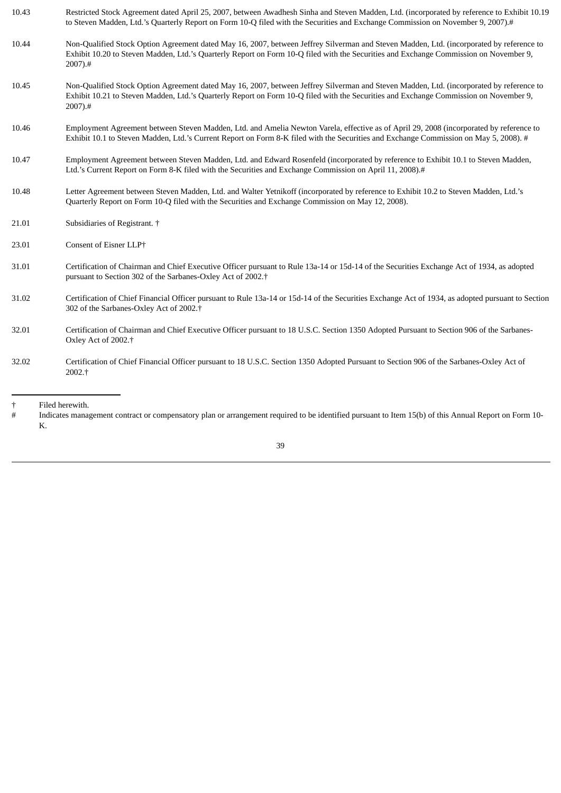- 10.43 Restricted Stock Agreement dated April 25, 2007, between Awadhesh Sinha and Steven Madden, Ltd. (incorporated by reference to Exhibit 10.19 to Steven Madden, Ltd.'s Quarterly Report on Form 10-Q filed with the Securities and Exchange Commission on November 9, 2007).#
- 10.44 Non-Qualified Stock Option Agreement dated May 16, 2007, between Jeffrey Silverman and Steven Madden, Ltd. (incorporated by reference to Exhibit 10.20 to Steven Madden, Ltd.'s Quarterly Report on Form 10-Q filed with the Securities and Exchange Commission on November 9, 2007).#
- 10.45 Non-Qualified Stock Option Agreement dated May 16, 2007, between Jeffrey Silverman and Steven Madden, Ltd. (incorporated by reference to Exhibit 10.21 to Steven Madden, Ltd.'s Quarterly Report on Form 10-Q filed with the Securities and Exchange Commission on November 9, 2007).#
- 10.46 Employment Agreement between Steven Madden, Ltd. and Amelia Newton Varela, effective as of April 29, 2008 (incorporated by reference to Exhibit 10.1 to Steven Madden, Ltd.'s Current Report on Form 8-K filed with the Securities and Exchange Commission on May 5, 2008). #
- 10.47 Employment Agreement between Steven Madden, Ltd. and Edward Rosenfeld (incorporated by reference to Exhibit 10.1 to Steven Madden, Ltd.'s Current Report on Form 8-K filed with the Securities and Exchange Commission on April 11, 2008).#
- 10.48 Letter Agreement between Steven Madden, Ltd. and Walter Yetnikoff (incorporated by reference to Exhibit 10.2 to Steven Madden, Ltd.'s Quarterly Report on Form 10-Q filed with the Securities and Exchange Commission on May 12, 2008).
- 21.01 Subsidiaries of Registrant. †
- 23.01 Consent of Eisner LLP†
- 31.01 Certification of Chairman and Chief Executive Officer pursuant to Rule 13a-14 or 15d-14 of the Securities Exchange Act of 1934, as adopted pursuant to Section 302 of the Sarbanes-Oxley Act of 2002.†
- 31.02 Certification of Chief Financial Officer pursuant to Rule 13a-14 or 15d-14 of the Securities Exchange Act of 1934, as adopted pursuant to Section 302 of the Sarbanes-Oxley Act of 2002.†
- 32.01 Certification of Chairman and Chief Executive Officer pursuant to 18 U.S.C. Section 1350 Adopted Pursuant to Section 906 of the Sarbanes-Oxley Act of 2002.†
- 32.02 Certification of Chief Financial Officer pursuant to 18 U.S.C. Section 1350 Adopted Pursuant to Section 906 of the Sarbanes-Oxley Act of 2002.†
- † Filed herewith.

Indicates management contract or compensatory plan or arrangement required to be identified pursuant to Item 15(b) of this Annual Report on Form 10-K.

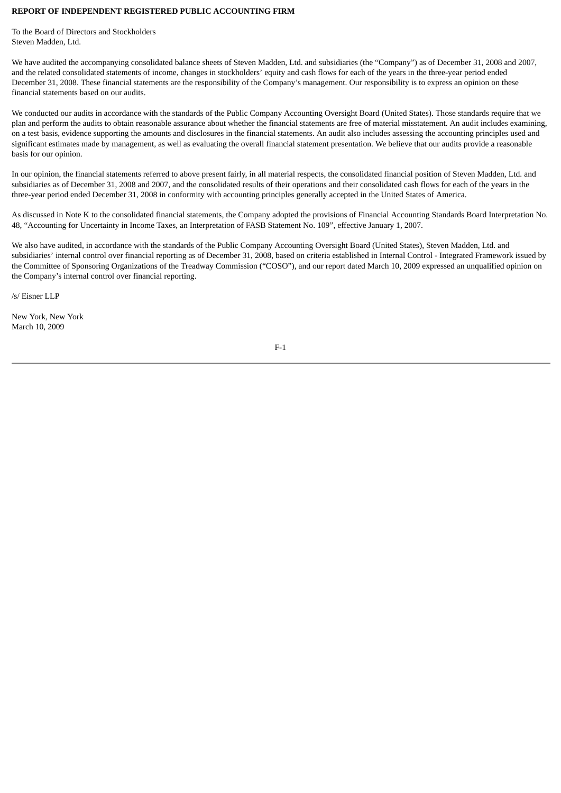# <span id="page-41-0"></span>**REPORT OF INDEPENDENT REGISTERED PUBLIC ACCOUNTING FIRM**

To the Board of Directors and Stockholders Steven Madden, Ltd.

We have audited the accompanying consolidated balance sheets of Steven Madden, Ltd. and subsidiaries (the "Company") as of December 31, 2008 and 2007, and the related consolidated statements of income, changes in stockholders' equity and cash flows for each of the years in the three-year period ended December 31, 2008. These financial statements are the responsibility of the Company's management. Our responsibility is to express an opinion on these financial statements based on our audits.

We conducted our audits in accordance with the standards of the Public Company Accounting Oversight Board (United States). Those standards require that we plan and perform the audits to obtain reasonable assurance about whether the financial statements are free of material misstatement. An audit includes examining, on a test basis, evidence supporting the amounts and disclosures in the financial statements. An audit also includes assessing the accounting principles used and significant estimates made by management, as well as evaluating the overall financial statement presentation. We believe that our audits provide a reasonable basis for our opinion.

In our opinion, the financial statements referred to above present fairly, in all material respects, the consolidated financial position of Steven Madden, Ltd. and subsidiaries as of December 31, 2008 and 2007, and the consolidated results of their operations and their consolidated cash flows for each of the years in the three-year period ended December 31, 2008 in conformity with accounting principles generally accepted in the United States of America.

As discussed in Note K to the consolidated financial statements, the Company adopted the provisions of Financial Accounting Standards Board Interpretation No. 48, "Accounting for Uncertainty in Income Taxes, an Interpretation of FASB Statement No. 109", effective January 1, 2007.

We also have audited, in accordance with the standards of the Public Company Accounting Oversight Board (United States), Steven Madden, Ltd. and subsidiaries' internal control over financial reporting as of December 31, 2008, based on criteria established in Internal Control - Integrated Framework issued by the Committee of Sponsoring Organizations of the Treadway Commission ("COSO"), and our report dated March 10, 2009 expressed an unqualified opinion on the Company's internal control over financial reporting.

/s/ Eisner LLP

New York, New York March 10, 2009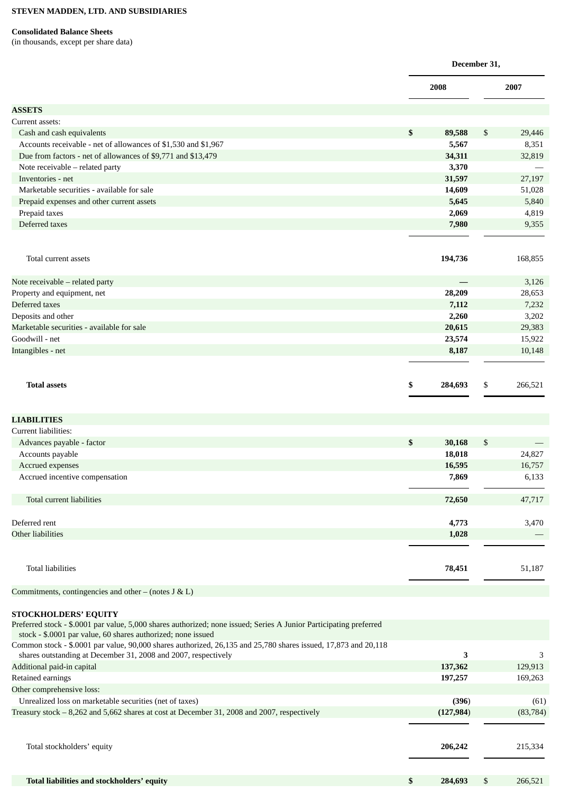# <span id="page-42-0"></span>**Consolidated Balance Sheets**

(in thousands, except per share data)

|                                                                                                                                                                                                                                                                                                                                                                                                       | December 31, |                     |               |                   |
|-------------------------------------------------------------------------------------------------------------------------------------------------------------------------------------------------------------------------------------------------------------------------------------------------------------------------------------------------------------------------------------------------------|--------------|---------------------|---------------|-------------------|
|                                                                                                                                                                                                                                                                                                                                                                                                       |              | 2008                |               | 2007              |
| <b>ASSETS</b>                                                                                                                                                                                                                                                                                                                                                                                         |              |                     |               |                   |
| Current assets:                                                                                                                                                                                                                                                                                                                                                                                       |              |                     |               |                   |
| Cash and cash equivalents                                                                                                                                                                                                                                                                                                                                                                             | $\$$         | 89,588              | \$            | 29,446            |
| Accounts receivable - net of allowances of \$1,530 and \$1,967                                                                                                                                                                                                                                                                                                                                        |              | 5,567               |               | 8,351             |
| Due from factors - net of allowances of \$9,771 and \$13,479                                                                                                                                                                                                                                                                                                                                          |              | 34,311              |               | 32,819            |
| Note receivable - related party                                                                                                                                                                                                                                                                                                                                                                       |              | 3,370               |               |                   |
| Inventories - net                                                                                                                                                                                                                                                                                                                                                                                     |              | 31,597              |               | 27,197            |
| Marketable securities - available for sale                                                                                                                                                                                                                                                                                                                                                            |              | 14,609              |               | 51,028            |
| Prepaid expenses and other current assets                                                                                                                                                                                                                                                                                                                                                             |              | 5,645               |               | 5,840             |
| Prepaid taxes                                                                                                                                                                                                                                                                                                                                                                                         |              | 2,069               |               | 4,819             |
| Deferred taxes                                                                                                                                                                                                                                                                                                                                                                                        |              | 7,980               |               | 9,355             |
| Total current assets                                                                                                                                                                                                                                                                                                                                                                                  |              | 194,736             |               | 168,855           |
| Note receivable - related party                                                                                                                                                                                                                                                                                                                                                                       |              |                     |               | 3,126             |
| Property and equipment, net                                                                                                                                                                                                                                                                                                                                                                           |              | 28,209              |               | 28,653            |
| Deferred taxes                                                                                                                                                                                                                                                                                                                                                                                        |              | 7,112               |               | 7,232             |
| Deposits and other                                                                                                                                                                                                                                                                                                                                                                                    |              | 2,260               |               | 3,202             |
| Marketable securities - available for sale                                                                                                                                                                                                                                                                                                                                                            |              | 20,615              |               | 29,383            |
| Goodwill - net                                                                                                                                                                                                                                                                                                                                                                                        |              | 23,574              |               | 15,922            |
| Intangibles - net                                                                                                                                                                                                                                                                                                                                                                                     |              | 8,187               |               | 10,148            |
| <b>Total assets</b>                                                                                                                                                                                                                                                                                                                                                                                   | S            | 284,693             | \$            | 266,521           |
| <b>LIABILITIES</b>                                                                                                                                                                                                                                                                                                                                                                                    |              |                     |               |                   |
| Current liabilities:                                                                                                                                                                                                                                                                                                                                                                                  |              |                     |               |                   |
| Advances payable - factor                                                                                                                                                                                                                                                                                                                                                                             | \$           | 30,168              | ${\mathbb S}$ |                   |
| Accounts payable                                                                                                                                                                                                                                                                                                                                                                                      |              | 18,018              |               | 24,827            |
| Accrued expenses                                                                                                                                                                                                                                                                                                                                                                                      |              | 16,595              |               | 16,757            |
| Accrued incentive compensation                                                                                                                                                                                                                                                                                                                                                                        |              | 7,869               |               | 6,133             |
|                                                                                                                                                                                                                                                                                                                                                                                                       |              |                     |               |                   |
| Total current liabilities                                                                                                                                                                                                                                                                                                                                                                             |              | 72,650              |               | 47,717            |
| Deferred rent                                                                                                                                                                                                                                                                                                                                                                                         |              | 4,773               |               | 3,470             |
| <b>Other liabilities</b>                                                                                                                                                                                                                                                                                                                                                                              |              | 1,028               |               |                   |
|                                                                                                                                                                                                                                                                                                                                                                                                       |              |                     |               |                   |
| <b>Total liabilities</b>                                                                                                                                                                                                                                                                                                                                                                              |              | 78,451              |               | 51,187            |
| Commitments, contingencies and other $-$ (notes J & L)                                                                                                                                                                                                                                                                                                                                                |              |                     |               |                   |
| <b>STOCKHOLDERS' EQUITY</b><br>Preferred stock - \$.0001 par value, 5,000 shares authorized; none issued; Series A Junior Participating preferred<br>stock - \$.0001 par value, 60 shares authorized; none issued<br>Common stock - \$.0001 par value, 90,000 shares authorized, 26,135 and 25,780 shares issued, 17,873 and 20,118<br>shares outstanding at December 31, 2008 and 2007, respectively |              | 3                   |               | 3                 |
| Additional paid-in capital                                                                                                                                                                                                                                                                                                                                                                            |              | 137,362             |               | 129,913           |
| Retained earnings                                                                                                                                                                                                                                                                                                                                                                                     |              | 197,257             |               | 169,263           |
| Other comprehensive loss:                                                                                                                                                                                                                                                                                                                                                                             |              |                     |               |                   |
| Unrealized loss on marketable securities (net of taxes)<br>Treasury stock - 8,262 and 5,662 shares at cost at December 31, 2008 and 2007, respectively                                                                                                                                                                                                                                                |              | (396)<br>(127, 984) |               | (61)<br>(83, 784) |
| Total stockholders' equity                                                                                                                                                                                                                                                                                                                                                                            |              | 206,242             |               | 215,334           |
| Total liabilities and stockholders' equity                                                                                                                                                                                                                                                                                                                                                            | \$           | 284,693             | \$            | 266,521           |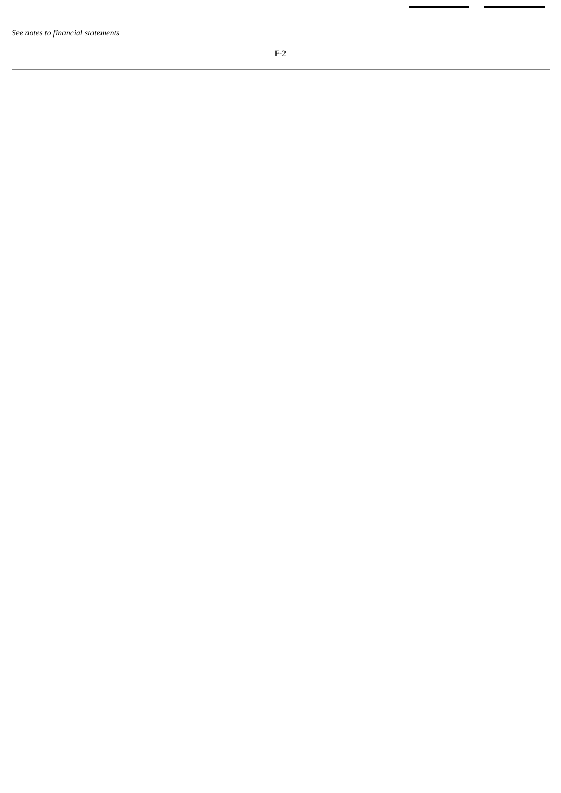*See notes to financial statements*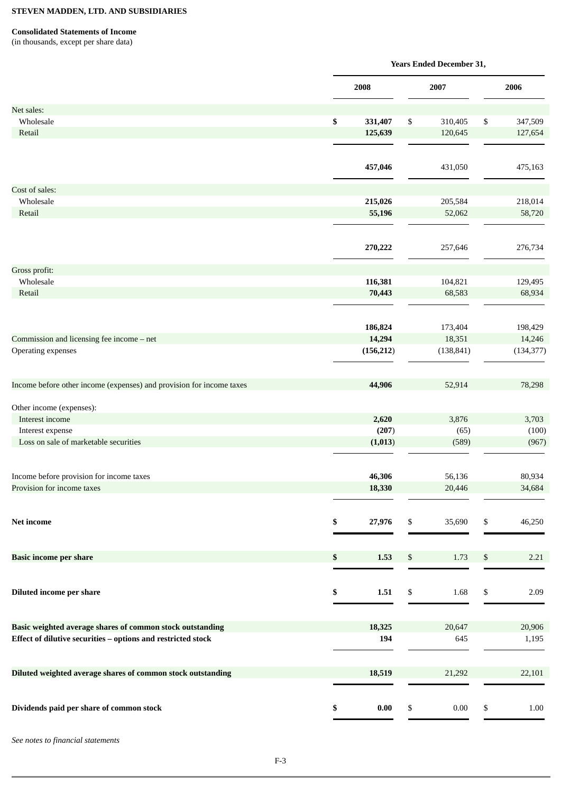#### <span id="page-44-0"></span>**Consolidated Statements of Income**

(in thousands, except per share data)

|                                                                      | <b>Years Ended December 31,</b> |               |            |    |            |  |
|----------------------------------------------------------------------|---------------------------------|---------------|------------|----|------------|--|
|                                                                      | 2008                            |               | 2007       |    | 2006       |  |
| Net sales:                                                           |                                 |               |            |    |            |  |
| Wholesale                                                            | \$<br>331,407                   | ${\mathbb S}$ | 310,405    | \$ | 347,509    |  |
| Retail                                                               | 125,639                         |               | 120,645    |    | 127,654    |  |
|                                                                      |                                 |               |            |    |            |  |
|                                                                      | 457,046                         |               | 431,050    |    | 475,163    |  |
| Cost of sales:                                                       |                                 |               |            |    |            |  |
| Wholesale                                                            | 215,026                         |               | 205,584    |    | 218,014    |  |
| Retail                                                               | 55,196                          |               | 52,062     |    | 58,720     |  |
|                                                                      |                                 |               |            |    |            |  |
|                                                                      | 270,222                         |               | 257,646    |    | 276,734    |  |
| Gross profit:                                                        |                                 |               |            |    |            |  |
| Wholesale                                                            | 116,381                         |               | 104,821    |    | 129,495    |  |
| Retail                                                               | 70,443                          |               | 68,583     |    | 68,934     |  |
|                                                                      |                                 |               |            |    |            |  |
|                                                                      | 186,824                         |               | 173,404    |    | 198,429    |  |
| Commission and licensing fee income - net                            | 14,294                          |               | 18,351     |    | 14,246     |  |
| Operating expenses                                                   | (156, 212)                      |               | (138, 841) |    | (134, 377) |  |
|                                                                      |                                 |               |            |    |            |  |
| Income before other income (expenses) and provision for income taxes | 44,906                          |               | 52,914     |    | 78,298     |  |
| Other income (expenses):                                             |                                 |               |            |    |            |  |
| Interest income                                                      | 2,620                           |               | 3,876      |    | 3,703      |  |
| Interest expense                                                     | (207)                           |               | (65)       |    | (100)      |  |
| Loss on sale of marketable securities                                | (1, 013)                        |               | (589)      |    | (967)      |  |
|                                                                      |                                 |               |            |    |            |  |
| Income before provision for income taxes                             | 46,306                          |               | 56,136     |    | 80,934     |  |
| Provision for income taxes                                           | 18,330                          |               | 20,446     |    | 34,684     |  |
|                                                                      |                                 |               |            |    |            |  |
| Net income                                                           | \$<br>27,976                    | \$            | 35,690     | \$ | 46,250     |  |
| <b>Basic income per share</b>                                        | \$<br>1.53                      | $\mathbb{S}$  | 1.73       | \$ | 2.21       |  |
|                                                                      |                                 |               |            |    |            |  |
| Diluted income per share                                             | \$<br>1.51                      | \$            | 1.68       | \$ | 2.09       |  |
|                                                                      |                                 |               |            |    |            |  |
| Basic weighted average shares of common stock outstanding            | 18,325                          |               | 20,647     |    | 20,906     |  |
| Effect of dilutive securities - options and restricted stock         | 194                             |               | 645        |    | 1,195      |  |
| Diluted weighted average shares of common stock outstanding          | 18,519                          |               | 21,292     |    | 22,101     |  |
|                                                                      |                                 |               |            |    |            |  |
| Dividends paid per share of common stock                             | \$<br>$0.00\,$                  | \$            | $0.00\,$   | \$ | 1.00       |  |

*See notes to financial statements*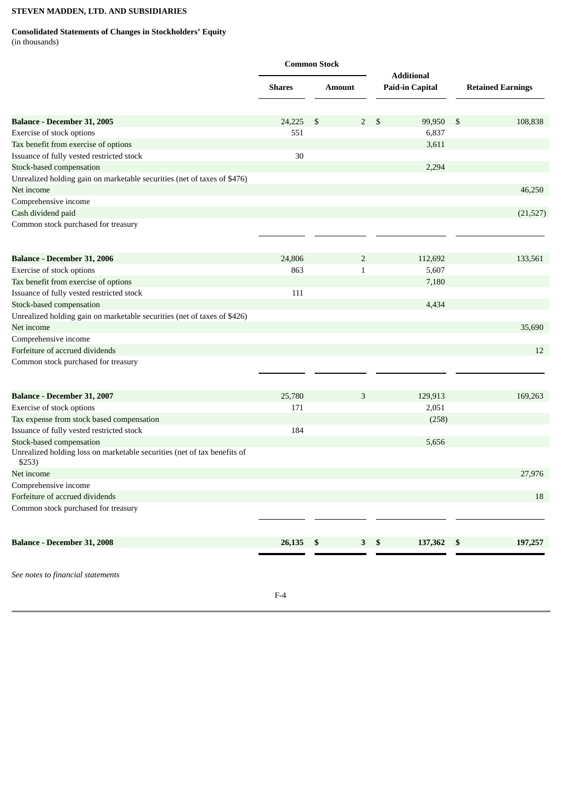# <span id="page-45-0"></span>**Consolidated Statements of Changes in Stockholders' Equity**

(in thousands)

|                                                                                    | <b>Common Stock</b> |      |               |              |                                             |         |                          |
|------------------------------------------------------------------------------------|---------------------|------|---------------|--------------|---------------------------------------------|---------|--------------------------|
|                                                                                    | <b>Shares</b>       |      | <b>Amount</b> |              | <b>Additional</b><br><b>Paid-in Capital</b> |         | <b>Retained Earnings</b> |
| <b>Balance - December 31, 2005</b>                                                 | 24,225              | \$   |               | $2^{\circ}$  | $\mathfrak{s}$                              | 99,950  | \$<br>108,838            |
| Exercise of stock options                                                          | 551                 |      |               |              |                                             | 6,837   |                          |
| Tax benefit from exercise of options                                               |                     |      |               |              |                                             | 3,611   |                          |
| Issuance of fully vested restricted stock                                          | 30                  |      |               |              |                                             |         |                          |
| Stock-based compensation                                                           |                     |      |               |              |                                             | 2,294   |                          |
| Unrealized holding gain on marketable securities (net of taxes of \$476)           |                     |      |               |              |                                             |         |                          |
| Net income                                                                         |                     |      |               |              |                                             |         | 46,250                   |
| Comprehensive income                                                               |                     |      |               |              |                                             |         |                          |
| Cash dividend paid                                                                 |                     |      |               |              |                                             |         | (21,527)                 |
| Common stock purchased for treasury                                                |                     |      |               |              |                                             |         |                          |
| Balance - December 31, 2006                                                        | 24,806              |      |               | 2            |                                             | 112,692 | 133,561                  |
| Exercise of stock options                                                          | 863                 |      |               | $\mathbf{1}$ |                                             | 5,607   |                          |
| Tax benefit from exercise of options                                               |                     |      |               |              |                                             | 7,180   |                          |
| Issuance of fully vested restricted stock                                          | 111                 |      |               |              |                                             |         |                          |
| Stock-based compensation                                                           |                     |      |               |              |                                             | 4,434   |                          |
| Unrealized holding gain on marketable securities (net of taxes of \$426)           |                     |      |               |              |                                             |         |                          |
| Net income                                                                         |                     |      |               |              |                                             |         | 35,690                   |
| Comprehensive income                                                               |                     |      |               |              |                                             |         |                          |
| Forfeiture of accrued dividends                                                    |                     |      |               |              |                                             |         | 12                       |
| Common stock purchased for treasury                                                |                     |      |               |              |                                             |         |                          |
|                                                                                    |                     |      |               |              |                                             |         |                          |
| Balance - December 31, 2007                                                        | 25,780              |      |               | 3            |                                             | 129,913 | 169,263                  |
| Exercise of stock options                                                          | 171                 |      |               |              |                                             | 2,051   |                          |
| Tax expense from stock based compensation                                          |                     |      |               |              |                                             | (258)   |                          |
| Issuance of fully vested restricted stock                                          | 184                 |      |               |              |                                             |         |                          |
| Stock-based compensation                                                           |                     |      |               |              |                                             | 5,656   |                          |
| Unrealized holding loss on marketable securities (net of tax benefits of<br>\$253) |                     |      |               |              |                                             |         |                          |
| Net income                                                                         |                     |      |               |              |                                             |         | 27,976                   |
| Comprehensive income                                                               |                     |      |               |              |                                             |         |                          |
| Forfeiture of accrued dividends                                                    |                     |      |               |              |                                             |         | 18                       |
| Common stock purchased for treasury                                                |                     |      |               |              |                                             |         |                          |
| Balance - December 31, 2008                                                        | 26,135              | - \$ |               |              | 3 <sup>5</sup>                              | 137,362 | \$<br>197,257            |
| See notes to financial statements                                                  |                     |      |               |              |                                             |         |                          |

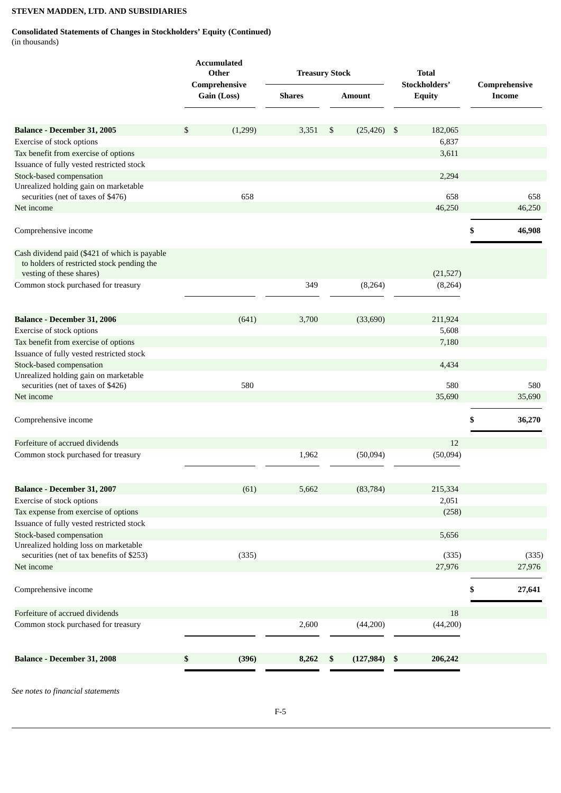# **Consolidated Statements of Changes in Stockholders' Equity (Continued)**

(in thousands)

|                                                                                                                         | <b>Accumulated</b><br>Other<br>Comprehensive | <b>Treasury Stock</b> |        |            | <b>Total</b>              | Stockholders' |    | Comprehensive |  |               |
|-------------------------------------------------------------------------------------------------------------------------|----------------------------------------------|-----------------------|--------|------------|---------------------------|---------------|----|---------------|--|---------------|
|                                                                                                                         | Gain (Loss)                                  | <b>Shares</b>         | Amount |            | <b>Equity</b>             |               |    |               |  | <b>Income</b> |
| Balance - December 31, 2005                                                                                             | \$<br>(1,299)                                | 3,351                 | \$     | (25, 426)  | $\mathfrak{s}$<br>182,065 |               |    |               |  |               |
| Exercise of stock options                                                                                               |                                              |                       |        |            | 6,837                     |               |    |               |  |               |
| Tax benefit from exercise of options                                                                                    |                                              |                       |        |            | 3,611                     |               |    |               |  |               |
| Issuance of fully vested restricted stock                                                                               |                                              |                       |        |            |                           |               |    |               |  |               |
| Stock-based compensation                                                                                                |                                              |                       |        |            | 2,294                     |               |    |               |  |               |
| Unrealized holding gain on marketable                                                                                   |                                              |                       |        |            |                           |               |    |               |  |               |
| securities (net of taxes of \$476)                                                                                      | 658                                          |                       |        |            |                           | 658           |    | 658           |  |               |
| Net income                                                                                                              |                                              |                       |        |            | 46,250                    |               |    | 46,250        |  |               |
| Comprehensive income                                                                                                    |                                              |                       |        |            |                           |               | \$ | 46,908        |  |               |
| Cash dividend paid (\$421 of which is payable<br>to holders of restricted stock pending the<br>vesting of these shares) |                                              |                       |        |            | (21,527)                  |               |    |               |  |               |
| Common stock purchased for treasury                                                                                     |                                              | 349                   |        | (8, 264)   | (8, 264)                  |               |    |               |  |               |
|                                                                                                                         |                                              |                       |        |            |                           |               |    |               |  |               |
| Balance - December 31, 2006                                                                                             | (641)                                        | 3,700                 |        | (33,690)   | 211,924                   |               |    |               |  |               |
| Exercise of stock options                                                                                               |                                              |                       |        |            | 5,608                     |               |    |               |  |               |
| Tax benefit from exercise of options                                                                                    |                                              |                       |        |            | 7,180                     |               |    |               |  |               |
| Issuance of fully vested restricted stock                                                                               |                                              |                       |        |            |                           |               |    |               |  |               |
| Stock-based compensation<br>Unrealized holding gain on marketable                                                       |                                              |                       |        |            | 4,434                     |               |    |               |  |               |
| securities (net of taxes of \$426)                                                                                      | 580                                          |                       |        |            |                           | 580           |    | 580           |  |               |
| Net income                                                                                                              |                                              |                       |        |            | 35,690                    |               |    | 35,690        |  |               |
| Comprehensive income                                                                                                    |                                              |                       |        |            |                           |               | \$ | 36,270        |  |               |
| Forfeiture of accrued dividends                                                                                         |                                              |                       |        |            |                           | 12            |    |               |  |               |
| Common stock purchased for treasury                                                                                     |                                              | 1,962                 |        | (50,094)   | (50,094)                  |               |    |               |  |               |
|                                                                                                                         |                                              |                       |        |            |                           |               |    |               |  |               |
| Balance - December 31, 2007                                                                                             | (61)                                         | 5,662                 |        | (83, 784)  | 215,334                   |               |    |               |  |               |
| Exercise of stock options                                                                                               |                                              |                       |        |            | 2,051                     |               |    |               |  |               |
| Tax expense from exercise of options                                                                                    |                                              |                       |        |            |                           | (258)         |    |               |  |               |
| Issuance of fully vested restricted stock                                                                               |                                              |                       |        |            |                           |               |    |               |  |               |
| Stock-based compensation<br>Unrealized holding loss on marketable                                                       |                                              |                       |        |            | 5,656                     |               |    |               |  |               |
| securities (net of tax benefits of \$253)                                                                               | (335)                                        |                       |        |            |                           | (335)         |    | (335)         |  |               |
| Net income                                                                                                              |                                              |                       |        |            | 27,976                    |               |    | 27,976        |  |               |
| Comprehensive income                                                                                                    |                                              |                       |        |            |                           |               | \$ | 27,641        |  |               |
| Forfeiture of accrued dividends                                                                                         |                                              |                       |        |            |                           | 18            |    |               |  |               |
| Common stock purchased for treasury                                                                                     |                                              | 2,600                 |        | (44,200)   | (44,200)                  |               |    |               |  |               |
|                                                                                                                         |                                              |                       |        |            |                           |               |    |               |  |               |
| Balance - December 31, 2008                                                                                             | \$<br>(396)                                  | 8,262                 | \$     | (127, 984) | 206,242<br>\$             |               |    |               |  |               |
| See notes to financial statements                                                                                       |                                              |                       |        |            |                           |               |    |               |  |               |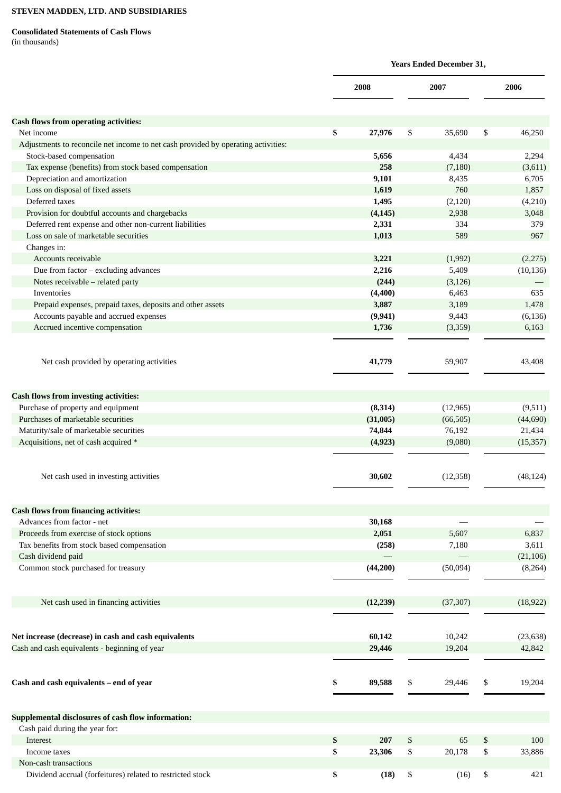#### <span id="page-47-0"></span>**Consolidated Statements of Cash Flows**

(in thousands)

|                                                                                   | <b>Years Ended December 31,</b> |                   |    |                  |                           |                  |
|-----------------------------------------------------------------------------------|---------------------------------|-------------------|----|------------------|---------------------------|------------------|
|                                                                                   |                                 | 2008              |    | 2007             |                           | 2006             |
| <b>Cash flows from operating activities:</b>                                      |                                 |                   |    |                  |                           |                  |
| Net income                                                                        | \$                              | 27,976            | \$ | 35,690           | \$                        | 46,250           |
| Adjustments to reconcile net income to net cash provided by operating activities: |                                 |                   |    |                  |                           |                  |
| Stock-based compensation                                                          |                                 | 5,656             |    | 4,434            |                           | 2,294            |
| Tax expense (benefits) from stock based compensation                              |                                 | 258               |    | (7, 180)         |                           | (3,611)          |
| Depreciation and amortization                                                     |                                 | 9,101             |    | 8,435            |                           | 6,705            |
| Loss on disposal of fixed assets                                                  |                                 | 1,619             |    | 760              |                           | 1,857            |
| Deferred taxes<br>Provision for doubtful accounts and chargebacks                 |                                 | 1,495<br>(4, 145) |    | (2,120)<br>2,938 |                           | (4,210)<br>3,048 |
| Deferred rent expense and other non-current liabilities                           |                                 | 2,331             |    | 334              |                           | 379              |
| Loss on sale of marketable securities                                             |                                 | 1,013             |    | 589              |                           | 967              |
| Changes in:                                                                       |                                 |                   |    |                  |                           |                  |
| Accounts receivable                                                               |                                 | 3,221             |    | (1,992)          |                           | (2,275)          |
| Due from factor - excluding advances                                              |                                 | 2,216             |    | 5,409            |                           | (10, 136)        |
| Notes receivable - related party                                                  |                                 | (244)             |    | (3, 126)         |                           |                  |
| Inventories                                                                       |                                 | (4, 400)          |    | 6,463            |                           | 635              |
| Prepaid expenses, prepaid taxes, deposits and other assets                        |                                 | 3,887             |    | 3,189            |                           | 1,478            |
| Accounts payable and accrued expenses                                             |                                 | (9, 941)          |    | 9,443            |                           | (6, 136)         |
| Accrued incentive compensation                                                    |                                 | 1,736             |    | (3,359)          |                           | 6,163            |
| Net cash provided by operating activities                                         |                                 | 41,779            |    | 59,907           |                           | 43,408           |
| <b>Cash flows from investing activities:</b>                                      |                                 |                   |    |                  |                           |                  |
| Purchase of property and equipment                                                |                                 | (8, 314)          |    | (12, 965)        |                           | (9,511)          |
| Purchases of marketable securities                                                |                                 | (31,005)          |    | (66, 505)        |                           | (44, 690)        |
| Maturity/sale of marketable securities                                            |                                 | 74,844            |    | 76,192           |                           | 21,434           |
| Acquisitions, net of cash acquired *                                              |                                 | (4, 923)          |    | (9,080)          |                           | (15, 357)        |
| Net cash used in investing activities                                             |                                 | 30,602            |    | (12, 358)        |                           | (48, 124)        |
| <b>Cash flows from financing activities:</b>                                      |                                 |                   |    |                  |                           |                  |
| Advances from factor - net                                                        |                                 | 30,168            |    |                  |                           |                  |
| Proceeds from exercise of stock options                                           |                                 | 2,051             |    | 5,607            |                           | 6,837            |
| Tax benefits from stock based compensation                                        |                                 | (258)             |    | 7,180            |                           | 3,611            |
| Cash dividend paid                                                                |                                 |                   |    |                  |                           | (21, 106)        |
| Common stock purchased for treasury                                               |                                 | (44, 200)         |    | (50,094)         |                           | (8, 264)         |
| Net cash used in financing activities                                             |                                 | (12, 239)         |    | (37, 307)        |                           | (18, 922)        |
| Net increase (decrease) in cash and cash equivalents                              |                                 | 60,142            |    | 10,242           |                           | (23, 638)        |
| Cash and cash equivalents - beginning of year                                     |                                 | 29,446            |    | 19,204           |                           | 42,842           |
| Cash and cash equivalents - end of year                                           | \$                              | 89,588            | \$ | 29,446           | \$                        | 19,204           |
| Supplemental disclosures of cash flow information:                                |                                 |                   |    |                  |                           |                  |
| Cash paid during the year for:<br>Interest                                        | \$                              | 207               | \$ | 65               | \$                        | 100              |
| Income taxes                                                                      | \$                              | 23,306            | \$ | 20,178           | \$                        | 33,886           |
| Non-cash transactions                                                             |                                 |                   |    |                  |                           |                  |
| Dividend accrual (forfeitures) related to restricted stock                        | \$                              | (18)              | \$ | (16)             | $\boldsymbol{\mathsf{S}}$ | 421              |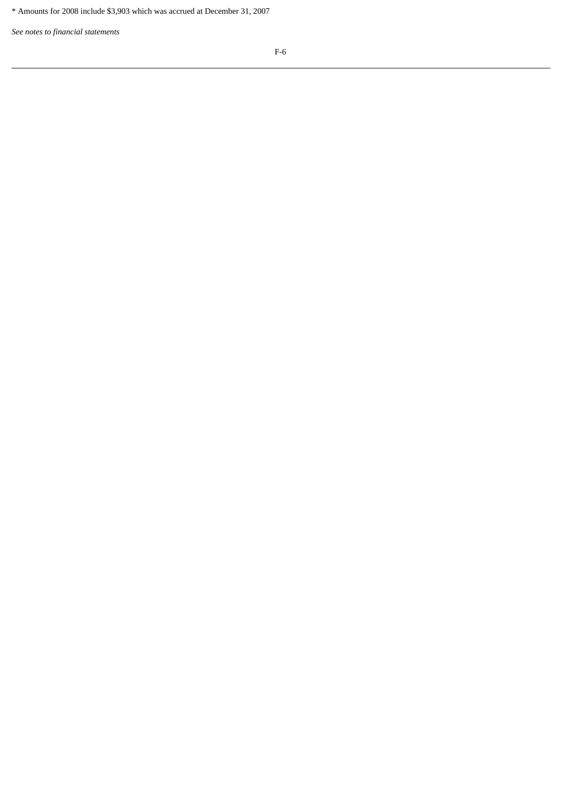\* Amounts for 2008 include \$3,903 which was accrued at December 31, 2007

*See notes to financial statements*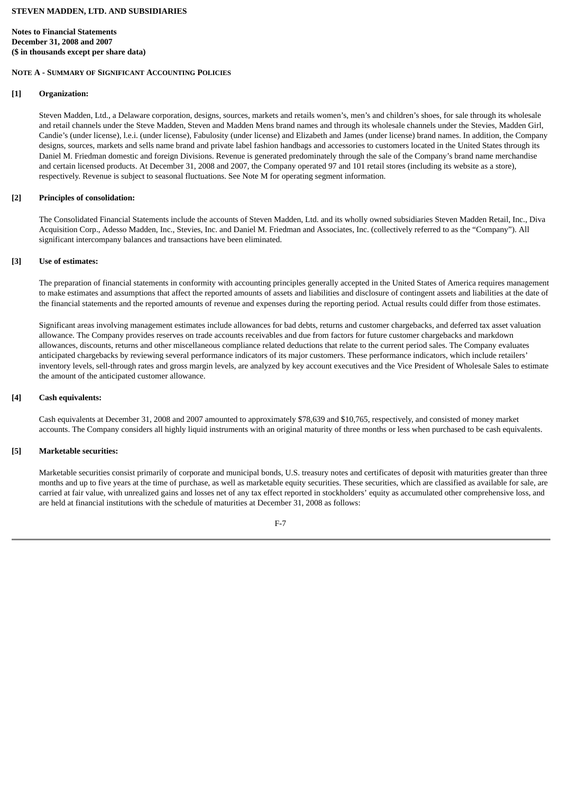<span id="page-49-0"></span>**Notes to Financial Statements December 31, 2008 and 2007 (\$ in thousands except per share data)**

#### **NOTE A - SUMMARY OF SIGNIFICANT ACCOUNTING POLICIES**

### **[1] Organization:**

Steven Madden, Ltd., a Delaware corporation, designs, sources, markets and retails women's, men's and children's shoes, for sale through its wholesale and retail channels under the Steve Madden, Steven and Madden Mens brand names and through its wholesale channels under the Stevies, Madden Girl, Candie's (under license), l.e.i. (under license), Fabulosity (under license) and Elizabeth and James (under license) brand names. In addition, the Company designs, sources, markets and sells name brand and private label fashion handbags and accessories to customers located in the United States through its Daniel M. Friedman domestic and foreign Divisions. Revenue is generated predominately through the sale of the Company's brand name merchandise and certain licensed products. At December 31, 2008 and 2007, the Company operated 97 and 101 retail stores (including its website as a store), respectively. Revenue is subject to seasonal fluctuations. See Note M for operating segment information.

### **[2] Principles of consolidation:**

The Consolidated Financial Statements include the accounts of Steven Madden, Ltd. and its wholly owned subsidiaries Steven Madden Retail, Inc., Diva Acquisition Corp., Adesso Madden, Inc., Stevies, Inc. and Daniel M. Friedman and Associates, Inc. (collectively referred to as the "Company"). All significant intercompany balances and transactions have been eliminated.

### **[3] Use of estimates:**

The preparation of financial statements in conformity with accounting principles generally accepted in the United States of America requires management to make estimates and assumptions that affect the reported amounts of assets and liabilities and disclosure of contingent assets and liabilities at the date of the financial statements and the reported amounts of revenue and expenses during the reporting period. Actual results could differ from those estimates.

Significant areas involving management estimates include allowances for bad debts, returns and customer chargebacks, and deferred tax asset valuation allowance. The Company provides reserves on trade accounts receivables and due from factors for future customer chargebacks and markdown allowances, discounts, returns and other miscellaneous compliance related deductions that relate to the current period sales. The Company evaluates anticipated chargebacks by reviewing several performance indicators of its major customers. These performance indicators, which include retailers' inventory levels, sell-through rates and gross margin levels, are analyzed by key account executives and the Vice President of Wholesale Sales to estimate the amount of the anticipated customer allowance.

### **[4] Cash equivalents:**

Cash equivalents at December 31, 2008 and 2007 amounted to approximately \$78,639 and \$10,765, respectively, and consisted of money market accounts. The Company considers all highly liquid instruments with an original maturity of three months or less when purchased to be cash equivalents.

### **[5] Marketable securities:**

Marketable securities consist primarily of corporate and municipal bonds, U.S. treasury notes and certificates of deposit with maturities greater than three months and up to five years at the time of purchase, as well as marketable equity securities. These securities, which are classified as available for sale, are carried at fair value, with unrealized gains and losses net of any tax effect reported in stockholders' equity as accumulated other comprehensive loss, and are held at financial institutions with the schedule of maturities at December 31, 2008 as follows: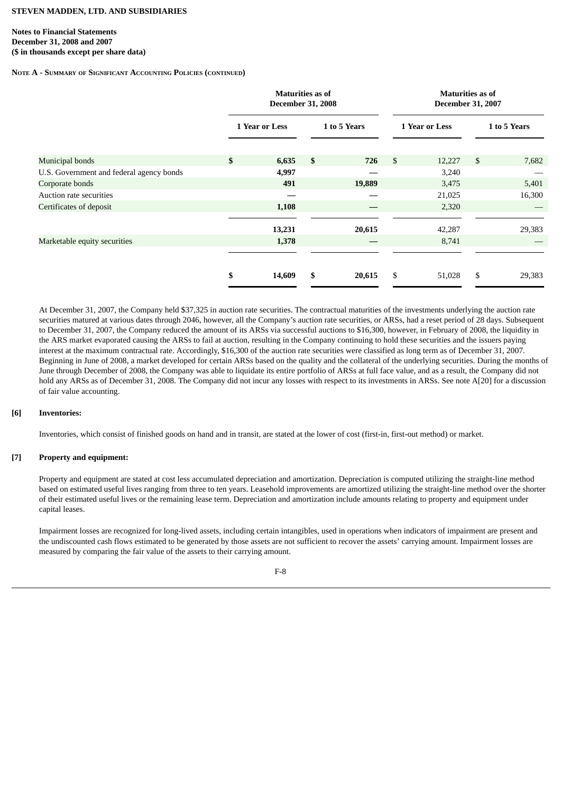### **Notes to Financial Statements December 31, 2008 and 2007 (\$ in thousands except per share data)**

#### **NOTE A - SUMMARY OF SIGNIFICANT ACCOUNTING POLICIES (CONTINUED)**

|                                          | <b>Maturities as of</b><br><b>December 31, 2008</b> |    |              |    |                | <b>Maturities as of</b><br><b>December 31, 2007</b> |              |  |  |
|------------------------------------------|-----------------------------------------------------|----|--------------|----|----------------|-----------------------------------------------------|--------------|--|--|
|                                          | 1 Year or Less                                      |    | 1 to 5 Years |    | 1 Year or Less |                                                     | 1 to 5 Years |  |  |
|                                          |                                                     |    |              |    |                |                                                     |              |  |  |
| Municipal bonds                          | \$<br>6,635                                         | \$ | 726          | \$ | 12,227         | \$                                                  | 7,682        |  |  |
| U.S. Government and federal agency bonds | 4,997                                               |    |              |    | 3,240          |                                                     |              |  |  |
| Corporate bonds                          | 491                                                 |    | 19,889       |    | 3,475          |                                                     | 5,401        |  |  |
| Auction rate securities                  |                                                     |    |              |    | 21,025         |                                                     | 16,300       |  |  |
| Certificates of deposit                  | 1,108                                               |    |              |    | 2,320          |                                                     |              |  |  |
|                                          |                                                     |    |              |    |                |                                                     |              |  |  |
|                                          | 13,231                                              |    | 20,615       |    | 42,287         |                                                     | 29,383       |  |  |
| Marketable equity securities             | 1,378                                               |    |              |    | 8,741          |                                                     |              |  |  |
|                                          |                                                     |    |              |    |                |                                                     |              |  |  |
|                                          | \$<br>14,609                                        | \$ | 20,615       | \$ | 51,028         | \$                                                  | 29,383       |  |  |
|                                          |                                                     |    |              |    |                |                                                     |              |  |  |

At December 31, 2007, the Company held \$37,325 in auction rate securities. The contractual maturities of the investments underlying the auction rate securities matured at various dates through 2046, however, all the Company's auction rate securities, or ARSs, had a reset period of 28 days. Subsequent to December 31, 2007, the Company reduced the amount of its ARSs via successful auctions to \$16,300, however, in February of 2008, the liquidity in the ARS market evaporated causing the ARSs to fail at auction, resulting in the Company continuing to hold these securities and the issuers paying interest at the maximum contractual rate. Accordingly, \$16,300 of the auction rate securities were classified as long term as of December 31, 2007. Beginning in June of 2008, a market developed for certain ARSs based on the quality and the collateral of the underlying securities. During the months of June through December of 2008, the Company was able to liquidate its entire portfolio of ARSs at full face value, and as a result, the Company did not hold any ARSs as of December 31, 2008. The Company did not incur any losses with respect to its investments in ARSs. See note A[20] for a discussion of fair value accounting.

#### **[6] Inventories:**

Inventories, which consist of finished goods on hand and in transit, are stated at the lower of cost (first-in, first-out method) or market.

### **[7] Property and equipment:**

Property and equipment are stated at cost less accumulated depreciation and amortization. Depreciation is computed utilizing the straight-line method based on estimated useful lives ranging from three to ten years. Leasehold improvements are amortized utilizing the straight-line method over the shorter of their estimated useful lives or the remaining lease term. Depreciation and amortization include amounts relating to property and equipment under capital leases.

Impairment losses are recognized for long-lived assets, including certain intangibles, used in operations when indicators of impairment are present and the undiscounted cash flows estimated to be generated by those assets are not sufficient to recover the assets' carrying amount. Impairment losses are measured by comparing the fair value of the assets to their carrying amount.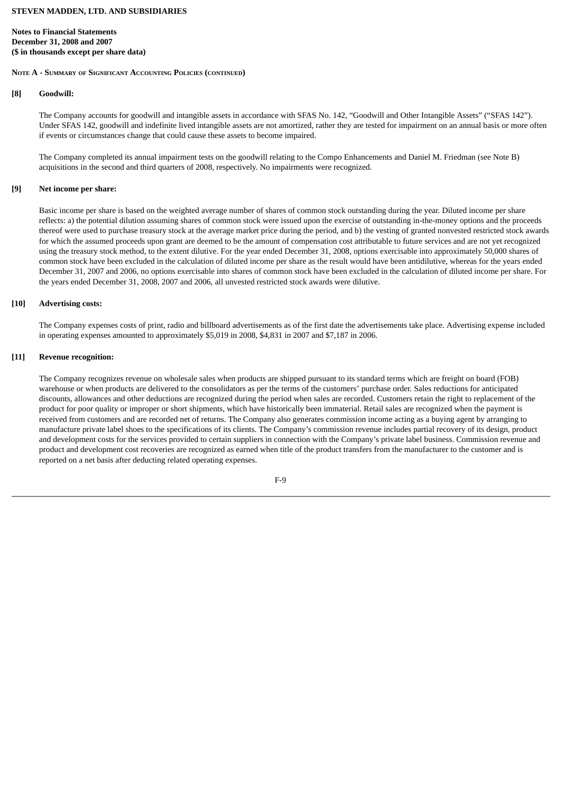### **Notes to Financial Statements December 31, 2008 and 2007 (\$ in thousands except per share data)**

#### **NOTE A - SUMMARY OF SIGNIFICANT ACCOUNTING POLICIES (CONTINUED)**

### **[8] Goodwill:**

The Company accounts for goodwill and intangible assets in accordance with SFAS No. 142, "Goodwill and Other Intangible Assets" ("SFAS 142"). Under SFAS 142, goodwill and indefinite lived intangible assets are not amortized, rather they are tested for impairment on an annual basis or more often if events or circumstances change that could cause these assets to become impaired.

The Company completed its annual impairment tests on the goodwill relating to the Compo Enhancements and Daniel M. Friedman (see Note B) acquisitions in the second and third quarters of 2008, respectively. No impairments were recognized.

### **[9] Net income per share:**

Basic income per share is based on the weighted average number of shares of common stock outstanding during the year. Diluted income per share reflects: a) the potential dilution assuming shares of common stock were issued upon the exercise of outstanding in-the-money options and the proceeds thereof were used to purchase treasury stock at the average market price during the period, and b) the vesting of granted nonvested restricted stock awards for which the assumed proceeds upon grant are deemed to be the amount of compensation cost attributable to future services and are not yet recognized using the treasury stock method, to the extent dilutive. For the year ended December 31, 2008, options exercisable into approximately 50,000 shares of common stock have been excluded in the calculation of diluted income per share as the result would have been antidilutive, whereas for the years ended December 31, 2007 and 2006, no options exercisable into shares of common stock have been excluded in the calculation of diluted income per share. For the years ended December 31, 2008, 2007 and 2006, all unvested restricted stock awards were dilutive.

### **[10] Advertising costs:**

The Company expenses costs of print, radio and billboard advertisements as of the first date the advertisements take place. Advertising expense included in operating expenses amounted to approximately \$5,019 in 2008, \$4,831 in 2007 and \$7,187 in 2006.

### **[11] Revenue recognition:**

The Company recognizes revenue on wholesale sales when products are shipped pursuant to its standard terms which are freight on board (FOB) warehouse or when products are delivered to the consolidators as per the terms of the customers' purchase order. Sales reductions for anticipated discounts, allowances and other deductions are recognized during the period when sales are recorded. Customers retain the right to replacement of the product for poor quality or improper or short shipments, which have historically been immaterial. Retail sales are recognized when the payment is received from customers and are recorded net of returns. The Company also generates commission income acting as a buying agent by arranging to manufacture private label shoes to the specifications of its clients. The Company's commission revenue includes partial recovery of its design, product and development costs for the services provided to certain suppliers in connection with the Company's private label business. Commission revenue and product and development cost recoveries are recognized as earned when title of the product transfers from the manufacturer to the customer and is reported on a net basis after deducting related operating expenses.

$$
F-9
$$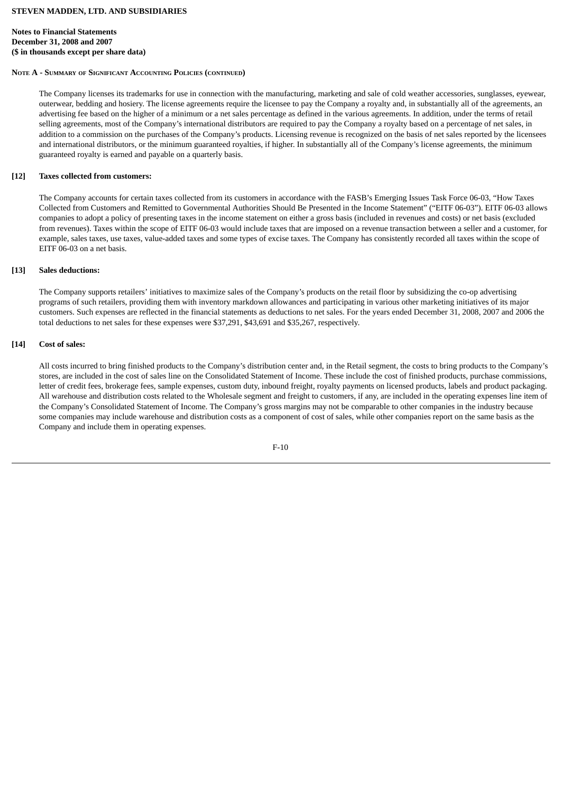### **Notes to Financial Statements December 31, 2008 and 2007 (\$ in thousands except per share data)**

#### **NOTE A - SUMMARY OF SIGNIFICANT ACCOUNTING POLICIES (CONTINUED)**

The Company licenses its trademarks for use in connection with the manufacturing, marketing and sale of cold weather accessories, sunglasses, eyewear, outerwear, bedding and hosiery. The license agreements require the licensee to pay the Company a royalty and, in substantially all of the agreements, an advertising fee based on the higher of a minimum or a net sales percentage as defined in the various agreements. In addition, under the terms of retail selling agreements, most of the Company's international distributors are required to pay the Company a royalty based on a percentage of net sales, in addition to a commission on the purchases of the Company's products. Licensing revenue is recognized on the basis of net sales reported by the licensees and international distributors, or the minimum guaranteed royalties, if higher. In substantially all of the Company's license agreements, the minimum guaranteed royalty is earned and payable on a quarterly basis.

#### **[12] Taxes collected from customers:**

The Company accounts for certain taxes collected from its customers in accordance with the FASB's Emerging Issues Task Force 06-03, "How Taxes Collected from Customers and Remitted to Governmental Authorities Should Be Presented in the Income Statement" ("EITF 06-03"). EITF 06-03 allows companies to adopt a policy of presenting taxes in the income statement on either a gross basis (included in revenues and costs) or net basis (excluded from revenues). Taxes within the scope of EITF 06-03 would include taxes that are imposed on a revenue transaction between a seller and a customer, for example, sales taxes, use taxes, value-added taxes and some types of excise taxes. The Company has consistently recorded all taxes within the scope of EITF 06-03 on a net basis.

### **[13] Sales deductions:**

The Company supports retailers' initiatives to maximize sales of the Company's products on the retail floor by subsidizing the co-op advertising programs of such retailers, providing them with inventory markdown allowances and participating in various other marketing initiatives of its major customers. Such expenses are reflected in the financial statements as deductions to net sales. For the years ended December 31, 2008, 2007 and 2006 the total deductions to net sales for these expenses were \$37,291, \$43,691 and \$35,267, respectively.

### **[14] Cost of sales:**

All costs incurred to bring finished products to the Company's distribution center and, in the Retail segment, the costs to bring products to the Company's stores, are included in the cost of sales line on the Consolidated Statement of Income. These include the cost of finished products, purchase commissions, letter of credit fees, brokerage fees, sample expenses, custom duty, inbound freight, royalty payments on licensed products, labels and product packaging. All warehouse and distribution costs related to the Wholesale segment and freight to customers, if any, are included in the operating expenses line item of the Company's Consolidated Statement of Income. The Company's gross margins may not be comparable to other companies in the industry because some companies may include warehouse and distribution costs as a component of cost of sales, while other companies report on the same basis as the Company and include them in operating expenses.

$$
F-10
$$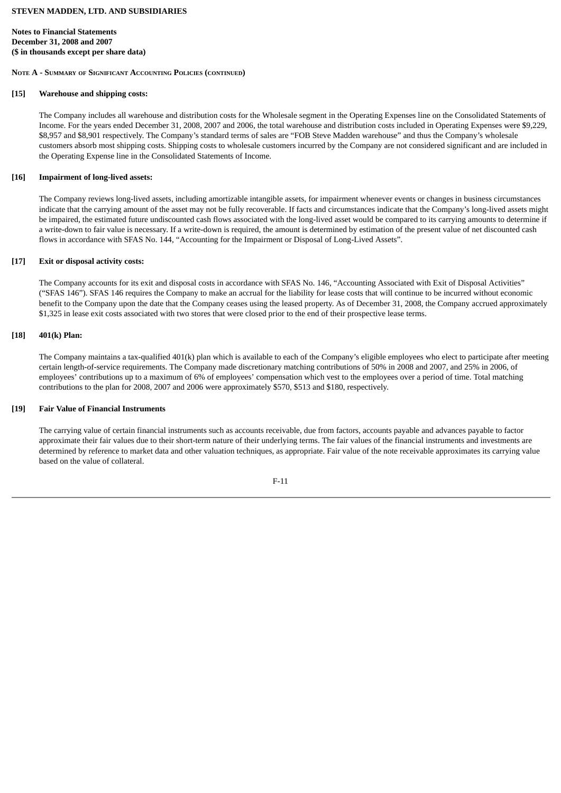**Notes to Financial Statements December 31, 2008 and 2007 (\$ in thousands except per share data)**

**NOTE A - SUMMARY OF SIGNIFICANT ACCOUNTING POLICIES (CONTINUED)**

### **[15] Warehouse and shipping costs:**

The Company includes all warehouse and distribution costs for the Wholesale segment in the Operating Expenses line on the Consolidated Statements of Income. For the years ended December 31, 2008, 2007 and 2006, the total warehouse and distribution costs included in Operating Expenses were \$9,229, \$8,957 and \$8,901 respectively. The Company's standard terms of sales are "FOB Steve Madden warehouse" and thus the Company's wholesale customers absorb most shipping costs. Shipping costs to wholesale customers incurred by the Company are not considered significant and are included in the Operating Expense line in the Consolidated Statements of Income.

### **[16] Impairment of long-lived assets:**

The Company reviews long-lived assets, including amortizable intangible assets, for impairment whenever events or changes in business circumstances indicate that the carrying amount of the asset may not be fully recoverable. If facts and circumstances indicate that the Company's long-lived assets might be impaired, the estimated future undiscounted cash flows associated with the long-lived asset would be compared to its carrying amounts to determine if a write-down to fair value is necessary. If a write-down is required, the amount is determined by estimation of the present value of net discounted cash flows in accordance with SFAS No. 144, "Accounting for the Impairment or Disposal of Long-Lived Assets".

### **[17] Exit or disposal activity costs:**

The Company accounts for its exit and disposal costs in accordance with SFAS No. 146, "Accounting Associated with Exit of Disposal Activities" ("SFAS 146"). SFAS 146 requires the Company to make an accrual for the liability for lease costs that will continue to be incurred without economic benefit to the Company upon the date that the Company ceases using the leased property. As of December 31, 2008, the Company accrued approximately \$1,325 in lease exit costs associated with two stores that were closed prior to the end of their prospective lease terms.

### **[18] 401(k) Plan:**

The Company maintains a tax-qualified 401(k) plan which is available to each of the Company's eligible employees who elect to participate after meeting certain length-of-service requirements. The Company made discretionary matching contributions of 50% in 2008 and 2007, and 25% in 2006, of employees' contributions up to a maximum of 6% of employees' compensation which vest to the employees over a period of time. Total matching contributions to the plan for 2008, 2007 and 2006 were approximately \$570, \$513 and \$180, respectively.

### **[19] Fair Value of Financial Instruments**

The carrying value of certain financial instruments such as accounts receivable, due from factors, accounts payable and advances payable to factor approximate their fair values due to their short-term nature of their underlying terms. The fair values of the financial instruments and investments are determined by reference to market data and other valuation techniques, as appropriate. Fair value of the note receivable approximates its carrying value based on the value of collateral.

$$
F-11
$$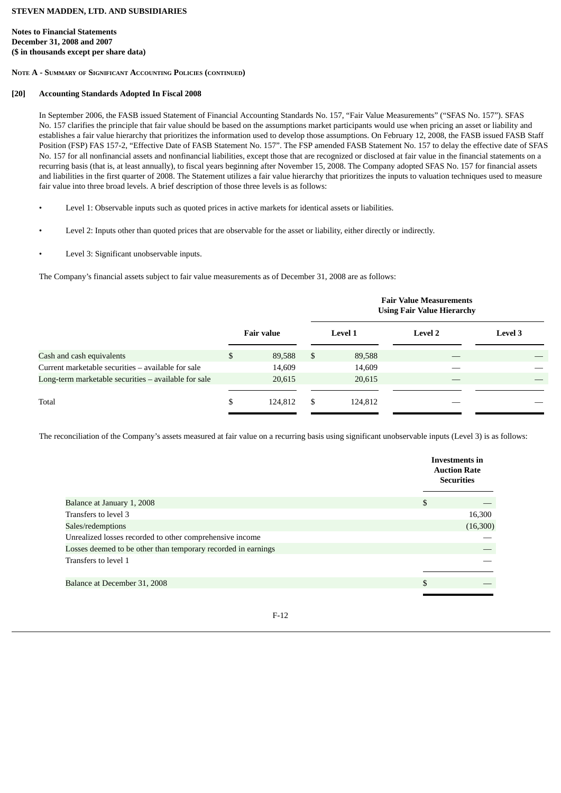### **Notes to Financial Statements December 31, 2008 and 2007 (\$ in thousands except per share data)**

**NOTE A - SUMMARY OF SIGNIFICANT ACCOUNTING POLICIES (CONTINUED)**

### **[20] Accounting Standards Adopted In Fiscal 2008**

In September 2006, the FASB issued Statement of Financial Accounting Standards No. 157, "Fair Value Measurements" ("SFAS No. 157"). SFAS No. 157 clarifies the principle that fair value should be based on the assumptions market participants would use when pricing an asset or liability and establishes a fair value hierarchy that prioritizes the information used to develop those assumptions. On February 12, 2008, the FASB issued FASB Staff Position (FSP) FAS 157-2, "Effective Date of FASB Statement No. 157". The FSP amended FASB Statement No. 157 to delay the effective date of SFAS No. 157 for all nonfinancial assets and nonfinancial liabilities, except those that are recognized or disclosed at fair value in the financial statements on a recurring basis (that is, at least annually), to fiscal years beginning after November 15, 2008. The Company adopted SFAS No. 157 for financial assets and liabilities in the first quarter of 2008. The Statement utilizes a fair value hierarchy that prioritizes the inputs to valuation techniques used to measure fair value into three broad levels. A brief description of those three levels is as follows:

- Level 1: Observable inputs such as quoted prices in active markets for identical assets or liabilities.
- Level 2: Inputs other than quoted prices that are observable for the asset or liability, either directly or indirectly.
- Level 3: Significant unobservable inputs.

The Company's financial assets subject to fair value measurements as of December 31, 2008 are as follows:

|                                                      |                   |                | <b>Using Fair Value Hierarchy</b> |                |
|------------------------------------------------------|-------------------|----------------|-----------------------------------|----------------|
|                                                      | <b>Fair value</b> | <b>Level 1</b> | <b>Level 2</b>                    | <b>Level 3</b> |
| Cash and cash equivalents                            | \$<br>89,588      | \$<br>89,588   |                                   |                |
| Current marketable securities – available for sale   | 14,609            | 14,609         |                                   |                |
| Long-term marketable securities - available for sale | 20,615            | 20,615         |                                   |                |
|                                                      |                   |                |                                   |                |
| Total                                                | \$<br>124,812     | \$<br>124,812  |                                   |                |

**Fair Value Measurements**

The reconciliation of the Company's assets measured at fair value on a recurring basis using significant unobservable inputs (Level 3) is as follows:

|                                                               | Investments in<br><b>Auction Rate</b><br><b>Securities</b> |
|---------------------------------------------------------------|------------------------------------------------------------|
| Balance at January 1, 2008                                    | \$                                                         |
| Transfers to level 3                                          | 16,300                                                     |
| Sales/redemptions                                             | (16, 300)                                                  |
| Unrealized losses recorded to other comprehensive income      |                                                            |
| Losses deemed to be other than temporary recorded in earnings |                                                            |
| Transfers to level 1                                          |                                                            |
|                                                               |                                                            |
| Balance at December 31, 2008                                  | \$                                                         |
|                                                               |                                                            |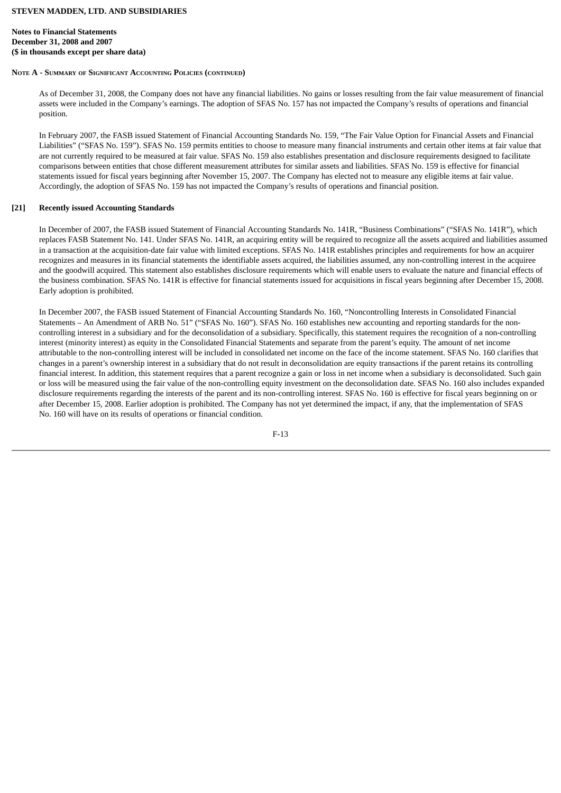### **Notes to Financial Statements December 31, 2008 and 2007 (\$ in thousands except per share data)**

#### **NOTE A - SUMMARY OF SIGNIFICANT ACCOUNTING POLICIES (CONTINUED)**

As of December 31, 2008, the Company does not have any financial liabilities. No gains or losses resulting from the fair value measurement of financial assets were included in the Company's earnings. The adoption of SFAS No. 157 has not impacted the Company's results of operations and financial position.

In February 2007, the FASB issued Statement of Financial Accounting Standards No. 159, "The Fair Value Option for Financial Assets and Financial Liabilities" ("SFAS No. 159"). SFAS No. 159 permits entities to choose to measure many financial instruments and certain other items at fair value that are not currently required to be measured at fair value. SFAS No. 159 also establishes presentation and disclosure requirements designed to facilitate comparisons between entities that chose different measurement attributes for similar assets and liabilities. SFAS No. 159 is effective for financial statements issued for fiscal years beginning after November 15, 2007. The Company has elected not to measure any eligible items at fair value. Accordingly, the adoption of SFAS No. 159 has not impacted the Company's results of operations and financial position.

### **[21] Recently issued Accounting Standards**

In December of 2007, the FASB issued Statement of Financial Accounting Standards No. 141R, "Business Combinations" ("SFAS No. 141R"), which replaces FASB Statement No. 141. Under SFAS No. 141R, an acquiring entity will be required to recognize all the assets acquired and liabilities assumed in a transaction at the acquisition-date fair value with limited exceptions. SFAS No. 141R establishes principles and requirements for how an acquirer recognizes and measures in its financial statements the identifiable assets acquired, the liabilities assumed, any non-controlling interest in the acquiree and the goodwill acquired. This statement also establishes disclosure requirements which will enable users to evaluate the nature and financial effects of the business combination. SFAS No. 141R is effective for financial statements issued for acquisitions in fiscal years beginning after December 15, 2008. Early adoption is prohibited.

In December 2007, the FASB issued Statement of Financial Accounting Standards No. 160, "Noncontrolling Interests in Consolidated Financial Statements – An Amendment of ARB No. 51" ("SFAS No. 160"). SFAS No. 160 establishes new accounting and reporting standards for the noncontrolling interest in a subsidiary and for the deconsolidation of a subsidiary. Specifically, this statement requires the recognition of a non-controlling interest (minority interest) as equity in the Consolidated Financial Statements and separate from the parent's equity. The amount of net income attributable to the non-controlling interest will be included in consolidated net income on the face of the income statement. SFAS No. 160 clarifies that changes in a parent's ownership interest in a subsidiary that do not result in deconsolidation are equity transactions if the parent retains its controlling financial interest. In addition, this statement requires that a parent recognize a gain or loss in net income when a subsidiary is deconsolidated. Such gain or loss will be measured using the fair value of the non-controlling equity investment on the deconsolidation date. SFAS No. 160 also includes expanded disclosure requirements regarding the interests of the parent and its non-controlling interest. SFAS No. 160 is effective for fiscal years beginning on or after December 15, 2008. Earlier adoption is prohibited. The Company has not yet determined the impact, if any, that the implementation of SFAS No. 160 will have on its results of operations or financial condition.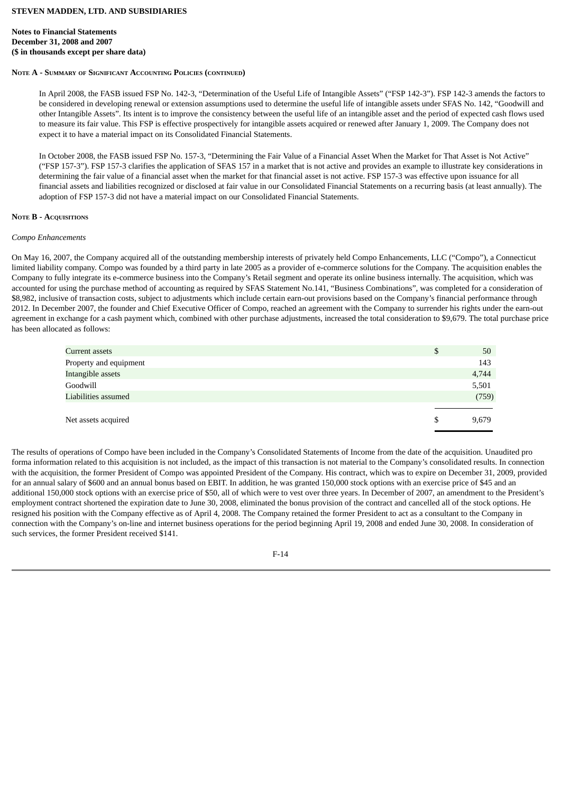### **Notes to Financial Statements December 31, 2008 and 2007 (\$ in thousands except per share data)**

#### **NOTE A - SUMMARY OF SIGNIFICANT ACCOUNTING POLICIES (CONTINUED)**

In April 2008, the FASB issued FSP No. 142-3, "Determination of the Useful Life of Intangible Assets" ("FSP 142-3"). FSP 142-3 amends the factors to be considered in developing renewal or extension assumptions used to determine the useful life of intangible assets under SFAS No. 142, "Goodwill and other Intangible Assets". Its intent is to improve the consistency between the useful life of an intangible asset and the period of expected cash flows used to measure its fair value. This FSP is effective prospectively for intangible assets acquired or renewed after January 1, 2009. The Company does not expect it to have a material impact on its Consolidated Financial Statements.

In October 2008, the FASB issued FSP No. 157-3, "Determining the Fair Value of a Financial Asset When the Market for That Asset is Not Active" ("FSP 157-3"). FSP 157-3 clarifies the application of SFAS 157 in a market that is not active and provides an example to illustrate key considerations in determining the fair value of a financial asset when the market for that financial asset is not active. FSP 157-3 was effective upon issuance for all financial assets and liabilities recognized or disclosed at fair value in our Consolidated Financial Statements on a recurring basis (at least annually). The adoption of FSP 157-3 did not have a material impact on our Consolidated Financial Statements.

#### **NOTE B - ACQUISITIONS**

#### *Compo Enhancements*

On May 16, 2007, the Company acquired all of the outstanding membership interests of privately held Compo Enhancements, LLC ("Compo"), a Connecticut limited liability company. Compo was founded by a third party in late 2005 as a provider of e-commerce solutions for the Company. The acquisition enables the Company to fully integrate its e-commerce business into the Company's Retail segment and operate its online business internally. The acquisition, which was accounted for using the purchase method of accounting as required by SFAS Statement No.141, "Business Combinations", was completed for a consideration of \$8,982, inclusive of transaction costs, subject to adjustments which include certain earn-out provisions based on the Company's financial performance through 2012. In December 2007, the founder and Chief Executive Officer of Compo, reached an agreement with the Company to surrender his rights under the earn-out agreement in exchange for a cash payment which, combined with other purchase adjustments, increased the total consideration to \$9,679. The total purchase price has been allocated as follows:

| Current assets         | S | 50    |
|------------------------|---|-------|
| Property and equipment |   | 143   |
| Intangible assets      |   | 4,744 |
| Goodwill               |   | 5,501 |
| Liabilities assumed    |   | (759) |
|                        |   |       |
| Net assets acquired    | S | 9,679 |

The results of operations of Compo have been included in the Company's Consolidated Statements of Income from the date of the acquisition. Unaudited pro forma information related to this acquisition is not included, as the impact of this transaction is not material to the Company's consolidated results. In connection with the acquisition, the former President of Compo was appointed President of the Company. His contract, which was to expire on December 31, 2009, provided for an annual salary of \$600 and an annual bonus based on EBIT. In addition, he was granted 150,000 stock options with an exercise price of \$45 and an additional 150,000 stock options with an exercise price of \$50, all of which were to vest over three years. In December of 2007, an amendment to the President's employment contract shortened the expiration date to June 30, 2008, eliminated the bonus provision of the contract and cancelled all of the stock options. He resigned his position with the Company effective as of April 4, 2008. The Company retained the former President to act as a consultant to the Company in connection with the Company's on-line and internet business operations for the period beginning April 19, 2008 and ended June 30, 2008. In consideration of such services, the former President received \$141.

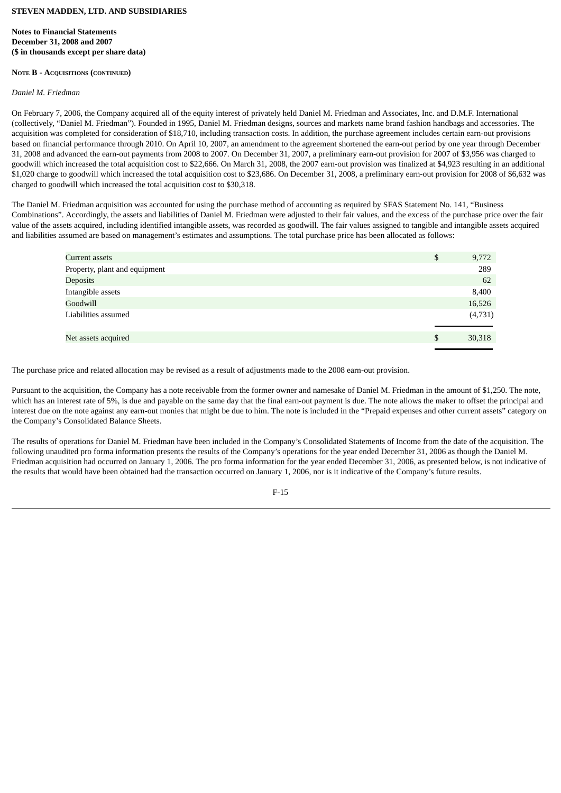### **Notes to Financial Statements December 31, 2008 and 2007 (\$ in thousands except per share data)**

#### **NOTE B - ACQUISITIONS (CONTINUED)**

### *Daniel M. Friedman*

On February 7, 2006, the Company acquired all of the equity interest of privately held Daniel M. Friedman and Associates, Inc. and D.M.F. International (collectively, "Daniel M. Friedman"). Founded in 1995, Daniel M. Friedman designs, sources and markets name brand fashion handbags and accessories. The acquisition was completed for consideration of \$18,710, including transaction costs. In addition, the purchase agreement includes certain earn-out provisions based on financial performance through 2010. On April 10, 2007, an amendment to the agreement shortened the earn-out period by one year through December 31, 2008 and advanced the earn-out payments from 2008 to 2007. On December 31, 2007, a preliminary earn-out provision for 2007 of \$3,956 was charged to goodwill which increased the total acquisition cost to \$22,666. On March 31, 2008, the 2007 earn-out provision was finalized at \$4,923 resulting in an additional \$1,020 charge to goodwill which increased the total acquisition cost to \$23,686. On December 31, 2008, a preliminary earn-out provision for 2008 of \$6,632 was charged to goodwill which increased the total acquisition cost to \$30,318.

The Daniel M. Friedman acquisition was accounted for using the purchase method of accounting as required by SFAS Statement No. 141, "Business Combinations". Accordingly, the assets and liabilities of Daniel M. Friedman were adjusted to their fair values, and the excess of the purchase price over the fair value of the assets acquired, including identified intangible assets, was recorded as goodwill. The fair values assigned to tangible and intangible assets acquired and liabilities assumed are based on management's estimates and assumptions. The total purchase price has been allocated as follows:

| Current assets                | \$<br>9,772  |
|-------------------------------|--------------|
| Property, plant and equipment | 289          |
| <b>Deposits</b>               | 62           |
| Intangible assets             | 8,400        |
| Goodwill                      | 16,526       |
| Liabilities assumed           | (4, 731)     |
|                               |              |
| Net assets acquired           | \$<br>30,318 |
|                               |              |

The purchase price and related allocation may be revised as a result of adjustments made to the 2008 earn-out provision.

Pursuant to the acquisition, the Company has a note receivable from the former owner and namesake of Daniel M. Friedman in the amount of \$1,250. The note, which has an interest rate of 5%, is due and payable on the same day that the final earn-out payment is due. The note allows the maker to offset the principal and interest due on the note against any earn-out monies that might be due to him. The note is included in the "Prepaid expenses and other current assets" category on the Company's Consolidated Balance Sheets.

The results of operations for Daniel M. Friedman have been included in the Company's Consolidated Statements of Income from the date of the acquisition. The following unaudited pro forma information presents the results of the Company's operations for the year ended December 31, 2006 as though the Daniel M. Friedman acquisition had occurred on January 1, 2006. The pro forma information for the year ended December 31, 2006, as presented below, is not indicative of the results that would have been obtained had the transaction occurred on January 1, 2006, nor is it indicative of the Company's future results.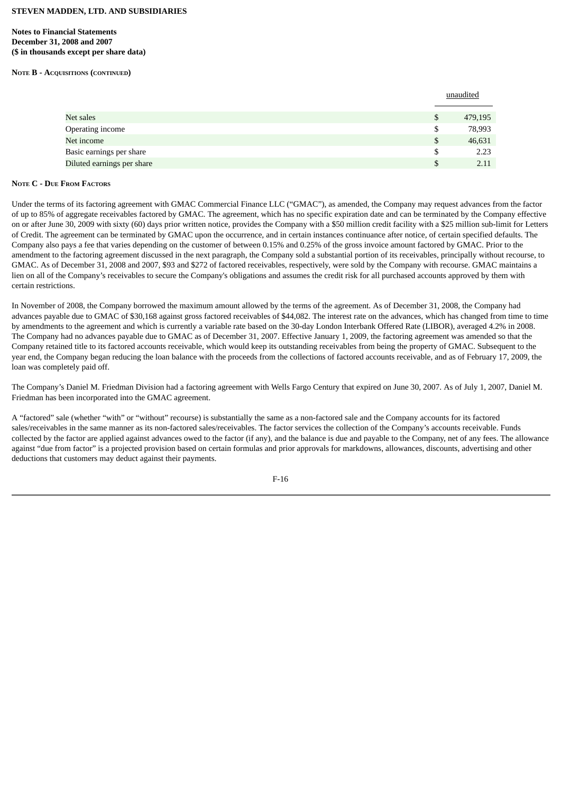### **Notes to Financial Statements December 31, 2008 and 2007 (\$ in thousands except per share data)**

**NOTE B - ACQUISITIONS (CONTINUED)**

|                            | unaudited     |
|----------------------------|---------------|
|                            |               |
| Net sales                  | \$<br>479,195 |
| Operating income           | \$<br>78,993  |
| Net income                 | \$<br>46,631  |
| Basic earnings per share   | \$<br>2.23    |
| Diluted earnings per share | \$<br>2.11    |
|                            |               |

#### **NOTE C - DUE FROM FACTORS**

Under the terms of its factoring agreement with GMAC Commercial Finance LLC ("GMAC"), as amended, the Company may request advances from the factor of up to 85% of aggregate receivables factored by GMAC. The agreement, which has no specific expiration date and can be terminated by the Company effective on or after June 30, 2009 with sixty (60) days prior written notice, provides the Company with a \$50 million credit facility with a \$25 million sub-limit for Letters of Credit. The agreement can be terminated by GMAC upon the occurrence, and in certain instances continuance after notice, of certain specified defaults. The Company also pays a fee that varies depending on the customer of between 0.15% and 0.25% of the gross invoice amount factored by GMAC. Prior to the amendment to the factoring agreement discussed in the next paragraph, the Company sold a substantial portion of its receivables, principally without recourse, to GMAC. As of December 31, 2008 and 2007, \$93 and \$272 of factored receivables, respectively, were sold by the Company with recourse. GMAC maintains a lien on all of the Company's receivables to secure the Company's obligations and assumes the credit risk for all purchased accounts approved by them with certain restrictions.

In November of 2008, the Company borrowed the maximum amount allowed by the terms of the agreement. As of December 31, 2008, the Company had advances payable due to GMAC of \$30,168 against gross factored receivables of \$44,082. The interest rate on the advances, which has changed from time to time by amendments to the agreement and which is currently a variable rate based on the 30-day London Interbank Offered Rate (LIBOR), averaged 4.2% in 2008. The Company had no advances payable due to GMAC as of December 31, 2007. Effective January 1, 2009, the factoring agreement was amended so that the Company retained title to its factored accounts receivable, which would keep its outstanding receivables from being the property of GMAC. Subsequent to the year end, the Company began reducing the loan balance with the proceeds from the collections of factored accounts receivable, and as of February 17, 2009, the loan was completely paid off.

The Company's Daniel M. Friedman Division had a factoring agreement with Wells Fargo Century that expired on June 30, 2007. As of July 1, 2007, Daniel M. Friedman has been incorporated into the GMAC agreement.

A "factored" sale (whether "with" or "without" recourse) is substantially the same as a non-factored sale and the Company accounts for its factored sales/receivables in the same manner as its non-factored sales/receivables. The factor services the collection of the Company's accounts receivable. Funds collected by the factor are applied against advances owed to the factor (if any), and the balance is due and payable to the Company, net of any fees. The allowance against "due from factor" is a projected provision based on certain formulas and prior approvals for markdowns, allowances, discounts, advertising and other deductions that customers may deduct against their payments.

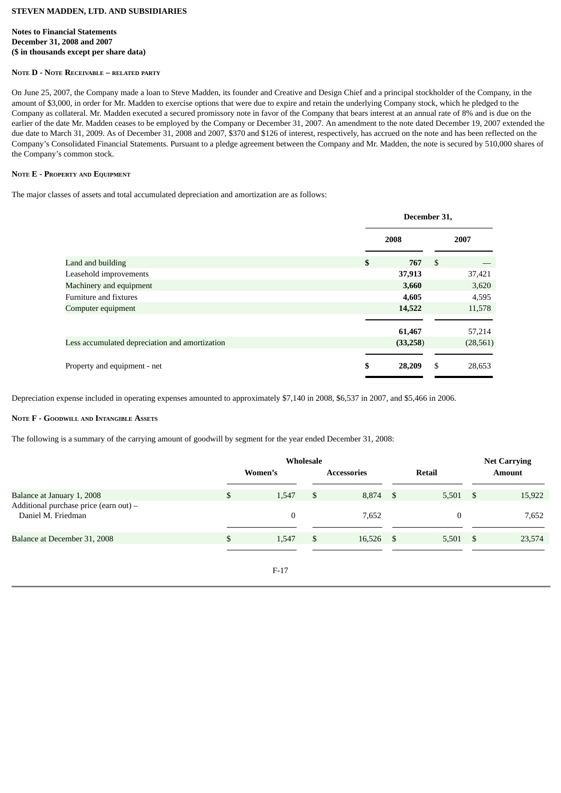### **Notes to Financial Statements December 31, 2008 and 2007 (\$ in thousands except per share data)**

#### **NOTE D - NOTE RECEIVABLE – RELATED PARTY**

On June 25, 2007, the Company made a loan to Steve Madden, its founder and Creative and Design Chief and a principal stockholder of the Company, in the amount of \$3,000, in order for Mr. Madden to exercise options that were due to expire and retain the underlying Company stock, which he pledged to the Company as collateral. Mr. Madden executed a secured promissory note in favor of the Company that bears interest at an annual rate of 8% and is due on the earlier of the date Mr. Madden ceases to be employed by the Company or December 31, 2007. An amendment to the note dated December 19, 2007 extended the due date to March 31, 2009. As of December 31, 2008 and 2007, \$370 and \$126 of interest, respectively, has accrued on the note and has been reflected on the Company's Consolidated Financial Statements. Pursuant to a pledge agreement between the Company and Mr. Madden, the note is secured by 510,000 shares of the Company's common stock.

#### **NOTE E - PROPERTY AND EQUIPMENT**

The major classes of assets and total accumulated depreciation and amortization are as follows:

|                                                | December 31, |    |           |  |
|------------------------------------------------|--------------|----|-----------|--|
|                                                | 2008         |    | 2007      |  |
| Land and building                              | \$<br>767    | \$ |           |  |
| Leasehold improvements                         | 37,913       |    | 37,421    |  |
| Machinery and equipment                        | 3,660        |    | 3,620     |  |
| Furniture and fixtures                         | 4,605        |    | 4,595     |  |
| Computer equipment                             | 14,522       |    | 11,578    |  |
|                                                |              |    |           |  |
|                                                | 61,467       |    | 57,214    |  |
| Less accumulated depreciation and amortization | (33,258)     |    | (28, 561) |  |
| Property and equipment - net                   | \$<br>28,209 | \$ | 28,653    |  |

Depreciation expense included in operating expenses amounted to approximately \$7,140 in 2008, \$6,537 in 2007, and \$5,466 in 2006.

### **NOTE F - GOODWILL AND INTANGIBLE ASSETS**

The following is a summary of the carrying amount of goodwill by segment for the year ended December 31, 2008:

|                                                              | Wholesale |              |    |                    | <b>Net Carrying</b> |               |  |               |
|--------------------------------------------------------------|-----------|--------------|----|--------------------|---------------------|---------------|--|---------------|
|                                                              |           | Women's      |    | <b>Accessories</b> |                     | <b>Retail</b> |  | <b>Amount</b> |
| Balance at January 1, 2008                                   | \$        | 1,547        | \$ | 8,874              | - \$                | $5,501$ \$    |  | 15,922        |
| Additional purchase price (earn out) -<br>Daniel M. Friedman |           | $\mathbf{0}$ |    | 7,652              |                     | $\bf{0}$      |  | 7,652         |
| Balance at December 31, 2008                                 | \$        | 1,547        | \$ | 16,526             | - \$                | $5,501$ \$    |  | 23,574        |
|                                                              |           | $F-17$       |    |                    |                     |               |  |               |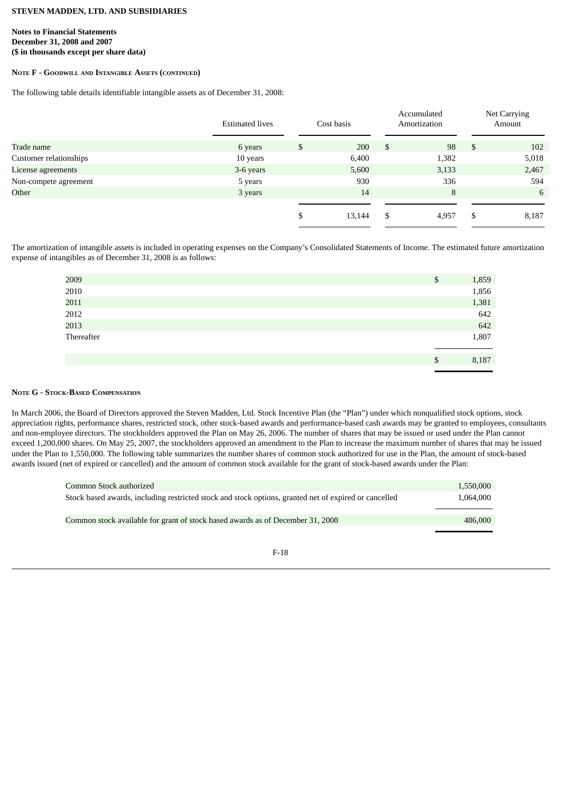### **Notes to Financial Statements December 31, 2008 and 2007 (\$ in thousands except per share data)**

#### **NOTE F - GOODWILL AND INTANGIBLE ASSETS (CONTINUED)**

The following table details identifiable intangible assets as of December 31, 2008:

|                        | <b>Estimated lives</b> | Cost basis   |    | Accumulated<br>Amortization |    | Net Carrying<br>Amount |
|------------------------|------------------------|--------------|----|-----------------------------|----|------------------------|
| Trade name             | 6 years                | \$<br>200    | \$ | 98                          | \$ | 102                    |
| Customer relationships | 10 years               | 6,400        |    | 1,382                       |    | 5,018                  |
| License agreements     | 3-6 years              | 5,600        |    | 3,133                       |    | 2,467                  |
| Non-compete agreement  | 5 years                | 930          |    | 336                         |    | 594                    |
| Other                  | 3 years                | 14           |    | 8                           |    | 6                      |
|                        |                        | \$<br>13,144 | S  | 4,957                       | S  | 8,187                  |

The amortization of intangible assets is included in operating expenses on the Company's Consolidated Statements of Income. The estimated future amortization expense of intangibles as of December 31, 2008 is as follows:

| 2009       | \$<br>1,859 |
|------------|-------------|
| 2010       | 1,856       |
| 2011       | 1,381       |
| 2012       | 642         |
| 2013       | 642         |
| Thereafter | 1,807       |
|            | \$<br>8,187 |

### **NOTE G - STOCK-BASED COMPENSATION**

In March 2006, the Board of Directors approved the Steven Madden, Ltd. Stock Incentive Plan (the "Plan") under which nonqualified stock options, stock appreciation rights, performance shares, restricted stock, other stock-based awards and performance-based cash awards may be granted to employees, consultants and non-employee directors. The stockholders approved the Plan on May 26, 2006. The number of shares that may be issued or used under the Plan cannot exceed 1,200,000 shares. On May 25, 2007, the stockholders approved an amendment to the Plan to increase the maximum number of shares that may be issued under the Plan to 1,550,000. The following table summarizes the number shares of common stock authorized for use in the Plan, the amount of stock-based awards issued (net of expired or cancelled) and the amount of common stock available for the grant of stock-based awards under the Plan:

| Common Stock authorized                                                                               | 1,550,000 |
|-------------------------------------------------------------------------------------------------------|-----------|
| Stock based awards, including restricted stock and stock options, granted net of expired or cancelled | 1.064.000 |
|                                                                                                       |           |
| Common stock available for grant of stock based awards as of December 31, 2008                        | 486,000   |
|                                                                                                       |           |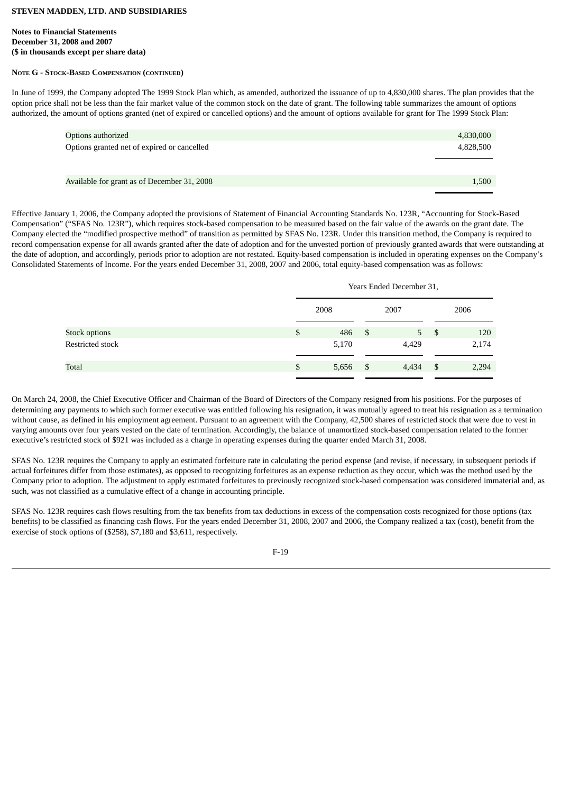### **Notes to Financial Statements December 31, 2008 and 2007 (\$ in thousands except per share data)**

#### **NOTE G - STOCK-BASED COMPENSATION (CONTINUED)**

In June of 1999, the Company adopted The 1999 Stock Plan which, as amended, authorized the issuance of up to 4,830,000 shares. The plan provides that the option price shall not be less than the fair market value of the common stock on the date of grant. The following table summarizes the amount of options authorized, the amount of options granted (net of expired or cancelled options) and the amount of options available for grant for The 1999 Stock Plan:

| Options authorized                          | 4,830,000 |
|---------------------------------------------|-----------|
| Options granted net of expired or cancelled | 4,828,500 |
|                                             |           |
|                                             |           |
| Available for grant as of December 31, 2008 | 1,500     |
|                                             |           |

Effective January 1, 2006, the Company adopted the provisions of Statement of Financial Accounting Standards No. 123R, "Accounting for Stock-Based Compensation" ("SFAS No. 123R"), which requires stock-based compensation to be measured based on the fair value of the awards on the grant date. The Company elected the "modified prospective method" of transition as permitted by SFAS No. 123R. Under this transition method, the Company is required to record compensation expense for all awards granted after the date of adoption and for the unvested portion of previously granted awards that were outstanding at the date of adoption, and accordingly, periods prior to adoption are not restated. Equity-based compensation is included in operating expenses on the Company's Consolidated Statements of Income. For the years ended December 31, 2008, 2007 and 2006, total equity-based compensation was as follows:

|                      | Years Ended December 31, |      |       |     |       |  |
|----------------------|--------------------------|------|-------|-----|-------|--|
|                      | 2008                     |      | 2007  |     | 2006  |  |
| <b>Stock options</b> | \$<br>486                | -\$  | 5     | -\$ | 120   |  |
| Restricted stock     | 5,170                    |      | 4,429 |     | 2,174 |  |
| <b>Total</b>         | \$<br>5,656              | - \$ | 4,434 | -\$ | 2,294 |  |

On March 24, 2008, the Chief Executive Officer and Chairman of the Board of Directors of the Company resigned from his positions. For the purposes of determining any payments to which such former executive was entitled following his resignation, it was mutually agreed to treat his resignation as a termination without cause, as defined in his employment agreement. Pursuant to an agreement with the Company, 42,500 shares of restricted stock that were due to vest in varying amounts over four years vested on the date of termination. Accordingly, the balance of unamortized stock-based compensation related to the former executive's restricted stock of \$921 was included as a charge in operating expenses during the quarter ended March 31, 2008.

SFAS No. 123R requires the Company to apply an estimated forfeiture rate in calculating the period expense (and revise, if necessary, in subsequent periods if actual forfeitures differ from those estimates), as opposed to recognizing forfeitures as an expense reduction as they occur, which was the method used by the Company prior to adoption. The adjustment to apply estimated forfeitures to previously recognized stock-based compensation was considered immaterial and, as such, was not classified as a cumulative effect of a change in accounting principle.

SFAS No. 123R requires cash flows resulting from the tax benefits from tax deductions in excess of the compensation costs recognized for those options (tax benefits) to be classified as financing cash flows. For the years ended December 31, 2008, 2007 and 2006, the Company realized a tax (cost), benefit from the exercise of stock options of (\$258), \$7,180 and \$3,611, respectively.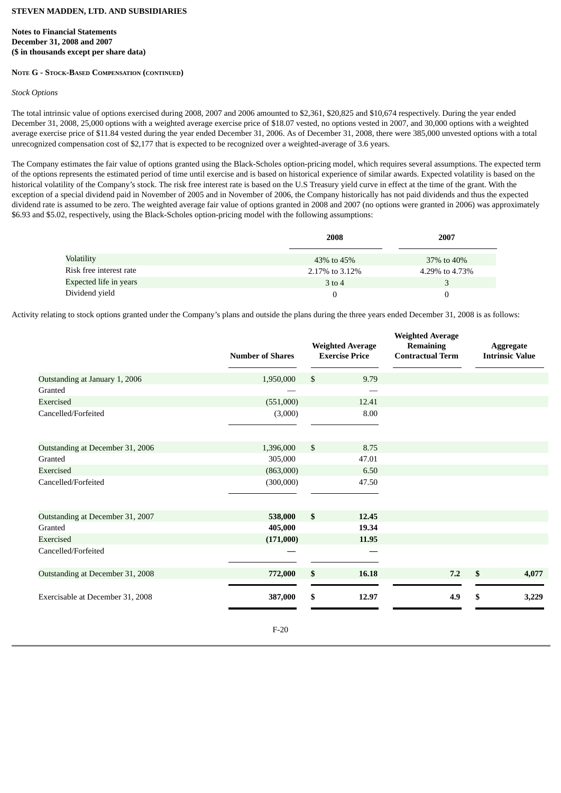### **Notes to Financial Statements December 31, 2008 and 2007 (\$ in thousands except per share data)**

### **NOTE G - STOCK-BASED COMPENSATION (CONTINUED)**

### *Stock Options*

The total intrinsic value of options exercised during 2008, 2007 and 2006 amounted to \$2,361, \$20,825 and \$10,674 respectively. During the year ended December 31, 2008, 25,000 options with a weighted average exercise price of \$18.07 vested, no options vested in 2007, and 30,000 options with a weighted average exercise price of \$11.84 vested during the year ended December 31, 2006. As of December 31, 2008, there were 385,000 unvested options with a total unrecognized compensation cost of \$2,177 that is expected to be recognized over a weighted-average of 3.6 years.

The Company estimates the fair value of options granted using the Black-Scholes option-pricing model, which requires several assumptions. The expected term of the options represents the estimated period of time until exercise and is based on historical experience of similar awards. Expected volatility is based on the historical volatility of the Company's stock. The risk free interest rate is based on the U.S Treasury yield curve in effect at the time of the grant. With the exception of a special dividend paid in November of 2005 and in November of 2006, the Company historically has not paid dividends and thus the expected dividend rate is assumed to be zero. The weighted average fair value of options granted in 2008 and 2007 (no options were granted in 2006) was approximately \$6.93 and \$5.02, respectively, using the Black-Scholes option-pricing model with the following assumptions:

|                         | 2008           | 2007           |
|-------------------------|----------------|----------------|
| Volatility              | 43\% to 45\%   | 37% to 40%     |
| Risk free interest rate | 2.17% to 3.12% | 4.29% to 4.73% |
| Expected life in years  | $3$ to 4       |                |
| Dividend yield          |                | O              |

Activity relating to stock options granted under the Company's plans and outside the plans during the three years ended December 31, 2008 is as follows:

|                                  | <b>Number of Shares</b> |              | <b>Weighted Average</b><br><b>Exercise Price</b> | <b>Weighted Average</b><br><b>Remaining</b><br><b>Contractual Term</b> | Aggregate<br><b>Intrinsic Value</b> |
|----------------------------------|-------------------------|--------------|--------------------------------------------------|------------------------------------------------------------------------|-------------------------------------|
| Outstanding at January 1, 2006   | 1,950,000               | $\mathbb{S}$ | 9.79                                             |                                                                        |                                     |
| Granted                          |                         |              | $\qquad \qquad$                                  |                                                                        |                                     |
| <b>Exercised</b>                 | (551,000)               |              | 12.41                                            |                                                                        |                                     |
| Cancelled/Forfeited              | (3,000)                 |              | 8.00                                             |                                                                        |                                     |
| Outstanding at December 31, 2006 | 1,396,000               | \$           | 8.75                                             |                                                                        |                                     |
| Granted                          | 305,000                 |              | 47.01                                            |                                                                        |                                     |
| <b>Exercised</b>                 | (863,000)               |              | 6.50                                             |                                                                        |                                     |
| Cancelled/Forfeited              | (300,000)               |              | 47.50                                            |                                                                        |                                     |
| Outstanding at December 31, 2007 | 538,000                 | \$           | 12.45                                            |                                                                        |                                     |
| Granted                          | 405,000                 |              | 19.34                                            |                                                                        |                                     |
| <b>Exercised</b>                 | (171,000)               |              | 11.95                                            |                                                                        |                                     |
| Cancelled/Forfeited              |                         |              |                                                  |                                                                        |                                     |
| Outstanding at December 31, 2008 | 772,000                 | \$           | 16.18                                            | 7.2                                                                    | \$<br>4,077                         |
| Exercisable at December 31, 2008 | 387,000                 | \$           | 12.97                                            | 4.9                                                                    | \$<br>3,229                         |
|                                  | $F-20$                  |              |                                                  |                                                                        |                                     |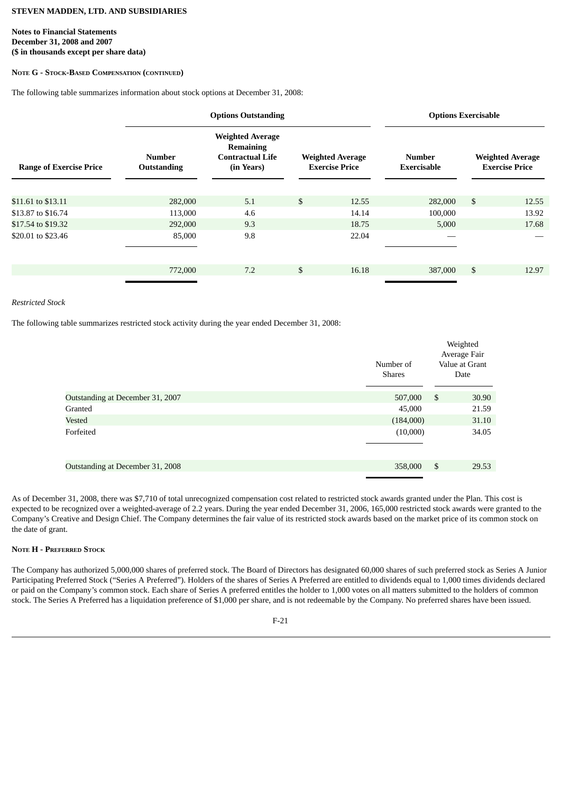### **Notes to Financial Statements December 31, 2008 and 2007 (\$ in thousands except per share data)**

#### **NOTE G - STOCK-BASED COMPENSATION (CONTINUED)**

The following table summarizes information about stock options at December 31, 2008:

|                                | <b>Options Outstanding</b>          |                                                                                      |    | <b>Options Exercisable</b>                       |                              |    |                                                  |
|--------------------------------|-------------------------------------|--------------------------------------------------------------------------------------|----|--------------------------------------------------|------------------------------|----|--------------------------------------------------|
| <b>Range of Exercise Price</b> | <b>Number</b><br><b>Outstanding</b> | <b>Weighted Average</b><br><b>Remaining</b><br><b>Contractual Life</b><br>(in Years) |    | <b>Weighted Average</b><br><b>Exercise Price</b> | <b>Number</b><br>Exercisable |    | <b>Weighted Average</b><br><b>Exercise Price</b> |
| \$11.61 to \$13.11             | 282,000                             | 5.1                                                                                  | \$ | 12.55                                            | 282,000                      | \$ | 12.55                                            |
| \$13.87 to \$16.74             | 113,000                             | 4.6                                                                                  |    | 14.14                                            | 100,000                      |    | 13.92                                            |
| \$17.54 to \$19.32             | 292,000                             | 9.3                                                                                  |    | 18.75                                            | 5,000                        |    | 17.68                                            |
| \$20.01 to \$23.46             | 85,000                              | 9.8                                                                                  |    | 22.04                                            |                              |    |                                                  |
|                                | 772,000                             | 7.2                                                                                  | \$ | 16.18                                            | 387,000                      | \$ | 12.97                                            |
|                                |                                     |                                                                                      |    |                                                  |                              |    |                                                  |

#### *Restricted Stock*

The following table summarizes restricted stock activity during the year ended December 31, 2008:

|                                  | Number of<br><b>Shares</b> | Weighted<br>Average Fair<br>Value at Grant<br>Date |
|----------------------------------|----------------------------|----------------------------------------------------|
| Outstanding at December 31, 2007 | 507,000                    | \$<br>30.90                                        |
| Granted                          | 45,000                     | 21.59                                              |
| Vested                           | (184,000)                  | 31.10                                              |
| Forfeited                        | (10,000)                   | 34.05                                              |
| Outstanding at December 31, 2008 | 358,000                    | \$<br>29.53                                        |
|                                  |                            |                                                    |

As of December 31, 2008, there was \$7,710 of total unrecognized compensation cost related to restricted stock awards granted under the Plan. This cost is expected to be recognized over a weighted-average of 2.2 years. During the year ended December 31, 2006, 165,000 restricted stock awards were granted to the Company's Creative and Design Chief. The Company determines the fair value of its restricted stock awards based on the market price of its common stock on the date of grant.

### **NOTE H - PREFERRED STOCK**

The Company has authorized 5,000,000 shares of preferred stock. The Board of Directors has designated 60,000 shares of such preferred stock as Series A Junior Participating Preferred Stock ("Series A Preferred"). Holders of the shares of Series A Preferred are entitled to dividends equal to 1,000 times dividends declared or paid on the Company's common stock. Each share of Series A preferred entitles the holder to 1,000 votes on all matters submitted to the holders of common stock. The Series A Preferred has a liquidation preference of \$1,000 per share, and is not redeemable by the Company. No preferred shares have been issued.

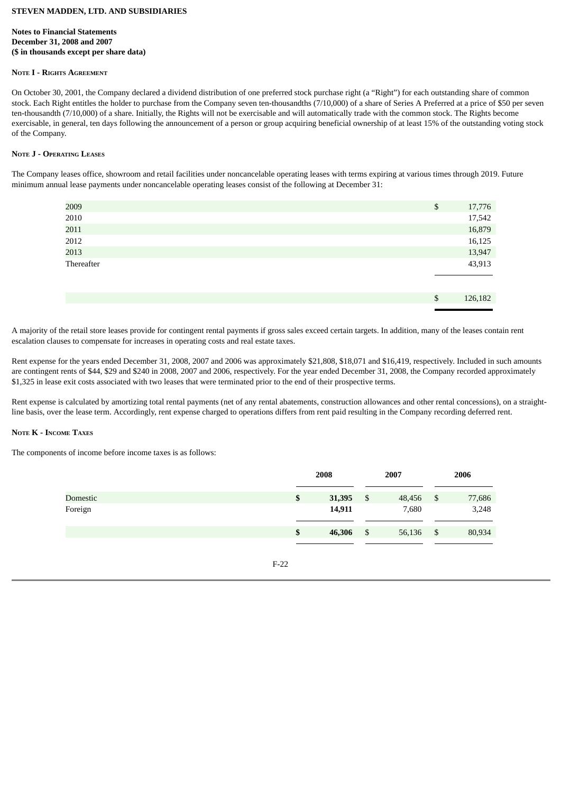### **Notes to Financial Statements December 31, 2008 and 2007 (\$ in thousands except per share data)**

#### **NOTE I - RIGHTS AGREEMENT**

On October 30, 2001, the Company declared a dividend distribution of one preferred stock purchase right (a "Right") for each outstanding share of common stock. Each Right entitles the holder to purchase from the Company seven ten-thousandths (7/10,000) of a share of Series A Preferred at a price of \$50 per seven ten-thousandth (7/10,000) of a share. Initially, the Rights will not be exercisable and will automatically trade with the common stock. The Rights become exercisable, in general, ten days following the announcement of a person or group acquiring beneficial ownership of at least 15% of the outstanding voting stock of the Company.

### **NOTE J - OPERATING LEASES**

The Company leases office, showroom and retail facilities under noncancelable operating leases with terms expiring at various times through 2019. Future minimum annual lease payments under noncancelable operating leases consist of the following at December 31:

| 2009       | \$<br>17,776  |
|------------|---------------|
| 2010       | 17,542        |
| 2011       | 16,879        |
| 2012       | 16,125        |
| 2013       | 13,947        |
| Thereafter | 43,913        |
|            | \$<br>126,182 |
|            |               |

A majority of the retail store leases provide for contingent rental payments if gross sales exceed certain targets. In addition, many of the leases contain rent escalation clauses to compensate for increases in operating costs and real estate taxes.

Rent expense for the years ended December 31, 2008, 2007 and 2006 was approximately \$21,808, \$18,071 and \$16,419, respectively. Included in such amounts are contingent rents of \$44, \$29 and \$240 in 2008, 2007 and 2006, respectively. For the year ended December 31, 2008, the Company recorded approximately \$1,325 in lease exit costs associated with two leases that were terminated prior to the end of their prospective terms.

Rent expense is calculated by amortizing total rental payments (net of any rental abatements, construction allowances and other rental concessions), on a straightline basis, over the lease term. Accordingly, rent expense charged to operations differs from rent paid resulting in the Company recording deferred rent.

#### **NOTE K - INCOME TAXES**

The components of income before income taxes is as follows:

|          | 2008 |        | 2007           |        | 2006 |        |
|----------|------|--------|----------------|--------|------|--------|
| Domestic | \$   | 31,395 | -\$            | 48,456 | -\$  | 77,686 |
| Foreign  |      | 14,911 |                | 7,680  |      | 3,248  |
|          | \$   | 46,306 | $\mathfrak{S}$ | 56,136 | -\$  | 80,934 |
|          |      |        |                |        |      |        |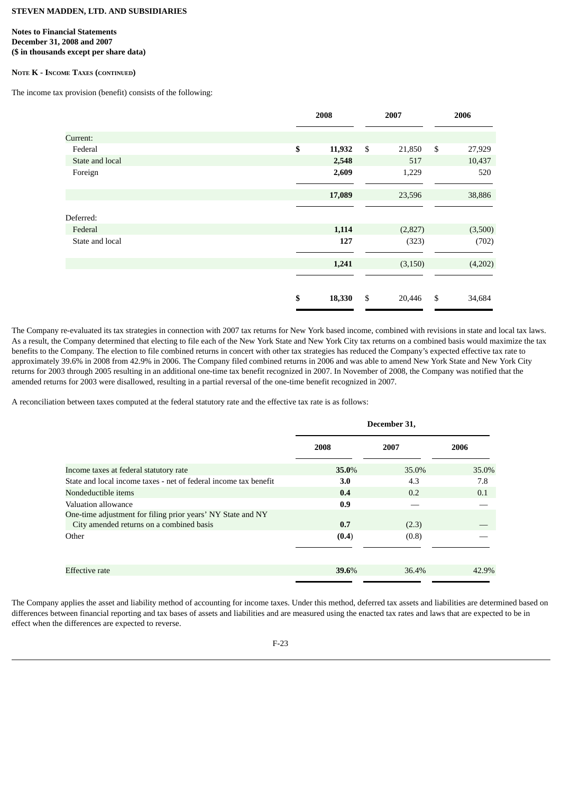### **Notes to Financial Statements December 31, 2008 and 2007 (\$ in thousands except per share data)**

#### **NOTE K - INCOME TAXES (CONTINUED)**

The income tax provision (benefit) consists of the following:

|                 | 2008         | 2007 |          | 2006 |         |
|-----------------|--------------|------|----------|------|---------|
| Current:        |              |      |          |      |         |
| Federal         | \$<br>11,932 | \$   | 21,850   | \$   | 27,929  |
| State and local | 2,548        |      | 517      |      | 10,437  |
| Foreign         | 2,609        |      | 1,229    |      | 520     |
|                 |              |      |          |      |         |
|                 | 17,089       |      | 23,596   |      | 38,886  |
| Deferred:       |              |      |          |      |         |
| Federal         | 1,114        |      | (2,827)  |      | (3,500) |
| State and local | 127          |      | (323)    |      | (702)   |
|                 | 1,241        |      | (3, 150) |      | (4,202) |
|                 |              |      |          |      |         |
|                 | \$<br>18,330 | \$   | 20,446   | \$   | 34,684  |

The Company re-evaluated its tax strategies in connection with 2007 tax returns for New York based income, combined with revisions in state and local tax laws. As a result, the Company determined that electing to file each of the New York State and New York City tax returns on a combined basis would maximize the tax benefits to the Company. The election to file combined returns in concert with other tax strategies has reduced the Company's expected effective tax rate to approximately 39.6% in 2008 from 42.9% in 2006. The Company filed combined returns in 2006 and was able to amend New York State and New York City returns for 2003 through 2005 resulting in an additional one-time tax benefit recognized in 2007. In November of 2008, the Company was notified that the amended returns for 2003 were disallowed, resulting in a partial reversal of the one-time benefit recognized in 2007.

A reconciliation between taxes computed at the federal statutory rate and the effective tax rate is as follows:

|                                                                                                         | December 31, |       |       |  |  |  |
|---------------------------------------------------------------------------------------------------------|--------------|-------|-------|--|--|--|
|                                                                                                         | 2008         | 2007  | 2006  |  |  |  |
| Income taxes at federal statutory rate                                                                  | 35.0%        | 35.0% | 35.0% |  |  |  |
| State and local income taxes - net of federal income tax benefit                                        | 3.0          | 4.3   | 7.8   |  |  |  |
| Nondeductible items                                                                                     | 0.4          | 0.2   | 0.1   |  |  |  |
| Valuation allowance                                                                                     | 0.9          |       |       |  |  |  |
| One-time adjustment for filing prior years' NY State and NY<br>City amended returns on a combined basis | 0.7          | (2.3) |       |  |  |  |
| Other                                                                                                   | (0.4)        | (0.8) |       |  |  |  |
| Effective rate                                                                                          | 39.6%        | 36.4% | 42.9% |  |  |  |

The Company applies the asset and liability method of accounting for income taxes. Under this method, deferred tax assets and liabilities are determined based on differences between financial reporting and tax bases of assets and liabilities and are measured using the enacted tax rates and laws that are expected to be in effect when the differences are expected to reverse.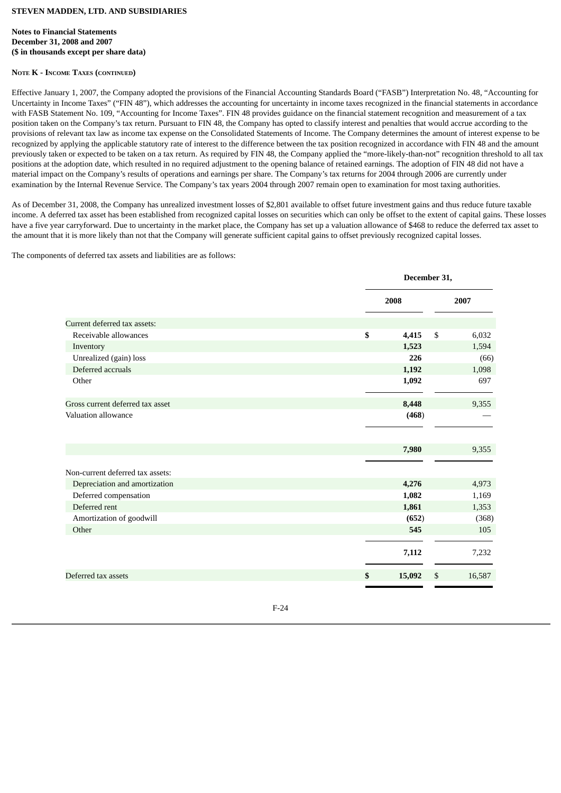### **Notes to Financial Statements December 31, 2008 and 2007 (\$ in thousands except per share data)**

#### **NOTE K - INCOME TAXES (CONTINUED)**

Effective January 1, 2007, the Company adopted the provisions of the Financial Accounting Standards Board ("FASB") Interpretation No. 48, "Accounting for Uncertainty in Income Taxes" ("FIN 48"), which addresses the accounting for uncertainty in income taxes recognized in the financial statements in accordance with FASB Statement No. 109, "Accounting for Income Taxes". FIN 48 provides guidance on the financial statement recognition and measurement of a tax position taken on the Company's tax return. Pursuant to FIN 48, the Company has opted to classify interest and penalties that would accrue according to the provisions of relevant tax law as income tax expense on the Consolidated Statements of Income. The Company determines the amount of interest expense to be recognized by applying the applicable statutory rate of interest to the difference between the tax position recognized in accordance with FIN 48 and the amount previously taken or expected to be taken on a tax return. As required by FIN 48, the Company applied the "more-likely-than-not" recognition threshold to all tax positions at the adoption date, which resulted in no required adjustment to the opening balance of retained earnings. The adoption of FIN 48 did not have a material impact on the Company's results of operations and earnings per share. The Company's tax returns for 2004 through 2006 are currently under examination by the Internal Revenue Service. The Company's tax years 2004 through 2007 remain open to examination for most taxing authorities.

As of December 31, 2008, the Company has unrealized investment losses of \$2,801 available to offset future investment gains and thus reduce future taxable income. A deferred tax asset has been established from recognized capital losses on securities which can only be offset to the extent of capital gains. These losses have a five year carryforward. Due to uncertainty in the market place, the Company has set up a valuation allowance of \$468 to reduce the deferred tax asset to the amount that it is more likely than not that the Company will generate sufficient capital gains to offset previously recognized capital losses.

#### The components of deferred tax assets and liabilities are as follows:

|                                  |              | December 31, |        |  |  |
|----------------------------------|--------------|--------------|--------|--|--|
|                                  | 2008         |              | 2007   |  |  |
| Current deferred tax assets:     |              |              |        |  |  |
| Receivable allowances            | \$<br>4,415  | \$           | 6,032  |  |  |
| Inventory                        | 1,523        |              | 1,594  |  |  |
| Unrealized (gain) loss           | 226          |              | (66)   |  |  |
| Deferred accruals                | 1,192        |              | 1,098  |  |  |
| Other                            | 1,092        |              | 697    |  |  |
| Gross current deferred tax asset | 8,448        |              | 9,355  |  |  |
| Valuation allowance              | (468)        |              |        |  |  |
|                                  | 7,980        |              | 9,355  |  |  |
| Non-current deferred tax assets: |              |              |        |  |  |
| Depreciation and amortization    | 4,276        |              | 4,973  |  |  |
| Deferred compensation            | 1,082        |              | 1,169  |  |  |
| Deferred rent                    | 1,861        |              | 1,353  |  |  |
| Amortization of goodwill         | (652)        |              | (368)  |  |  |
| Other                            | 545          |              | 105    |  |  |
|                                  | 7,112        |              | 7,232  |  |  |
| Deferred tax assets              | \$<br>15,092 | \$           | 16,587 |  |  |
|                                  |              |              |        |  |  |

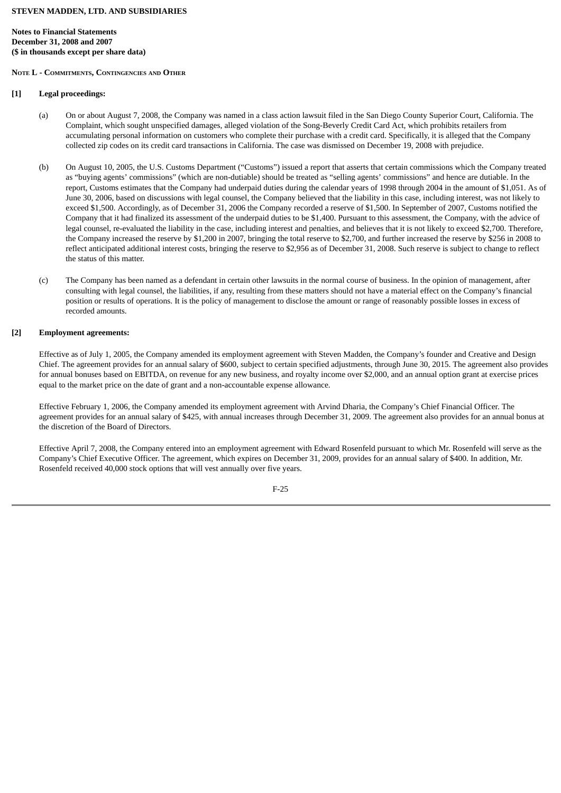### **Notes to Financial Statements December 31, 2008 and 2007 (\$ in thousands except per share data)**

#### **NOTE L - COMMITMENTS, CONTINGENCIES AND OTHER**

### **[1] Legal proceedings:**

- (a) On or about August 7, 2008, the Company was named in a class action lawsuit filed in the San Diego County Superior Court, California. The Complaint, which sought unspecified damages, alleged violation of the Song-Beverly Credit Card Act, which prohibits retailers from accumulating personal information on customers who complete their purchase with a credit card. Specifically, it is alleged that the Company collected zip codes on its credit card transactions in California. The case was dismissed on December 19, 2008 with prejudice.
- (b) On August 10, 2005, the U.S. Customs Department ("Customs") issued a report that asserts that certain commissions which the Company treated as "buying agents' commissions" (which are non-dutiable) should be treated as "selling agents' commissions" and hence are dutiable. In the report, Customs estimates that the Company had underpaid duties during the calendar years of 1998 through 2004 in the amount of \$1,051. As of June 30, 2006, based on discussions with legal counsel, the Company believed that the liability in this case, including interest, was not likely to exceed \$1,500. Accordingly, as of December 31, 2006 the Company recorded a reserve of \$1,500. In September of 2007, Customs notified the Company that it had finalized its assessment of the underpaid duties to be \$1,400. Pursuant to this assessment, the Company, with the advice of legal counsel, re-evaluated the liability in the case, including interest and penalties, and believes that it is not likely to exceed \$2,700. Therefore, the Company increased the reserve by \$1,200 in 2007, bringing the total reserve to \$2,700, and further increased the reserve by \$256 in 2008 to reflect anticipated additional interest costs, bringing the reserve to \$2,956 as of December 31, 2008. Such reserve is subject to change to reflect the status of this matter.
- (c) The Company has been named as a defendant in certain other lawsuits in the normal course of business. In the opinion of management, after consulting with legal counsel, the liabilities, if any, resulting from these matters should not have a material effect on the Company's financial position or results of operations. It is the policy of management to disclose the amount or range of reasonably possible losses in excess of recorded amounts.

### **[2] Employment agreements:**

Effective as of July 1, 2005, the Company amended its employment agreement with Steven Madden, the Company's founder and Creative and Design Chief. The agreement provides for an annual salary of \$600, subject to certain specified adjustments, through June 30, 2015. The agreement also provides for annual bonuses based on EBITDA, on revenue for any new business, and royalty income over \$2,000, and an annual option grant at exercise prices equal to the market price on the date of grant and a non-accountable expense allowance.

Effective February 1, 2006, the Company amended its employment agreement with Arvind Dharia, the Company's Chief Financial Officer. The agreement provides for an annual salary of \$425, with annual increases through December 31, 2009. The agreement also provides for an annual bonus at the discretion of the Board of Directors.

Effective April 7, 2008, the Company entered into an employment agreement with Edward Rosenfeld pursuant to which Mr. Rosenfeld will serve as the Company's Chief Executive Officer. The agreement, which expires on December 31, 2009, provides for an annual salary of \$400. In addition, Mr. Rosenfeld received 40,000 stock options that will vest annually over five years.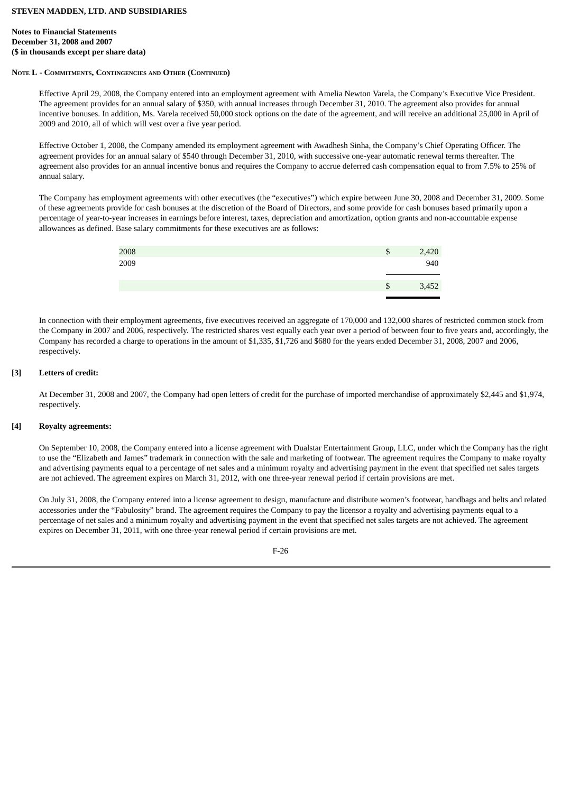### **Notes to Financial Statements December 31, 2008 and 2007 (\$ in thousands except per share data)**

#### **NOTE L - COMMITMENTS, CONTINGENCIES AND OTHER (CONTINUED)**

Effective April 29, 2008, the Company entered into an employment agreement with Amelia Newton Varela, the Company's Executive Vice President. The agreement provides for an annual salary of \$350, with annual increases through December 31, 2010. The agreement also provides for annual incentive bonuses. In addition, Ms. Varela received 50,000 stock options on the date of the agreement, and will receive an additional 25,000 in April of 2009 and 2010, all of which will vest over a five year period.

Effective October 1, 2008, the Company amended its employment agreement with Awadhesh Sinha, the Company's Chief Operating Officer. The agreement provides for an annual salary of \$540 through December 31, 2010, with successive one-year automatic renewal terms thereafter. The agreement also provides for an annual incentive bonus and requires the Company to accrue deferred cash compensation equal to from 7.5% to 25% of annual salary.

The Company has employment agreements with other executives (the "executives") which expire between June 30, 2008 and December 31, 2009. Some of these agreements provide for cash bonuses at the discretion of the Board of Directors, and some provide for cash bonuses based primarily upon a percentage of year-to-year increases in earnings before interest, taxes, depreciation and amortization, option grants and non-accountable expense allowances as defined. Base salary commitments for these executives are as follows:

| 2008 | \$<br>2,420 |
|------|-------------|
| 2009 | 940         |
|      | \$<br>3,452 |

In connection with their employment agreements, five executives received an aggregate of 170,000 and 132,000 shares of restricted common stock from the Company in 2007 and 2006, respectively. The restricted shares vest equally each year over a period of between four to five years and, accordingly, the Company has recorded a charge to operations in the amount of \$1,335, \$1,726 and \$680 for the years ended December 31, 2008, 2007 and 2006, respectively.

### **[3] Letters of credit:**

At December 31, 2008 and 2007, the Company had open letters of credit for the purchase of imported merchandise of approximately \$2,445 and \$1,974, respectively.

### **[4] Royalty agreements:**

On September 10, 2008, the Company entered into a license agreement with Dualstar Entertainment Group, LLC, under which the Company has the right to use the "Elizabeth and James" trademark in connection with the sale and marketing of footwear. The agreement requires the Company to make royalty and advertising payments equal to a percentage of net sales and a minimum royalty and advertising payment in the event that specified net sales targets are not achieved. The agreement expires on March 31, 2012, with one three-year renewal period if certain provisions are met.

On July 31, 2008, the Company entered into a license agreement to design, manufacture and distribute women's footwear, handbags and belts and related accessories under the "Fabulosity" brand. The agreement requires the Company to pay the licensor a royalty and advertising payments equal to a percentage of net sales and a minimum royalty and advertising payment in the event that specified net sales targets are not achieved. The agreement expires on December 31, 2011, with one three-year renewal period if certain provisions are met.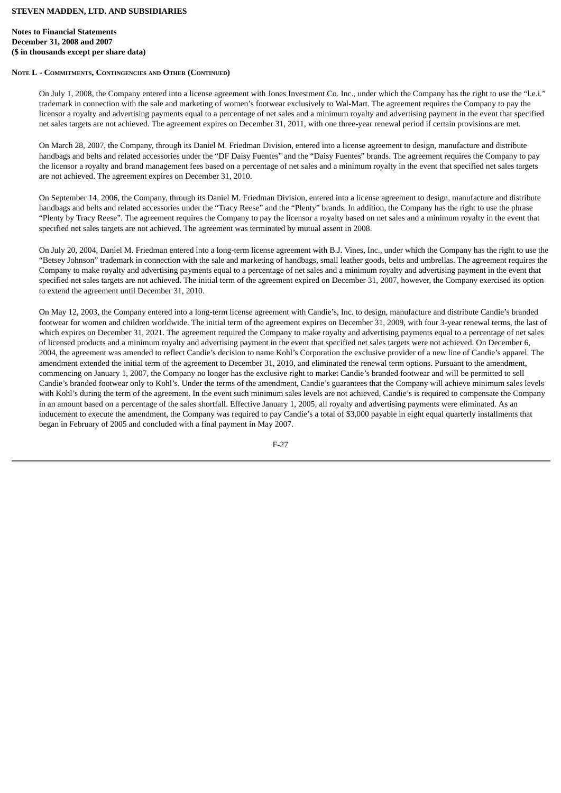### **Notes to Financial Statements December 31, 2008 and 2007 (\$ in thousands except per share data)**

#### **NOTE L - COMMITMENTS, CONTINGENCIES AND OTHER (CONTINUED)**

On July 1, 2008, the Company entered into a license agreement with Jones Investment Co. Inc., under which the Company has the right to use the "l.e.i." trademark in connection with the sale and marketing of women's footwear exclusively to Wal-Mart. The agreement requires the Company to pay the licensor a royalty and advertising payments equal to a percentage of net sales and a minimum royalty and advertising payment in the event that specified net sales targets are not achieved. The agreement expires on December 31, 2011, with one three-year renewal period if certain provisions are met.

On March 28, 2007, the Company, through its Daniel M. Friedman Division, entered into a license agreement to design, manufacture and distribute handbags and belts and related accessories under the "DF Daisy Fuentes" and the "Daisy Fuentes" brands. The agreement requires the Company to pay the licensor a royalty and brand management fees based on a percentage of net sales and a minimum royalty in the event that specified net sales targets are not achieved. The agreement expires on December 31, 2010.

On September 14, 2006, the Company, through its Daniel M. Friedman Division, entered into a license agreement to design, manufacture and distribute handbags and belts and related accessories under the "Tracy Reese" and the "Plenty" brands. In addition, the Company has the right to use the phrase "Plenty by Tracy Reese". The agreement requires the Company to pay the licensor a royalty based on net sales and a minimum royalty in the event that specified net sales targets are not achieved. The agreement was terminated by mutual assent in 2008.

On July 20, 2004, Daniel M. Friedman entered into a long-term license agreement with B.J. Vines, Inc., under which the Company has the right to use the "Betsey Johnson" trademark in connection with the sale and marketing of handbags, small leather goods, belts and umbrellas. The agreement requires the Company to make royalty and advertising payments equal to a percentage of net sales and a minimum royalty and advertising payment in the event that specified net sales targets are not achieved. The initial term of the agreement expired on December 31, 2007, however, the Company exercised its option to extend the agreement until December 31, 2010.

On May 12, 2003, the Company entered into a long-term license agreement with Candie's, Inc. to design, manufacture and distribute Candie's branded footwear for women and children worldwide. The initial term of the agreement expires on December 31, 2009, with four 3-year renewal terms, the last of which expires on December 31, 2021. The agreement required the Company to make royalty and advertising payments equal to a percentage of net sales of licensed products and a minimum royalty and advertising payment in the event that specified net sales targets were not achieved. On December 6, 2004, the agreement was amended to reflect Candie's decision to name Kohl's Corporation the exclusive provider of a new line of Candie's apparel. The amendment extended the initial term of the agreement to December 31, 2010, and eliminated the renewal term options. Pursuant to the amendment, commencing on January 1, 2007, the Company no longer has the exclusive right to market Candie's branded footwear and will be permitted to sell Candie's branded footwear only to Kohl's. Under the terms of the amendment, Candie's guarantees that the Company will achieve minimum sales levels with Kohl's during the term of the agreement. In the event such minimum sales levels are not achieved, Candie's is required to compensate the Company in an amount based on a percentage of the sales shortfall. Effective January 1, 2005, all royalty and advertising payments were eliminated. As an inducement to execute the amendment, the Company was required to pay Candie's a total of \$3,000 payable in eight equal quarterly installments that began in February of 2005 and concluded with a final payment in May 2007.

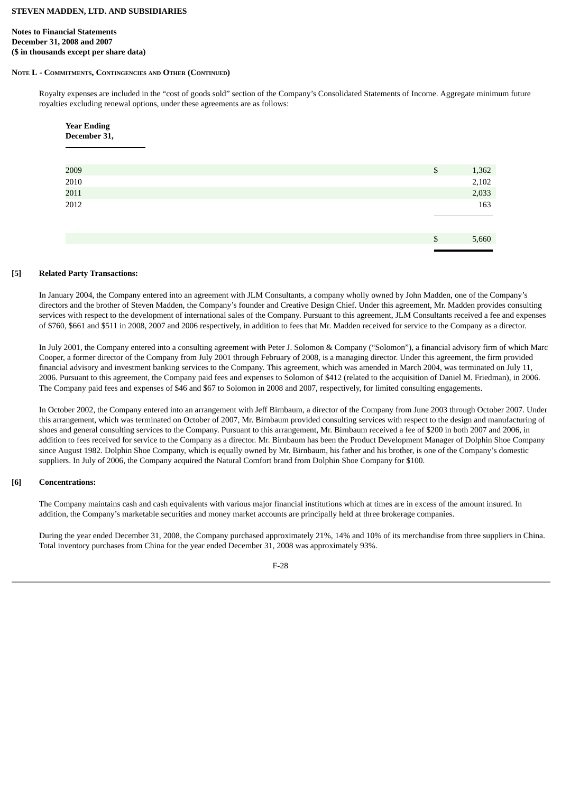### **Notes to Financial Statements December 31, 2008 and 2007 (\$ in thousands except per share data)**

**Year Ending**

#### **NOTE L - COMMITMENTS, CONTINGENCIES AND OTHER (CONTINUED)**

Royalty expenses are included in the "cost of goods sold" section of the Company's Consolidated Statements of Income. Aggregate minimum future royalties excluding renewal options, under these agreements are as follows:

| December 31, |             |
|--------------|-------------|
|              |             |
| 2009         | 1,362<br>\$ |
| 2010         | 2,102       |
| 2011         | 2,033       |
| 2012         | 163         |
|              |             |
|              |             |
|              | \$<br>5,660 |
|              |             |

### **[5] Related Party Transactions:**

In January 2004, the Company entered into an agreement with JLM Consultants, a company wholly owned by John Madden, one of the Company's directors and the brother of Steven Madden, the Company's founder and Creative Design Chief. Under this agreement, Mr. Madden provides consulting services with respect to the development of international sales of the Company. Pursuant to this agreement, JLM Consultants received a fee and expenses of \$760, \$661 and \$511 in 2008, 2007 and 2006 respectively, in addition to fees that Mr. Madden received for service to the Company as a director.

In July 2001, the Company entered into a consulting agreement with Peter J. Solomon & Company ("Solomon"), a financial advisory firm of which Marc Cooper, a former director of the Company from July 2001 through February of 2008, is a managing director. Under this agreement, the firm provided financial advisory and investment banking services to the Company. This agreement, which was amended in March 2004, was terminated on July 11, 2006. Pursuant to this agreement, the Company paid fees and expenses to Solomon of \$412 (related to the acquisition of Daniel M. Friedman), in 2006. The Company paid fees and expenses of \$46 and \$67 to Solomon in 2008 and 2007, respectively, for limited consulting engagements.

In October 2002, the Company entered into an arrangement with Jeff Birnbaum, a director of the Company from June 2003 through October 2007. Under this arrangement, which was terminated on October of 2007, Mr. Birnbaum provided consulting services with respect to the design and manufacturing of shoes and general consulting services to the Company. Pursuant to this arrangement, Mr. Birnbaum received a fee of \$200 in both 2007 and 2006, in addition to fees received for service to the Company as a director. Mr. Birnbaum has been the Product Development Manager of Dolphin Shoe Company since August 1982. Dolphin Shoe Company, which is equally owned by Mr. Birnbaum, his father and his brother, is one of the Company's domestic suppliers. In July of 2006, the Company acquired the Natural Comfort brand from Dolphin Shoe Company for \$100.

# **[6] Concentrations:**

The Company maintains cash and cash equivalents with various major financial institutions which at times are in excess of the amount insured. In addition, the Company's marketable securities and money market accounts are principally held at three brokerage companies.

During the year ended December 31, 2008, the Company purchased approximately 21%, 14% and 10% of its merchandise from three suppliers in China. Total inventory purchases from China for the year ended December 31, 2008 was approximately 93%.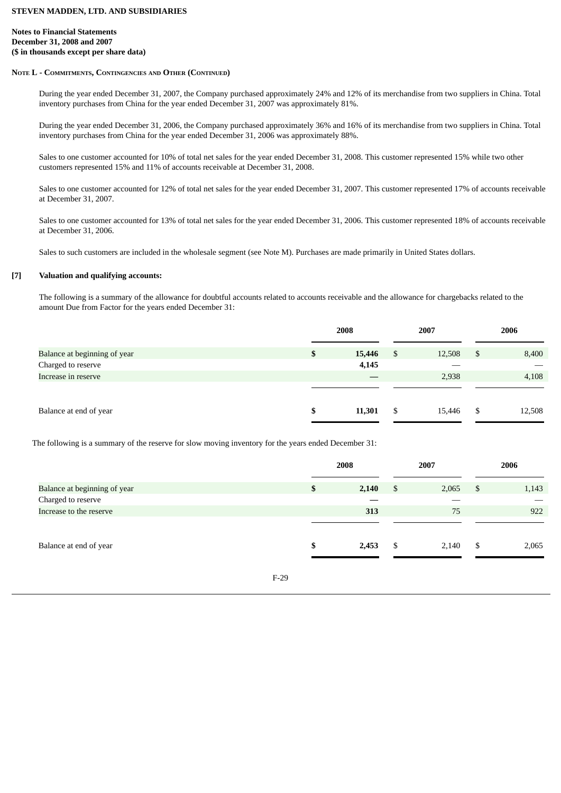### **Notes to Financial Statements December 31, 2008 and 2007 (\$ in thousands except per share data)**

#### **NOTE L - COMMITMENTS, CONTINGENCIES AND OTHER (CONTINUED)**

During the year ended December 31, 2007, the Company purchased approximately 24% and 12% of its merchandise from two suppliers in China. Total inventory purchases from China for the year ended December 31, 2007 was approximately 81%.

During the year ended December 31, 2006, the Company purchased approximately 36% and 16% of its merchandise from two suppliers in China. Total inventory purchases from China for the year ended December 31, 2006 was approximately 88%.

Sales to one customer accounted for 10% of total net sales for the year ended December 31, 2008. This customer represented 15% while two other customers represented 15% and 11% of accounts receivable at December 31, 2008.

Sales to one customer accounted for 12% of total net sales for the year ended December 31, 2007. This customer represented 17% of accounts receivable at December 31, 2007.

Sales to one customer accounted for 13% of total net sales for the year ended December 31, 2006. This customer represented 18% of accounts receivable at December 31, 2006.

Sales to such customers are included in the wholesale segment (see Note M). Purchases are made primarily in United States dollars.

### **[7] Valuation and qualifying accounts:**

The following is a summary of the allowance for doubtful accounts related to accounts receivable and the allowance for chargebacks related to the amount Due from Factor for the years ended December 31:

|                              | 2008 |        | 2007 |        | 2006 |        |
|------------------------------|------|--------|------|--------|------|--------|
| Balance at beginning of year | \$   | 15,446 | -S   | 12,508 | \$   | 8,400  |
| Charged to reserve           |      | 4,145  |      |        |      |        |
| Increase in reserve          |      |        |      | 2,938  |      | 4,108  |
|                              |      |        |      |        |      |        |
| Balance at end of year       | \$   | 11,301 | S    | 15,446 | \$   | 12,508 |

The following is a summary of the reserve for slow moving inventory for the years ended December 31:

|       | 2007               |       | 2006  |  |
|-------|--------------------|-------|-------|--|
|       |                    |       | 1,143 |  |
|       |                    |       |       |  |
|       | 75                 |       | 922   |  |
|       |                    |       |       |  |
| S     | 2,140              | \$    | 2,065 |  |
| 2,453 | 2,140<br>\$<br>313 | 2,065 | \$    |  |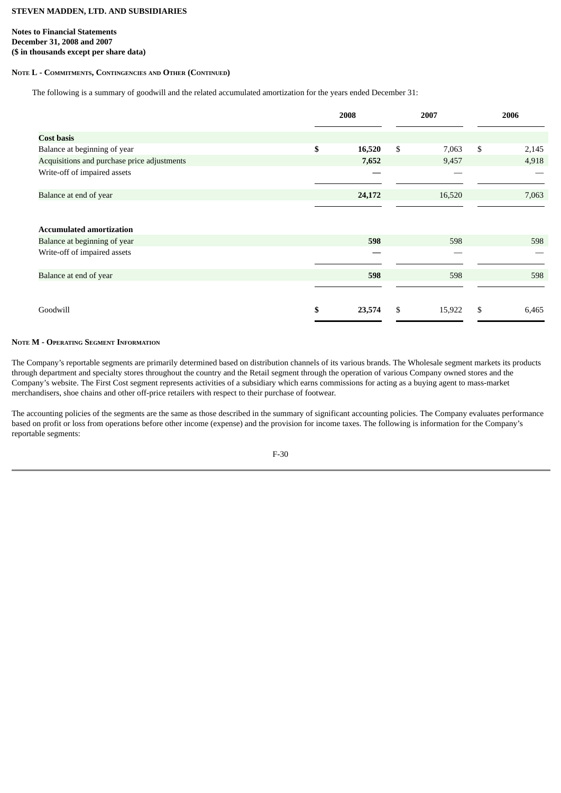## **STEVEN MADDEN, LTD. AND SUBSIDIARIES**

#### **Notes to Financial Statements December 31, 2008 and 2007 (\$ in thousands except per share data)**

#### **NOTE L - COMMITMENTS, CONTINGENCIES AND OTHER (CONTINUED)**

The following is a summary of goodwill and the related accumulated amortization for the years ended December 31:

|                                             | 2008         |    | 2007   | 2006        |
|---------------------------------------------|--------------|----|--------|-------------|
| <b>Cost basis</b>                           |              |    |        |             |
| Balance at beginning of year                | \$<br>16,520 | \$ | 7,063  | \$<br>2,145 |
| Acquisitions and purchase price adjustments | 7,652        |    | 9,457  | 4,918       |
| Write-off of impaired assets                |              |    |        |             |
| Balance at end of year                      | 24,172       |    | 16,520 | 7,063       |
| <b>Accumulated amortization</b>             |              |    |        |             |
| Balance at beginning of year                | 598          |    | 598    | 598         |
| Write-off of impaired assets                |              |    |        |             |
| Balance at end of year                      | 598          |    | 598    | 598         |
|                                             |              |    |        |             |
| Goodwill                                    | \$<br>23,574 | S  | 15,922 | \$<br>6,465 |

#### **NOTE M - OPERATING SEGMENT INFORMATION**

The Company's reportable segments are primarily determined based on distribution channels of its various brands. The Wholesale segment markets its products through department and specialty stores throughout the country and the Retail segment through the operation of various Company owned stores and the Company's website. The First Cost segment represents activities of a subsidiary which earns commissions for acting as a buying agent to mass-market merchandisers, shoe chains and other off-price retailers with respect to their purchase of footwear.

The accounting policies of the segments are the same as those described in the summary of significant accounting policies. The Company evaluates performance based on profit or loss from operations before other income (expense) and the provision for income taxes. The following is information for the Company's reportable segments:

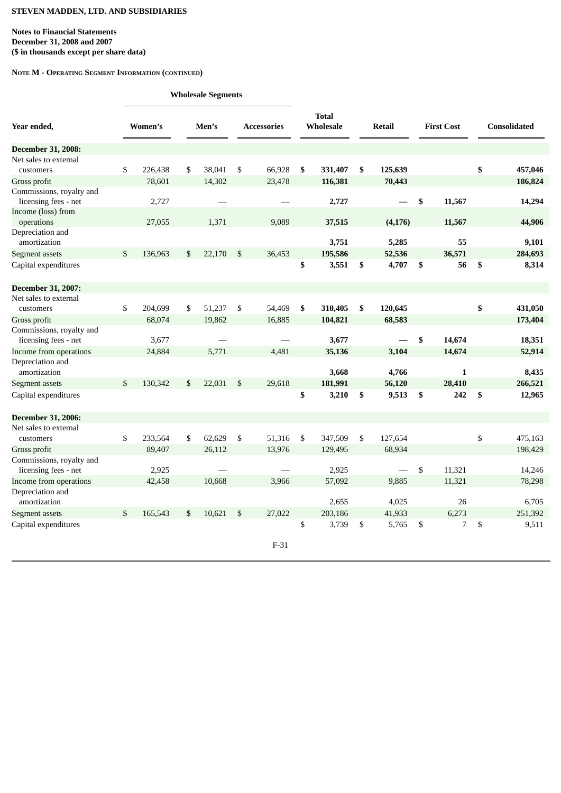# **STEVEN MADDEN, LTD. AND SUBSIDIARIES**

**Notes to Financial Statements December 31, 2008 and 2007 (\$ in thousands except per share data)**

## **NOTE M - OPERATING SEGMENT INFORMATION (CONTINUED)**

|                                                    | <b>Wholesale Segments</b> |         |       |        |                    |        |                           |         |        |          |                   |              |                     |         |
|----------------------------------------------------|---------------------------|---------|-------|--------|--------------------|--------|---------------------------|---------|--------|----------|-------------------|--------------|---------------------|---------|
| Year ended,                                        | Women's                   |         | Men's |        | <b>Accessories</b> |        | <b>Total</b><br>Wholesale |         | Retail |          | <b>First Cost</b> |              | <b>Consolidated</b> |         |
| <b>December 31, 2008:</b>                          |                           |         |       |        |                    |        |                           |         |        |          |                   |              |                     |         |
| Net sales to external                              |                           |         |       |        |                    |        |                           |         |        |          |                   |              |                     |         |
| customers                                          | $\mathfrak{S}$            | 226,438 | \$    | 38,041 | \$                 | 66,928 | \$                        | 331,407 | \$     | 125,639  |                   |              | \$                  | 457,046 |
| Gross profit                                       |                           | 78,601  |       | 14,302 |                    | 23,478 |                           | 116,381 |        | 70,443   |                   |              |                     | 186,824 |
| Commissions, royalty and<br>licensing fees - net   |                           | 2,727   |       |        |                    |        |                           | 2,727   |        |          | \$                | 11,567       |                     | 14,294  |
| Income (loss) from                                 |                           |         |       |        |                    |        |                           |         |        |          |                   |              |                     |         |
| operations                                         |                           | 27,055  |       | 1,371  |                    | 9,089  |                           | 37,515  |        | (4, 176) |                   | 11,567       |                     | 44,906  |
| Depreciation and<br>amortization                   |                           |         |       |        |                    |        |                           | 3,751   |        | 5,285    |                   | 55           |                     | 9,101   |
| Segment assets                                     | \$                        | 136,963 | \$    | 22,170 | \$                 | 36,453 |                           | 195,586 |        | 52,536   |                   | 36,571       |                     | 284,693 |
| Capital expenditures                               |                           |         |       |        |                    |        | \$                        | 3,551   | \$     | 4,707    | \$                | 56           | \$                  | 8,314   |
| <b>December 31, 2007:</b>                          |                           |         |       |        |                    |        |                           |         |        |          |                   |              |                     |         |
| Net sales to external                              |                           |         |       |        |                    |        |                           |         |        |          |                   |              |                     |         |
| customers                                          | \$                        | 204,699 | \$    | 51,237 | \$                 | 54,469 | \$                        | 310,405 | \$     | 120,645  |                   |              | \$                  | 431,050 |
| Gross profit                                       |                           | 68,074  |       | 19,862 |                    | 16,885 |                           | 104,821 |        | 68,583   |                   |              |                     | 173,404 |
| Commissions, royalty and<br>licensing fees - net   |                           | 3,677   |       |        |                    |        |                           | 3,677   |        |          | \$                | 14,674       |                     | 18,351  |
| Income from operations                             |                           | 24,884  |       | 5,771  |                    | 4,481  |                           | 35,136  |        | 3,104    |                   | 14,674       |                     | 52,914  |
| Depreciation and<br>amortization                   |                           |         |       |        |                    |        |                           | 3,668   |        | 4,766    |                   | $\mathbf{1}$ |                     | 8,435   |
| Segment assets                                     | $\mathbb{S}$              | 130,342 | \$    | 22,031 | $\mathfrak{L}$     | 29,618 |                           | 181,991 |        | 56,120   |                   | 28,410       |                     | 266,521 |
| Capital expenditures                               |                           |         |       |        |                    |        | \$                        | 3,210   | \$     | 9,513    | \$                | 242          | \$                  | 12,965  |
|                                                    |                           |         |       |        |                    |        |                           |         |        |          |                   |              |                     |         |
| <b>December 31, 2006:</b><br>Net sales to external |                           |         |       |        |                    |        |                           |         |        |          |                   |              |                     |         |
| customers                                          | \$                        | 233,564 | \$    | 62,629 | \$                 | 51,316 | \$                        | 347,509 | \$     | 127,654  |                   |              | \$                  | 475,163 |
| Gross profit                                       |                           | 89,407  |       | 26,112 |                    | 13,976 |                           | 129,495 |        | 68,934   |                   |              |                     | 198,429 |
| Commissions, royalty and                           |                           |         |       |        |                    |        |                           |         |        |          |                   |              |                     |         |
| licensing fees - net                               |                           | 2,925   |       |        |                    |        |                           | 2,925   |        |          | \$                | 11,321       |                     | 14,246  |
| Income from operations                             |                           | 42,458  |       | 10,668 |                    | 3,966  |                           | 57,092  |        | 9,885    |                   | 11,321       |                     | 78,298  |
| Depreciation and<br>amortization                   |                           |         |       |        |                    |        |                           | 2,655   |        | 4,025    |                   | 26           |                     | 6,705   |
| Segment assets                                     | $\mathbb{S}$              | 165,543 | \$    | 10,621 | $\mathfrak{S}$     | 27,022 |                           | 203,186 |        | 41,933   |                   | 6,273        |                     | 251,392 |
| Capital expenditures                               |                           |         |       |        |                    |        | \$                        | 3,739   | \$     | 5,765    | \$                | 7            | \$                  | 9,511   |
|                                                    |                           |         |       |        |                    | $F-31$ |                           |         |        |          |                   |              |                     |         |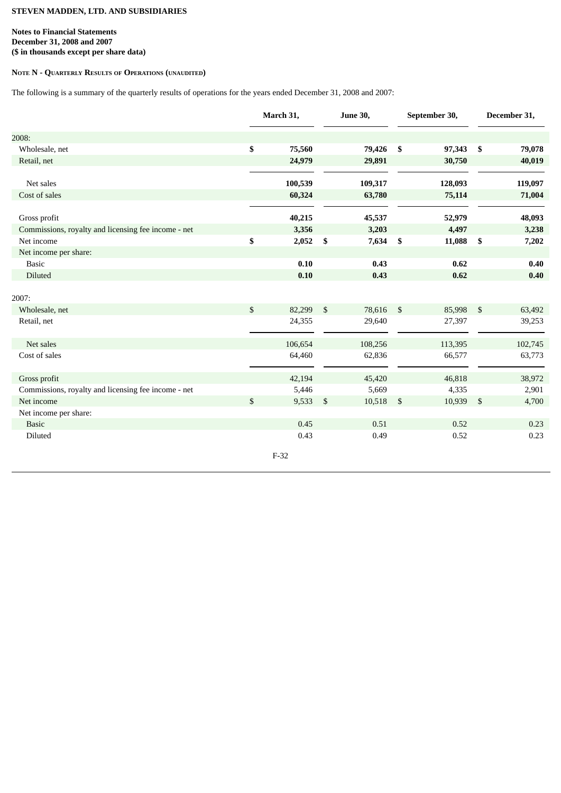## **STEVEN MADDEN, LTD. AND SUBSIDIARIES**

## **Notes to Financial Statements December 31, 2008 and 2007 (\$ in thousands except per share data)**

## **NOTE N - QUARTERLY RESULTS OF OPERATIONS (UNAUDITED)**

The following is a summary of the quarterly results of operations for the years ended December 31, 2008 and 2007:

|                                                                     | March 31,<br><b>June 30,</b> |         |                | September 30, |                           |         | December 31,              |         |
|---------------------------------------------------------------------|------------------------------|---------|----------------|---------------|---------------------------|---------|---------------------------|---------|
| 2008:                                                               |                              |         |                |               |                           |         |                           |         |
| Wholesale, net                                                      | \$                           | 75,560  |                | 79,426        | $\boldsymbol{\mathsf{s}}$ | 97,343  | $\boldsymbol{\mathsf{s}}$ | 79,078  |
| Retail, net                                                         |                              | 24,979  |                | 29,891        |                           | 30,750  |                           | 40,019  |
| Net sales                                                           |                              | 100,539 |                | 109,317       |                           | 128,093 |                           | 119,097 |
| Cost of sales                                                       |                              | 60,324  |                | 63,780        |                           | 75,114  |                           | 71,004  |
| Gross profit                                                        |                              | 40,215  |                | 45,537        |                           | 52,979  |                           | 48,093  |
| Commissions, royalty and licensing fee income - net                 |                              | 3,356   |                | 3,203         |                           | 4,497   |                           | 3,238   |
| Net income                                                          | \$                           | 2,052   | \$             | 7,634         | \$                        | 11,088  | \$                        | 7,202   |
| Net income per share:                                               |                              |         |                |               |                           |         |                           |         |
| <b>Basic</b>                                                        |                              | 0.10    |                | 0.43          |                           | 0.62    |                           | 0.40    |
| Diluted                                                             |                              | 0.10    |                | 0.43          |                           | 0.62    |                           | 0.40    |
| 2007:                                                               |                              |         |                |               |                           |         |                           |         |
| Wholesale, net                                                      | \$                           | 82,299  | $\mathfrak{S}$ | 78,616        | $\mathfrak{S}$            | 85,998  | $\mathfrak{S}$            | 63,492  |
| Retail, net                                                         |                              | 24,355  |                | 29,640        |                           | 27,397  |                           | 39,253  |
| Net sales                                                           |                              | 106,654 |                | 108,256       |                           | 113,395 |                           | 102,745 |
| Cost of sales                                                       |                              | 64,460  |                | 62,836        |                           | 66,577  |                           | 63,773  |
|                                                                     |                              | 42,194  |                | 45,420        |                           | 46,818  |                           | 38,972  |
| Gross profit<br>Commissions, royalty and licensing fee income - net |                              | 5,446   |                |               |                           | 4,335   |                           |         |
| Net income                                                          | \$                           |         | $\mathfrak{S}$ | 5,669         |                           |         |                           | 2,901   |
| Net income per share:                                               |                              | 9,533   |                | 10,518        | \$                        | 10,939  | \$                        | 4,700   |
| <b>Basic</b>                                                        |                              | 0.45    |                | 0.51          |                           | 0.52    |                           | 0.23    |
| Diluted                                                             |                              | 0.43    |                | 0.49          |                           | 0.52    |                           | 0.23    |
|                                                                     |                              | $F-32$  |                |               |                           |         |                           |         |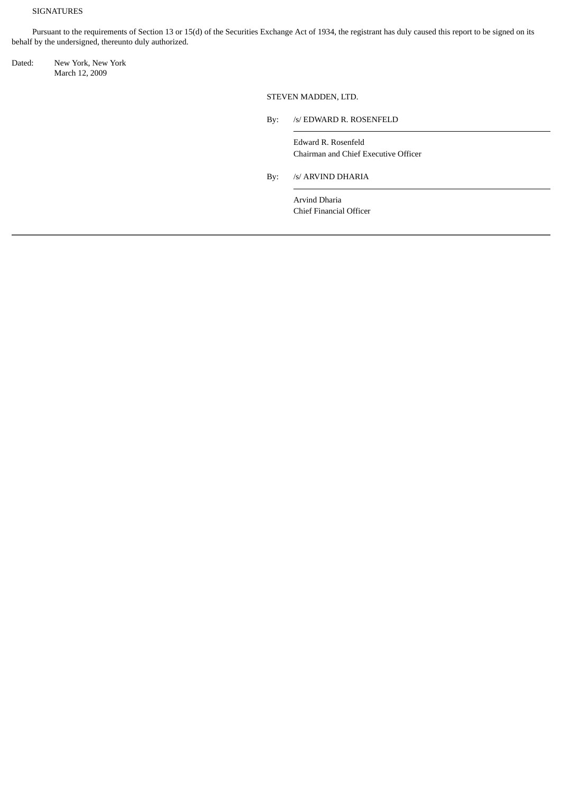## SIGNATURES

 Pursuant to the requirements of Section 13 or 15(d) of the Securities Exchange Act of 1934, the registrant has duly caused this report to be signed on its behalf by the undersigned, thereunto duly authorized.

Dated: New York, New York March 12, 2009

STEVEN MADDEN, LTD.

By: /s/ EDWARD R. ROSENFELD

Edward R. Rosenfeld Chairman and Chief Executive Officer

By: /s/ ARVIND DHARIA

Arvind Dharia Chief Financial Officer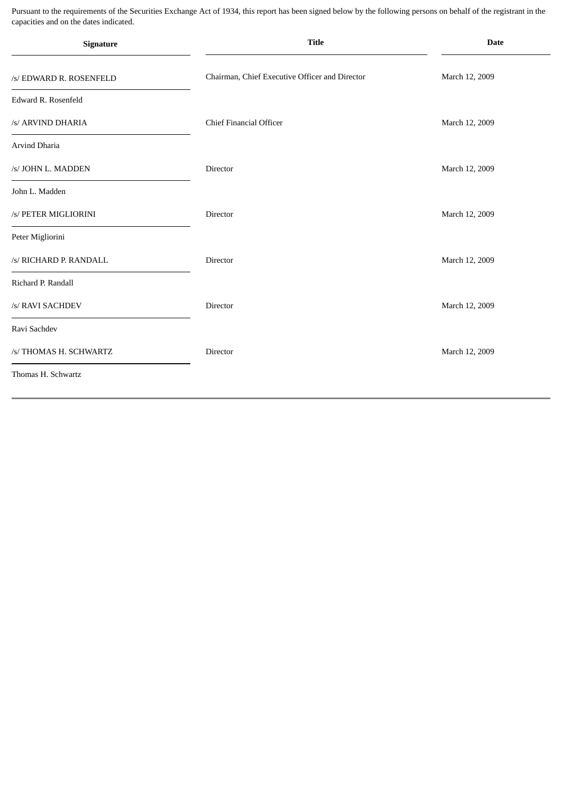Pursuant to the requirements of the Securities Exchange Act of 1934, this report has been signed below by the following persons on behalf of the registrant in the capacities and on the dates indicated.

| Signature               | <b>Title</b>                                   | <b>Date</b>    |  |  |  |
|-------------------------|------------------------------------------------|----------------|--|--|--|
| /s/ EDWARD R. ROSENFELD | Chairman, Chief Executive Officer and Director | March 12, 2009 |  |  |  |
| Edward R. Rosenfeld     |                                                |                |  |  |  |
| /s/ ARVIND DHARIA       | <b>Chief Financial Officer</b>                 | March 12, 2009 |  |  |  |
| Arvind Dharia           |                                                |                |  |  |  |
| /s/ JOHN L. MADDEN      | Director                                       | March 12, 2009 |  |  |  |
| John L. Madden          |                                                |                |  |  |  |
| /s/ PETER MIGLIORINI    | Director                                       | March 12, 2009 |  |  |  |
| Peter Migliorini        |                                                |                |  |  |  |
| /s/ RICHARD P. RANDALL  | Director                                       | March 12, 2009 |  |  |  |
| Richard P. Randall      |                                                |                |  |  |  |
| /s/ RAVI SACHDEV        | Director                                       | March 12, 2009 |  |  |  |
| Ravi Sachdev            |                                                |                |  |  |  |
| /s/ THOMAS H. SCHWARTZ  | Director                                       | March 12, 2009 |  |  |  |
| Thomas H. Schwartz      |                                                |                |  |  |  |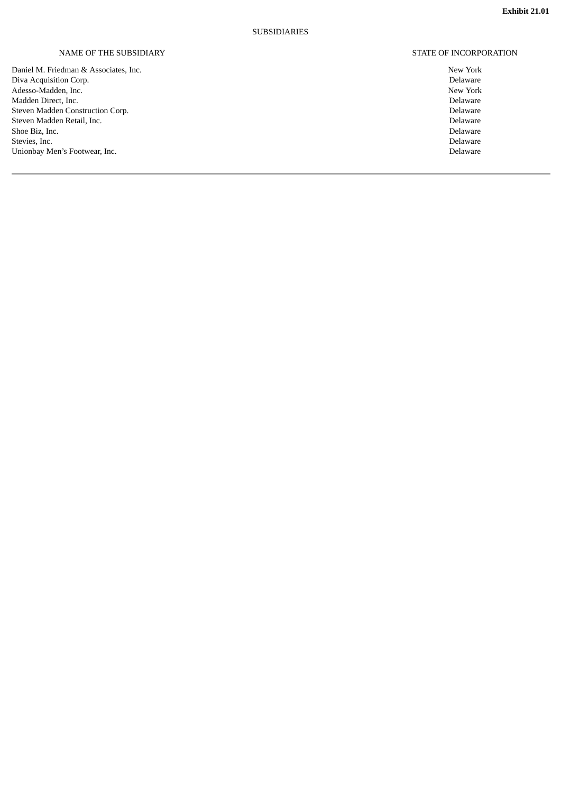## SUBSIDIARIES

### NAME OF THE SUBSIDIARY STATE OF INCORPORATION

Daniel M. Friedman & Associates, Inc.<br>
Diva Acquisition Corp. Delaware Diva Acquisition Corp. Delaware Adesso-Madden, Inc. New York and the Second Second Second Second Second Second Second Second Second Second Second Second Second Seconds Second Seconds Seconds Seconds Seconds Seconds Seconds Seconds Seconds Seconds Seconds Madden Direct, Inc. Steven Madden Construction Corp.<br>
Steven Madden Retail, Inc. Delaware Steven Madden Retail, Inc. Delaware Shoe Biz, Inc. Delaware Shoe Biz, Inc. Delaware Shoe Biz, Inc. Shoe Biz, Inc. Delaware Stevies, Inc. Delaware Unionbay Men's Footwear, Inc. Delaware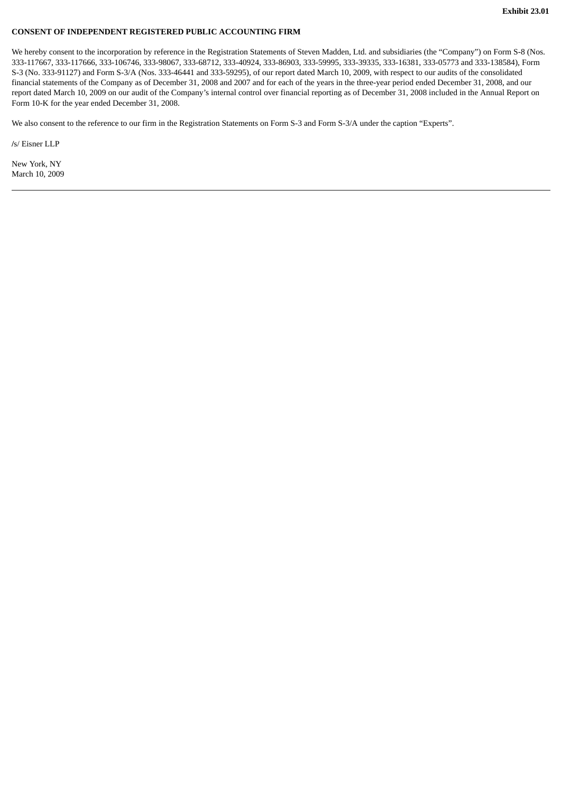## **CONSENT OF INDEPENDENT REGISTERED PUBLIC ACCOUNTING FIRM**

We hereby consent to the incorporation by reference in the Registration Statements of Steven Madden, Ltd. and subsidiaries (the "Company") on Form S-8 (Nos. 333-117667, 333-117666, 333-106746, 333-98067, 333-68712, 333-40924, 333-86903, 333-59995, 333-39335, 333-16381, 333-05773 and 333-138584), Form S-3 (No. 333-91127) and Form S-3/A (Nos. 333-46441 and 333-59295), of our report dated March 10, 2009, with respect to our audits of the consolidated financial statements of the Company as of December 31, 2008 and 2007 and for each of the years in the three-year period ended December 31, 2008, and our report dated March 10, 2009 on our audit of the Company's internal control over financial reporting as of December 31, 2008 included in the Annual Report on Form 10-K for the year ended December 31, 2008.

We also consent to the reference to our firm in the Registration Statements on Form S-3 and Form S-3/A under the caption "Experts".

**/**s/ Eisner LLP

New York, NY March 10, 2009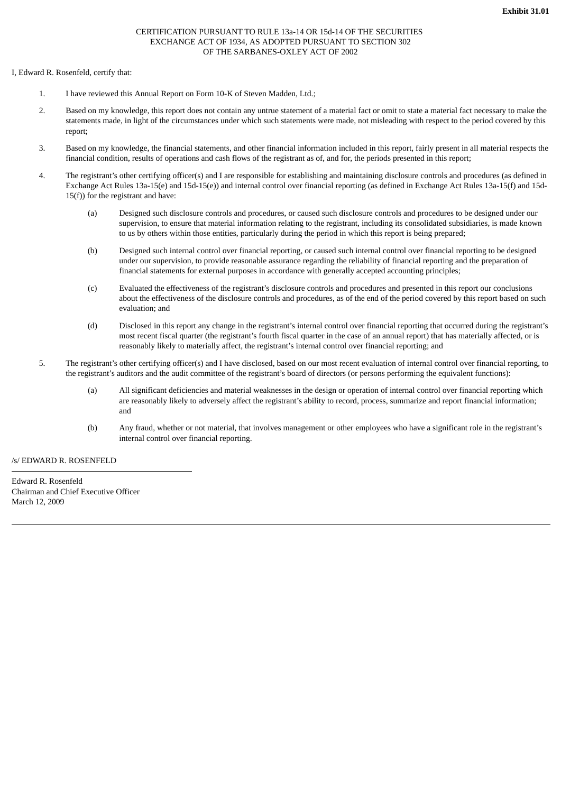## CERTIFICATION PURSUANT TO RULE 13a-14 OR 15d-14 OF THE SECURITIES EXCHANGE ACT OF 1934, AS ADOPTED PURSUANT TO SECTION 302 OF THE SARBANES-OXLEY ACT OF 2002

I, Edward R. Rosenfeld, certify that:

- 1. I have reviewed this Annual Report on Form 10-K of Steven Madden, Ltd.;
- 2. Based on my knowledge, this report does not contain any untrue statement of a material fact or omit to state a material fact necessary to make the statements made, in light of the circumstances under which such statements were made, not misleading with respect to the period covered by this report;
- 3. Based on my knowledge, the financial statements, and other financial information included in this report, fairly present in all material respects the financial condition, results of operations and cash flows of the registrant as of, and for, the periods presented in this report;
- 4. The registrant's other certifying officer(s) and I are responsible for establishing and maintaining disclosure controls and procedures (as defined in Exchange Act Rules 13a-15(e) and 15d-15(e)) and internal control over financial reporting (as defined in Exchange Act Rules 13a-15(f) and 15d-15(f)) for the registrant and have:
	- (a) Designed such disclosure controls and procedures, or caused such disclosure controls and procedures to be designed under our supervision, to ensure that material information relating to the registrant, including its consolidated subsidiaries, is made known to us by others within those entities, particularly during the period in which this report is being prepared;
	- (b) Designed such internal control over financial reporting, or caused such internal control over financial reporting to be designed under our supervision, to provide reasonable assurance regarding the reliability of financial reporting and the preparation of financial statements for external purposes in accordance with generally accepted accounting principles;
	- (c) Evaluated the effectiveness of the registrant's disclosure controls and procedures and presented in this report our conclusions about the effectiveness of the disclosure controls and procedures, as of the end of the period covered by this report based on such evaluation; and
	- (d) Disclosed in this report any change in the registrant's internal control over financial reporting that occurred during the registrant's most recent fiscal quarter (the registrant's fourth fiscal quarter in the case of an annual report) that has materially affected, or is reasonably likely to materially affect, the registrant's internal control over financial reporting; and
- 5. The registrant's other certifying officer(s) and I have disclosed, based on our most recent evaluation of internal control over financial reporting, to the registrant's auditors and the audit committee of the registrant's board of directors (or persons performing the equivalent functions):
	- (a) All significant deficiencies and material weaknesses in the design or operation of internal control over financial reporting which are reasonably likely to adversely affect the registrant's ability to record, process, summarize and report financial information; and
	- (b) Any fraud, whether or not material, that involves management or other employees who have a significant role in the registrant's internal control over financial reporting.

/s/ EDWARD R. ROSENFELD

Edward R. Rosenfeld Chairman and Chief Executive Officer March 12, 2009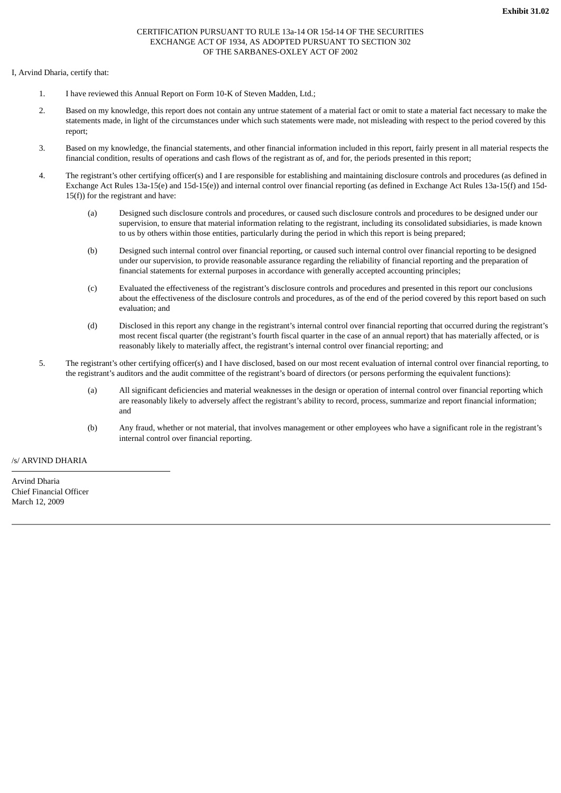## CERTIFICATION PURSUANT TO RULE 13a-14 OR 15d-14 OF THE SECURITIES EXCHANGE ACT OF 1934, AS ADOPTED PURSUANT TO SECTION 302 OF THE SARBANES-OXLEY ACT OF 2002

I, Arvind Dharia, certify that:

- 1. I have reviewed this Annual Report on Form 10-K of Steven Madden, Ltd.;
- 2. Based on my knowledge, this report does not contain any untrue statement of a material fact or omit to state a material fact necessary to make the statements made, in light of the circumstances under which such statements were made, not misleading with respect to the period covered by this report;
- 3. Based on my knowledge, the financial statements, and other financial information included in this report, fairly present in all material respects the financial condition, results of operations and cash flows of the registrant as of, and for, the periods presented in this report;
- 4. The registrant's other certifying officer(s) and I are responsible for establishing and maintaining disclosure controls and procedures (as defined in Exchange Act Rules 13a-15(e) and 15d-15(e)) and internal control over financial reporting (as defined in Exchange Act Rules 13a-15(f) and 15d-15(f)) for the registrant and have:
	- (a) Designed such disclosure controls and procedures, or caused such disclosure controls and procedures to be designed under our supervision, to ensure that material information relating to the registrant, including its consolidated subsidiaries, is made known to us by others within those entities, particularly during the period in which this report is being prepared;
	- (b) Designed such internal control over financial reporting, or caused such internal control over financial reporting to be designed under our supervision, to provide reasonable assurance regarding the reliability of financial reporting and the preparation of financial statements for external purposes in accordance with generally accepted accounting principles;
	- (c) Evaluated the effectiveness of the registrant's disclosure controls and procedures and presented in this report our conclusions about the effectiveness of the disclosure controls and procedures, as of the end of the period covered by this report based on such evaluation; and
	- (d) Disclosed in this report any change in the registrant's internal control over financial reporting that occurred during the registrant's most recent fiscal quarter (the registrant's fourth fiscal quarter in the case of an annual report) that has materially affected, or is reasonably likely to materially affect, the registrant's internal control over financial reporting; and
- 5. The registrant's other certifying officer(s) and I have disclosed, based on our most recent evaluation of internal control over financial reporting, to the registrant's auditors and the audit committee of the registrant's board of directors (or persons performing the equivalent functions):
	- (a) All significant deficiencies and material weaknesses in the design or operation of internal control over financial reporting which are reasonably likely to adversely affect the registrant's ability to record, process, summarize and report financial information; and
	- (b) Any fraud, whether or not material, that involves management or other employees who have a significant role in the registrant's internal control over financial reporting.

/s/ ARVIND DHARIA

Arvind Dharia Chief Financial Officer March 12, 2009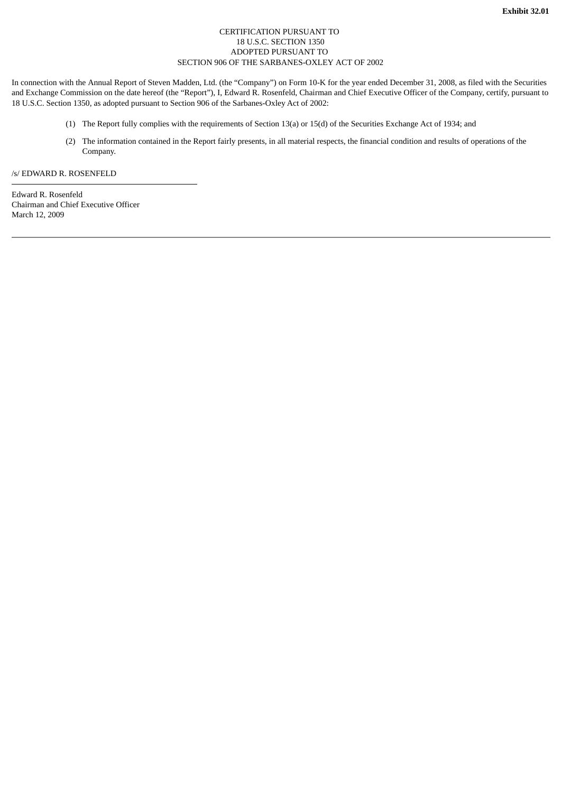## CERTIFICATION PURSUANT TO 18 U.S.C. SECTION 1350 ADOPTED PURSUANT TO SECTION 906 OF THE SARBANES-OXLEY ACT OF 2002

In connection with the Annual Report of Steven Madden, Ltd. (the "Company") on Form 10-K for the year ended December 31, 2008, as filed with the Securities and Exchange Commission on the date hereof (the "Report"), I, Edward R. Rosenfeld, Chairman and Chief Executive Officer of the Company, certify, pursuant to 18 U.S.C. Section 1350, as adopted pursuant to Section 906 of the Sarbanes-Oxley Act of 2002:

- (1) The Report fully complies with the requirements of Section 13(a) or 15(d) of the Securities Exchange Act of 1934; and
- (2) The information contained in the Report fairly presents, in all material respects, the financial condition and results of operations of the Company.

/s/ EDWARD R. ROSENFELD

Edward R. Rosenfeld Chairman and Chief Executive Officer March 12, 2009